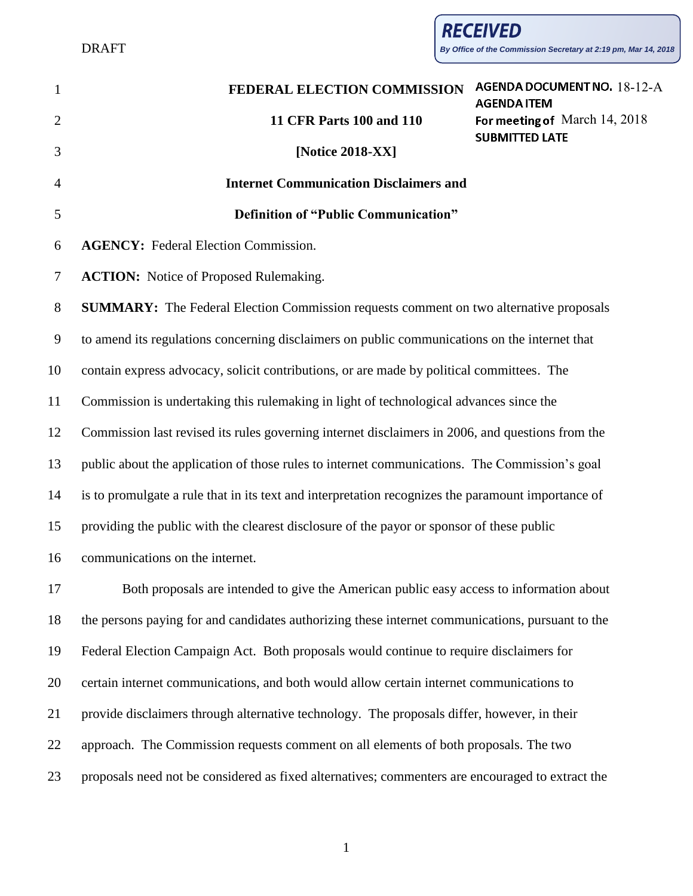| $\mathbf{1}$   | FEDERAL ELECTION COMMISSION                                                                        | <b>AGENDA DOCUMENT NO. 18-12-A</b><br><b>AGENDA ITEM</b> |
|----------------|----------------------------------------------------------------------------------------------------|----------------------------------------------------------|
| $\overline{2}$ | 11 CFR Parts 100 and 110                                                                           | For meeting of March 14, 2018                            |
| 3              | [Notice 2018-XX]                                                                                   | <b>SUBMITTED LATE</b>                                    |
| 4              | <b>Internet Communication Disclaimers and</b>                                                      |                                                          |
| 5              | <b>Definition of "Public Communication"</b>                                                        |                                                          |
| 6              | <b>AGENCY:</b> Federal Election Commission.                                                        |                                                          |
| 7              | <b>ACTION:</b> Notice of Proposed Rulemaking.                                                      |                                                          |
| $8\,$          | <b>SUMMARY:</b> The Federal Election Commission requests comment on two alternative proposals      |                                                          |
| 9              | to amend its regulations concerning disclaimers on public communications on the internet that      |                                                          |
| 10             | contain express advocacy, solicit contributions, or are made by political committees. The          |                                                          |
| 11             | Commission is undertaking this rulemaking in light of technological advances since the             |                                                          |
| 12             | Commission last revised its rules governing internet disclaimers in 2006, and questions from the   |                                                          |
| 13             | public about the application of those rules to internet communications. The Commission's goal      |                                                          |
| 14             | is to promulgate a rule that in its text and interpretation recognizes the paramount importance of |                                                          |
| 15             | providing the public with the clearest disclosure of the payor or sponsor of these public          |                                                          |
| 16             | communications on the internet.                                                                    |                                                          |
| 17             | Both proposals are intended to give the American public easy access to information about           |                                                          |
| 18             | the persons paying for and candidates authorizing these internet communications, pursuant to the   |                                                          |
| 19             | Federal Election Campaign Act. Both proposals would continue to require disclaimers for            |                                                          |
| 20             | certain internet communications, and both would allow certain internet communications to           |                                                          |
| 21             | provide disclaimers through alternative technology. The proposals differ, however, in their        |                                                          |
| 22             | approach. The Commission requests comment on all elements of both proposals. The two               |                                                          |
| 23             | proposals need not be considered as fixed alternatives; commenters are encouraged to extract the   |                                                          |
|                |                                                                                                    |                                                          |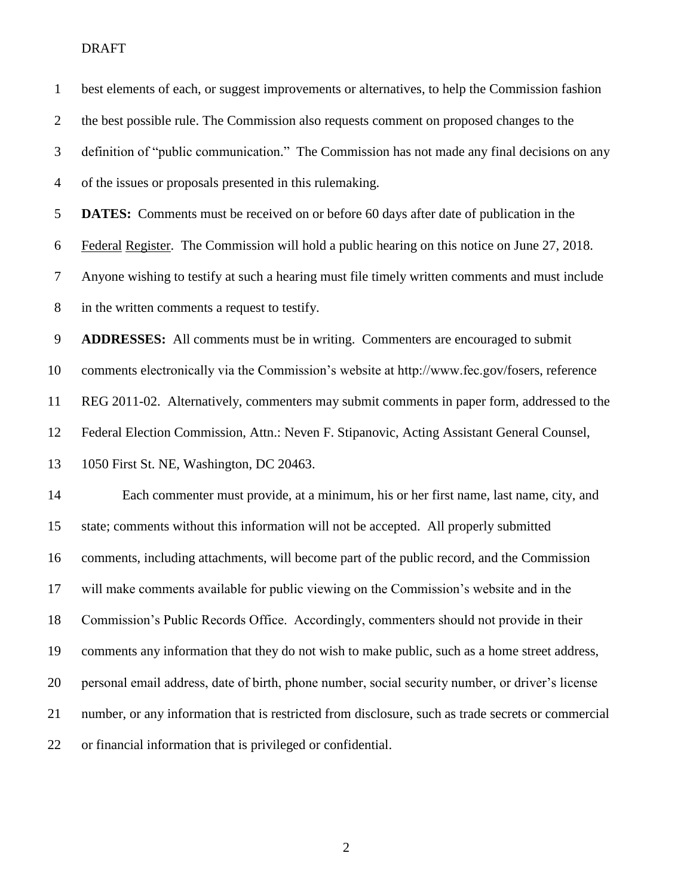| $\mathbf{1}$   | best elements of each, or suggest improvements or alternatives, to help the Commission fashion     |
|----------------|----------------------------------------------------------------------------------------------------|
| $\overline{2}$ | the best possible rule. The Commission also requests comment on proposed changes to the            |
| 3              | definition of "public communication." The Commission has not made any final decisions on any       |
| $\overline{4}$ | of the issues or proposals presented in this rulemaking.                                           |
| 5              | <b>DATES:</b> Comments must be received on or before 60 days after date of publication in the      |
| 6              | Federal Register. The Commission will hold a public hearing on this notice on June 27, 2018.       |
| $\tau$         | Anyone wishing to testify at such a hearing must file timely written comments and must include     |
| $8\phantom{1}$ | in the written comments a request to testify.                                                      |
| 9              | <b>ADDRESSES:</b> All comments must be in writing. Commenters are encouraged to submit             |
| 10             | comments electronically via the Commission's website at http://www.fec.gov/fosers, reference       |
| 11             | REG 2011-02. Alternatively, commenters may submit comments in paper form, addressed to the         |
| 12             | Federal Election Commission, Attn.: Neven F. Stipanovic, Acting Assistant General Counsel,         |
| 13             | 1050 First St. NE, Washington, DC 20463.                                                           |
| 14             | Each commenter must provide, at a minimum, his or her first name, last name, city, and             |
| 15             | state; comments without this information will not be accepted. All properly submitted              |
| 16             | comments, including attachments, will become part of the public record, and the Commission         |
| 17             | will make comments available for public viewing on the Commission's website and in the             |
| 18             | Commission's Public Records Office. Accordingly, commenters should not provide in their            |
| 19             | comments any information that they do not wish to make public, such as a home street address,      |
| 20             | personal email address, date of birth, phone number, social security number, or driver's license   |
| 21             | number, or any information that is restricted from disclosure, such as trade secrets or commercial |
| 22             | or financial information that is privileged or confidential.                                       |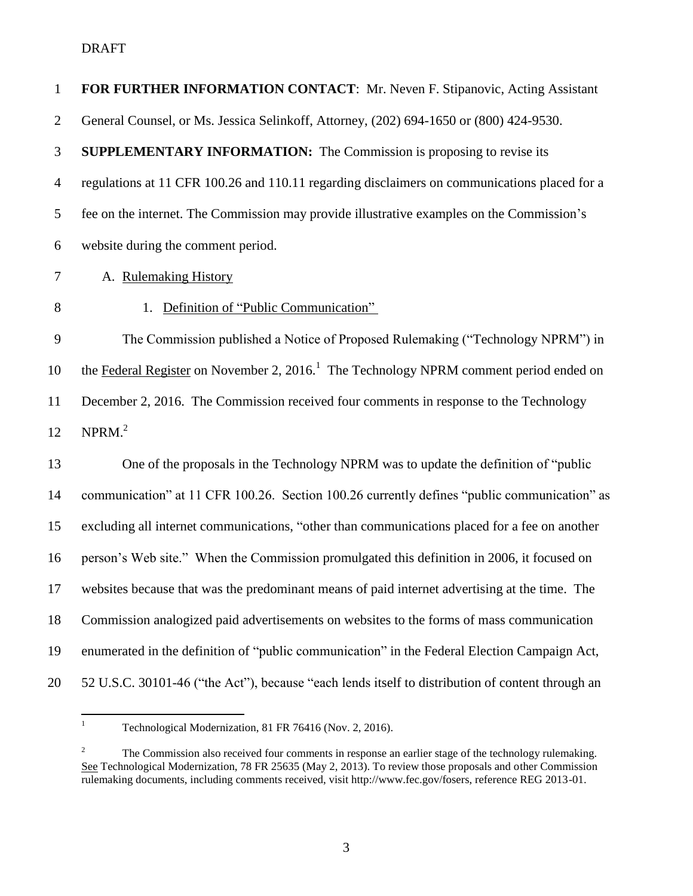| $\mathbf{1}$   | FOR FURTHER INFORMATION CONTACT: Mr. Neven F. Stipanovic, Acting Assistant                         |
|----------------|----------------------------------------------------------------------------------------------------|
| $\overline{2}$ | General Counsel, or Ms. Jessica Selinkoff, Attorney, (202) 694-1650 or (800) 424-9530.             |
| 3              | <b>SUPPLEMENTARY INFORMATION:</b> The Commission is proposing to revise its                        |
| $\overline{4}$ | regulations at 11 CFR 100.26 and 110.11 regarding disclaimers on communications placed for a       |
| 5              | fee on the internet. The Commission may provide illustrative examples on the Commission's          |
| 6              | website during the comment period.                                                                 |
| 7              | A. Rulemaking History                                                                              |
| $8\,$          | Definition of "Public Communication"<br>1.                                                         |
| 9              | The Commission published a Notice of Proposed Rulemaking ("Technology NPRM") in                    |
| 10             | the Federal Register on November 2, 2016. <sup>1</sup> The Technology NPRM comment period ended on |
| 11             | December 2, 2016. The Commission received four comments in response to the Technology              |
| 12             | NPRM. <sup>2</sup>                                                                                 |
| 13             | One of the proposals in the Technology NPRM was to update the definition of "public"               |
| 14             | communication" at 11 CFR 100.26. Section 100.26 currently defines "public communication" as        |
| 15             | excluding all internet communications, "other than communications placed for a fee on another      |
| 16             | person's Web site." When the Commission promulgated this definition in 2006, it focused on         |
| 17             | websites because that was the predominant means of paid internet advertising at the time. The      |
| 18             | Commission analogized paid advertisements on websites to the forms of mass communication           |
| 19             | enumerated in the definition of "public communication" in the Federal Election Campaign Act,       |
| 20             | 52 U.S.C. 30101-46 ("the Act"), because "each lends itself to distribution of content through an   |

 $\,1$ Technological Modernization, 81 FR 76416 (Nov. 2, 2016).

<sup>&</sup>lt;sup>2</sup> The Commission also received four comments in response an earlier stage of the technology rulemaking. See Technological Modernization, 78 FR 25635 (May 2, 2013). To review those proposals and other Commission rulemaking documents, including comments received, visit http://www.fec.gov/fosers, reference REG 2013-01.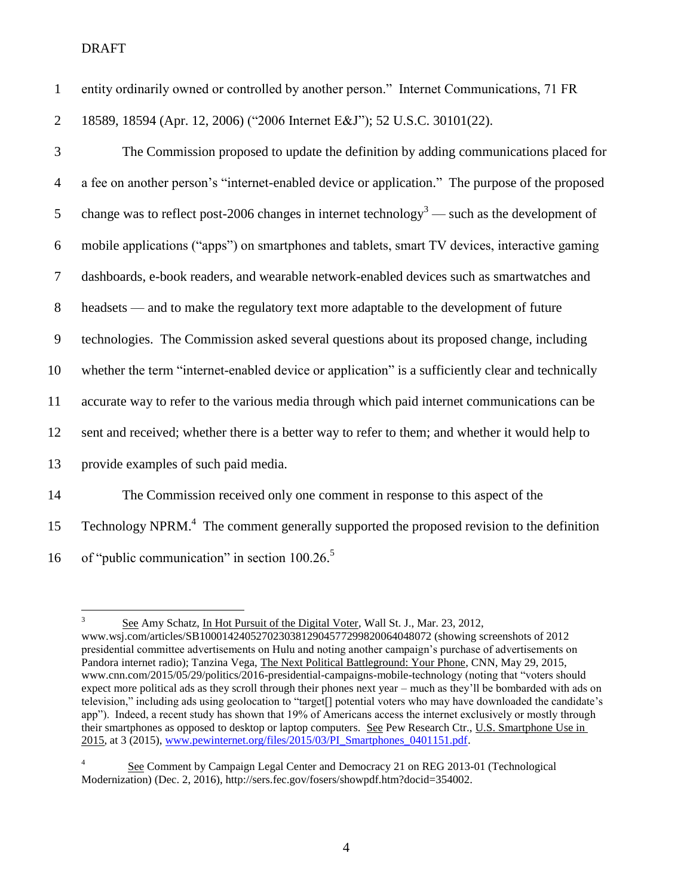| $\mathbf{1}$   | entity ordinarily owned or controlled by another person." Internet Communications, 71 FR                 |
|----------------|----------------------------------------------------------------------------------------------------------|
| $\overline{2}$ | 18589, 18594 (Apr. 12, 2006) ("2006 Internet E&J"); 52 U.S.C. 30101(22).                                 |
| 3              | The Commission proposed to update the definition by adding communications placed for                     |
| $\overline{4}$ | a fee on another person's "internet-enabled device or application." The purpose of the proposed          |
| 5              | change was to reflect post-2006 changes in internet technology <sup>3</sup> — such as the development of |
| 6              | mobile applications ("apps") on smartphones and tablets, smart TV devices, interactive gaming            |
| $\tau$         | dashboards, e-book readers, and wearable network-enabled devices such as smartwatches and                |
| $8\,$          | headsets — and to make the regulatory text more adaptable to the development of future                   |
| $\mathbf{9}$   | technologies. The Commission asked several questions about its proposed change, including                |
| 10             | whether the term "internet-enabled device or application" is a sufficiently clear and technically        |
| 11             | accurate way to refer to the various media through which paid internet communications can be             |
| 12             | sent and received; whether there is a better way to refer to them; and whether it would help to          |
| 13             | provide examples of such paid media.                                                                     |
| 14             | The Commission received only one comment in response to this aspect of the                               |
| 15             | Technology NPRM. <sup>4</sup> The comment generally supported the proposed revision to the definition    |
| 16             | of "public communication" in section 100.26. <sup>5</sup>                                                |

 $\frac{1}{3}$ See Amy Schatz, In Hot Pursuit of the Digital Voter, Wall St. J., Mar. 23, 2012, www.wsj.com/articles/SB10001424052702303812904577299820064048072 (showing screenshots of 2012 presidential committee advertisements on Hulu and noting another campaign's purchase of advertisements on Pandora internet radio); Tanzina Vega, The Next Political Battleground: Your Phone, CNN, May 29, 2015, www.cnn.com/2015/05/29/politics/2016-presidential-campaigns-mobile-technology (noting that "voters should expect more political ads as they scroll through their phones next year – much as they'll be bombarded with ads on television," including ads using geolocation to "target[] potential voters who may have downloaded the candidate's app"). Indeed, a recent study has shown that 19% of Americans access the internet exclusively or mostly through their smartphones as opposed to desktop or laptop computers. See Pew Research Ctr., U.S. Smartphone Use in 2015, at 3 (2015), [www.pewinternet.org/files/2015/03/PI\\_Smartphones\\_0401151.pdf.](http://www.pewinternet.org/files/2015/03/PI_Smartphones_0401151.pdf)

<sup>4</sup> See Comment by Campaign Legal Center and Democracy 21 on REG 2013-01 (Technological Modernization) (Dec. 2, 2016), http://sers.fec.gov/fosers/showpdf.htm?docid=354002.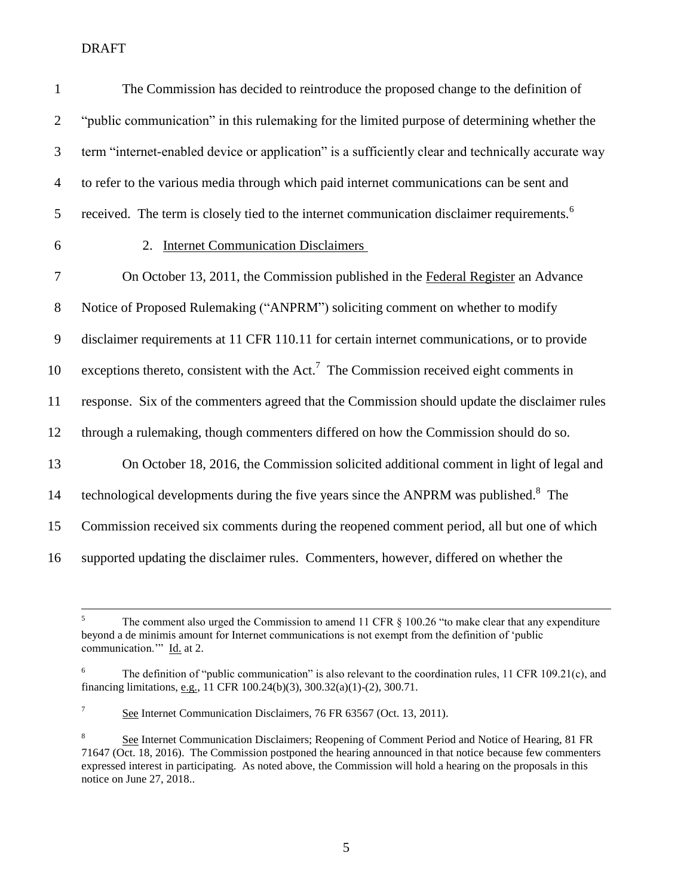| $\mathbf{1}$     | The Commission has decided to reintroduce the proposed change to the definition of                     |
|------------------|--------------------------------------------------------------------------------------------------------|
| $\mathfrak{2}$   | "public communication" in this rulemaking for the limited purpose of determining whether the           |
| $\mathfrak{Z}$   | term "internet-enabled device or application" is a sufficiently clear and technically accurate way     |
| $\overline{4}$   | to refer to the various media through which paid internet communications can be sent and               |
| 5                | received. The term is closely tied to the internet communication disclaimer requirements. <sup>6</sup> |
| 6                | 2. Internet Communication Disclaimers                                                                  |
| $\boldsymbol{7}$ | On October 13, 2011, the Commission published in the Federal Register an Advance                       |
| 8                | Notice of Proposed Rulemaking ("ANPRM") soliciting comment on whether to modify                        |
| 9                | disclaimer requirements at 11 CFR 110.11 for certain internet communications, or to provide            |
| 10               | exceptions thereto, consistent with the Act. <sup>7</sup> The Commission received eight comments in    |
| 11               | response. Six of the commenters agreed that the Commission should update the disclaimer rules          |
| 12               | through a rulemaking, though commenters differed on how the Commission should do so.                   |
| 13               | On October 18, 2016, the Commission solicited additional comment in light of legal and                 |
| 14               | technological developments during the five years since the ANPRM was published. <sup>8</sup> The       |
| 15               | Commission received six comments during the reopened comment period, all but one of which              |
| 16               | supported updating the disclaimer rules. Commenters, however, differed on whether the                  |

 $\sqrt{5}$ The comment also urged the Commission to amend 11 CFR § 100.26 "to make clear that any expenditure beyond a de minimis amount for Internet communications is not exempt from the definition of 'public communication." Id. at 2.

<sup>&</sup>lt;sup>6</sup> The definition of "public communication" is also relevant to the coordination rules, 11 CFR 109.21(c), and financing limitations, e.g., 11 CFR 100.24(b)(3), 300.32(a)(1)-(2), 300.71.

<sup>7</sup> See Internet Communication Disclaimers, 76 FR 63567 (Oct. 13, 2011).

<sup>8</sup> See Internet Communication Disclaimers; Reopening of Comment Period and Notice of Hearing, 81 FR 71647 (Oct. 18, 2016). The Commission postponed the hearing announced in that notice because few commenters expressed interest in participating. As noted above, the Commission will hold a hearing on the proposals in this notice on June 27, 2018..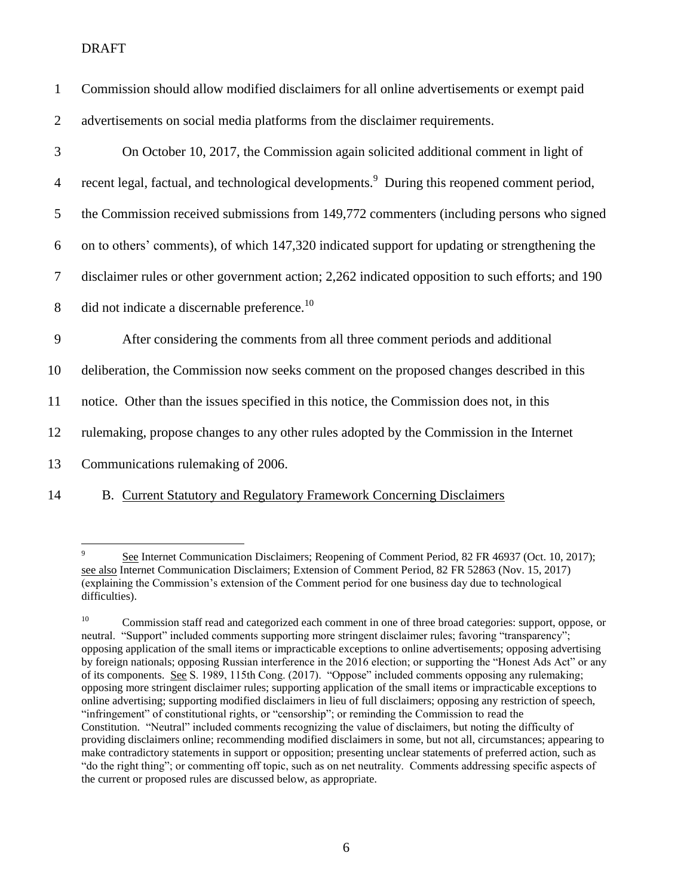| $\mathbf{1}$   | Commission should allow modified disclaimers for all online advertisements or exempt paid                |
|----------------|----------------------------------------------------------------------------------------------------------|
| $\overline{2}$ | advertisements on social media platforms from the disclaimer requirements.                               |
| 3              | On October 10, 2017, the Commission again solicited additional comment in light of                       |
| $\overline{4}$ | recent legal, factual, and technological developments. <sup>9</sup> During this reopened comment period, |
| 5              | the Commission received submissions from 149,772 commenters (including persons who signed                |
| 6              | on to others' comments), of which 147,320 indicated support for updating or strengthening the            |
| $\tau$         | disclaimer rules or other government action; 2,262 indicated opposition to such efforts; and 190         |
| 8              | did not indicate a discernable preference. <sup>10</sup>                                                 |
| 9              | After considering the comments from all three comment periods and additional                             |
| 10             | deliberation, the Commission now seeks comment on the proposed changes described in this                 |
| 11             | notice. Other than the issues specified in this notice, the Commission does not, in this                 |
| 12             | rulemaking, propose changes to any other rules adopted by the Commission in the Internet                 |
| 13             | Communications rulemaking of 2006.                                                                       |
|                |                                                                                                          |

# 14 B. Current Statutory and Regulatory Framework Concerning Disclaimers

<sup>-&</sup>lt;br>9 See Internet Communication Disclaimers; Reopening of Comment Period, 82 FR 46937 (Oct. 10, 2017); see also Internet Communication Disclaimers; Extension of Comment Period, 82 FR 52863 (Nov. 15, 2017) (explaining the Commission's extension of the Comment period for one business day due to technological difficulties).

<sup>&</sup>lt;sup>10</sup> Commission staff read and categorized each comment in one of three broad categories: support, oppose, or neutral. "Support" included comments supporting more stringent disclaimer rules; favoring "transparency"; opposing application of the small items or impracticable exceptions to online advertisements; opposing advertising by foreign nationals; opposing Russian interference in the 2016 election; or supporting the "Honest Ads Act" or any of its components. See S. 1989, 115th Cong. (2017). "Oppose" included comments opposing any rulemaking; opposing more stringent disclaimer rules; supporting application of the small items or impracticable exceptions to online advertising; supporting modified disclaimers in lieu of full disclaimers; opposing any restriction of speech, "infringement" of constitutional rights, or "censorship"; or reminding the Commission to read the Constitution. "Neutral" included comments recognizing the value of disclaimers, but noting the difficulty of providing disclaimers online; recommending modified disclaimers in some, but not all, circumstances; appearing to make contradictory statements in support or opposition; presenting unclear statements of preferred action, such as "do the right thing"; or commenting off topic, such as on net neutrality. Comments addressing specific aspects of the current or proposed rules are discussed below, as appropriate.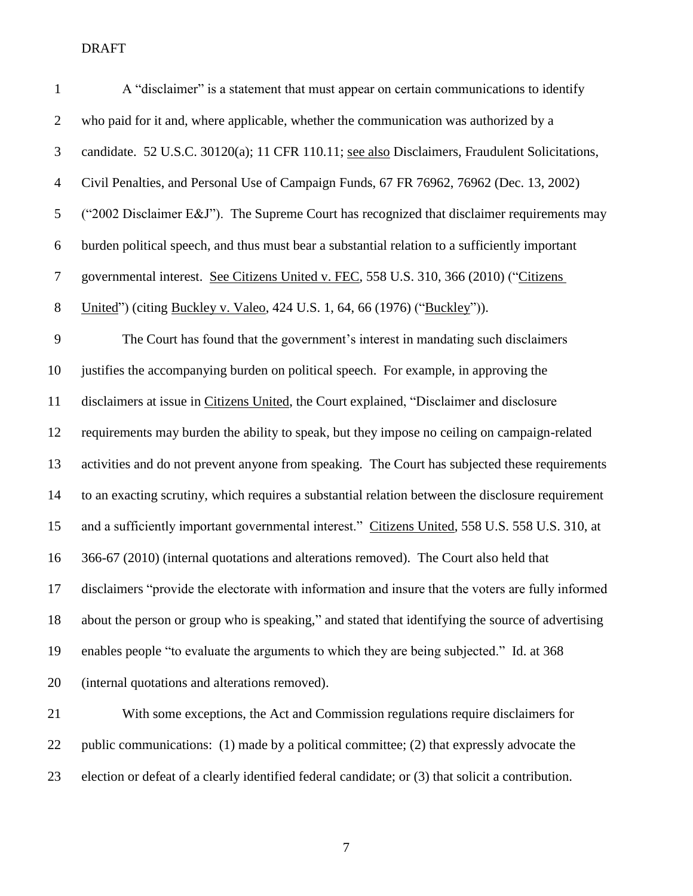| $\mathbf{1}$     | A "disclaimer" is a statement that must appear on certain communications to identify               |
|------------------|----------------------------------------------------------------------------------------------------|
| $\overline{2}$   | who paid for it and, where applicable, whether the communication was authorized by a               |
| 3                | candidate. 52 U.S.C. 30120(a); 11 CFR 110.11; see also Disclaimers, Fraudulent Solicitations,      |
| $\overline{4}$   | Civil Penalties, and Personal Use of Campaign Funds, 67 FR 76962, 76962 (Dec. 13, 2002)            |
| 5                | ("2002 Disclaimer $E&J''$ ). The Supreme Court has recognized that disclaimer requirements may     |
| 6                | burden political speech, and thus must bear a substantial relation to a sufficiently important     |
| $\boldsymbol{7}$ | governmental interest. See Citizens United v. FEC, 558 U.S. 310, 366 (2010) ("Citizens             |
| $8\,$            | United") (citing Buckley v. Valeo, 424 U.S. 1, 64, 66 (1976) ("Buckley")).                         |
| 9                | The Court has found that the government's interest in mandating such disclaimers                   |
| 10               | justifies the accompanying burden on political speech. For example, in approving the               |
| 11               | disclaimers at issue in Citizens United, the Court explained, "Disclaimer and disclosure           |
| 12               | requirements may burden the ability to speak, but they impose no ceiling on campaign-related       |
| 13               | activities and do not prevent anyone from speaking. The Court has subjected these requirements     |
| 14               | to an exacting scrutiny, which requires a substantial relation between the disclosure requirement  |
| 15               | and a sufficiently important governmental interest." Citizens United, 558 U.S. 558 U.S. 310, at    |
| 16               | 366-67 (2010) (internal quotations and alterations removed). The Court also held that              |
| 17               | disclaimers "provide the electorate with information and insure that the voters are fully informed |
| 18               | about the person or group who is speaking," and stated that identifying the source of advertising  |
| 19               | enables people "to evaluate the arguments to which they are being subjected." Id. at 368           |
| 20               | (internal quotations and alterations removed).                                                     |
| 21               | With some exceptions, the Act and Commission regulations require disclaimers for                   |
| 22               | public communications: (1) made by a political committee; (2) that expressly advocate the          |

election or defeat of a clearly identified federal candidate; or (3) that solicit a contribution.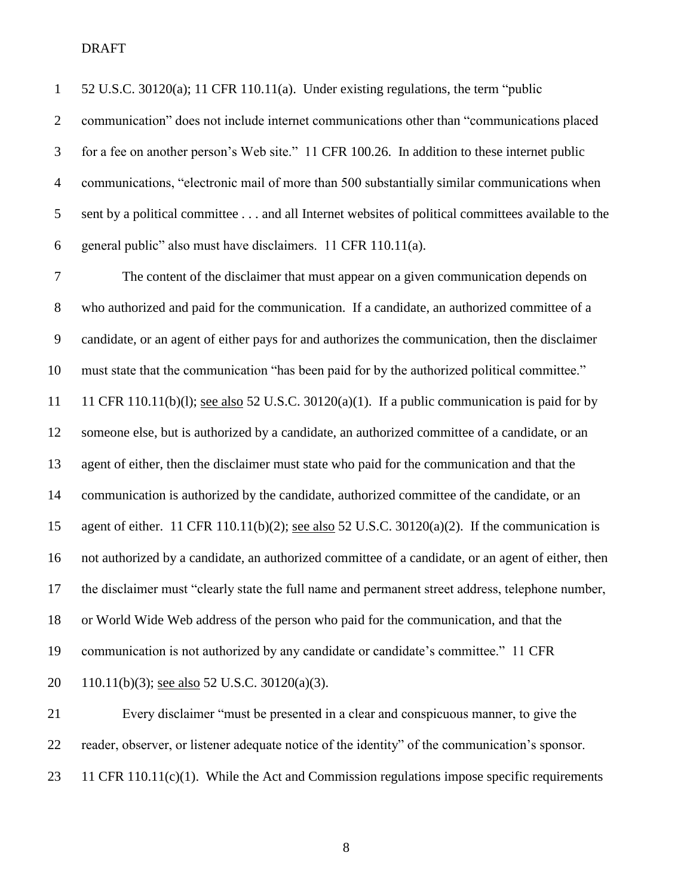52 U.S.C. 30120(a); 11 CFR 110.11(a). Under existing regulations, the term "public communication" does not include internet communications other than "communications placed for a fee on another person's Web site." 11 CFR 100.26. In addition to these internet public communications, "electronic mail of more than 500 substantially similar communications when sent by a political committee . . . and all Internet websites of political committees available to the general public" also must have disclaimers. 11 CFR 110.11(a).

 The content of the disclaimer that must appear on a given communication depends on who authorized and paid for the communication. If a candidate, an authorized committee of a candidate, or an agent of either pays for and authorizes the communication, then the disclaimer must state that the communication "has been paid for by the authorized political committee." 11 11 CFR 110.11(b)(1); see also 52 U.S.C. 30120(a)(1). If a public communication is paid for by someone else, but is authorized by a candidate, an authorized committee of a candidate, or an agent of either, then the disclaimer must state who paid for the communication and that the communication is authorized by the candidate, authorized committee of the candidate, or an agent of either. 11 CFR 110.11(b)(2); see also 52 U.S.C. 30120(a)(2). If the communication is not authorized by a candidate, an authorized committee of a candidate, or an agent of either, then the disclaimer must "clearly state the full name and permanent street address, telephone number, or World Wide Web address of the person who paid for the communication, and that the communication is not authorized by any candidate or candidate's committee." 11 CFR 110.11(b)(3); see also 52 U.S.C. 30120(a)(3).

 Every disclaimer "must be presented in a clear and conspicuous manner, to give the reader, observer, or listener adequate notice of the identity" of the communication's sponsor. 23 11 CFR 110.11(c)(1). While the Act and Commission regulations impose specific requirements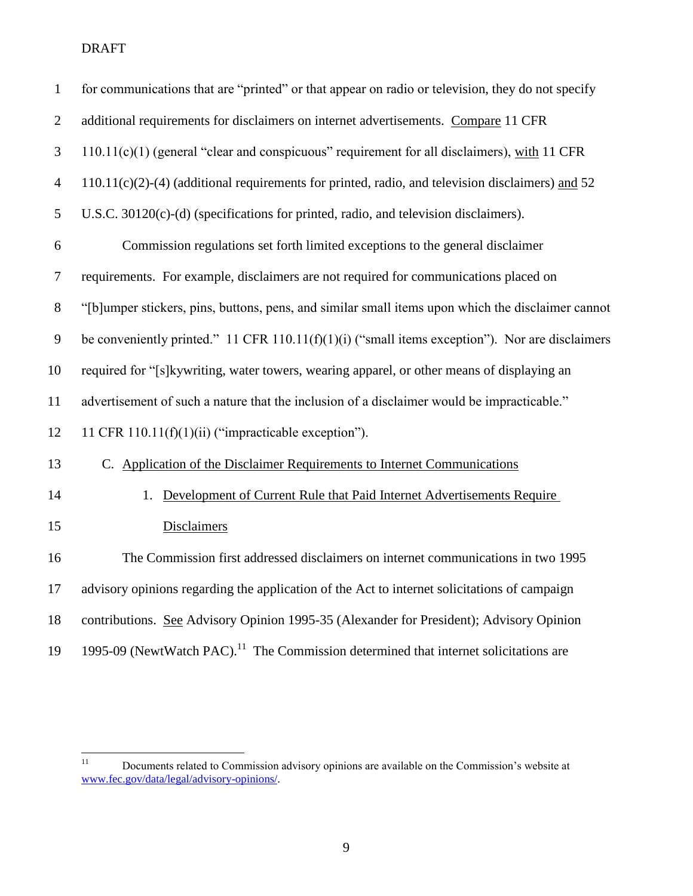| $\mathbf{1}$   | for communications that are "printed" or that appear on radio or television, they do not specify   |
|----------------|----------------------------------------------------------------------------------------------------|
| $\mathbf{2}$   | additional requirements for disclaimers on internet advertisements. Compare 11 CFR                 |
| 3              | 110.11(c)(1) (general "clear and conspicuous" requirement for all disclaimers), with 11 CFR        |
| $\overline{4}$ | $110.11(c)(2)-(4)$ (additional requirements for printed, radio, and television disclaimers) and 52 |
| 5              | U.S.C. 30120(c)-(d) (specifications for printed, radio, and television disclaimers).               |
| 6              | Commission regulations set forth limited exceptions to the general disclaimer                      |
| $\tau$         | requirements. For example, disclaimers are not required for communications placed on               |
| 8              | "[b]umper stickers, pins, buttons, pens, and similar small items upon which the disclaimer cannot  |
| 9              | be conveniently printed." 11 CFR 110.11(f)(1)(i) ("small items exception"). Nor are disclaimers    |
| 10             | required for "[s] kywriting, water towers, wearing apparel, or other means of displaying an        |
| 11             | advertisement of such a nature that the inclusion of a disclaimer would be impracticable."         |
| 12             | 11 CFR $110.11(f)(1)(ii)$ ("impracticable exception").                                             |
| 13             | C. Application of the Disclaimer Requirements to Internet Communications                           |
| 14             | 1. Development of Current Rule that Paid Internet Advertisements Require                           |
| 15             | Disclaimers                                                                                        |
| 16             | The Commission first addressed disclaimers on internet communications in two 1995                  |
| 17             | advisory opinions regarding the application of the Act to internet solicitations of campaign       |
| 18             | contributions. See Advisory Opinion 1995-35 (Alexander for President); Advisory Opinion            |
| 19             | 1995-09 (NewtWatch PAC). <sup>11</sup> The Commission determined that internet solicitations are   |

 $11\,$ <sup>11</sup> Documents related to Commission advisory opinions are available on the Commission's website at [www.fec.gov/data/legal/advisory-opinions/.](http://www.fec.gov/data/legal/advisory-opinions/)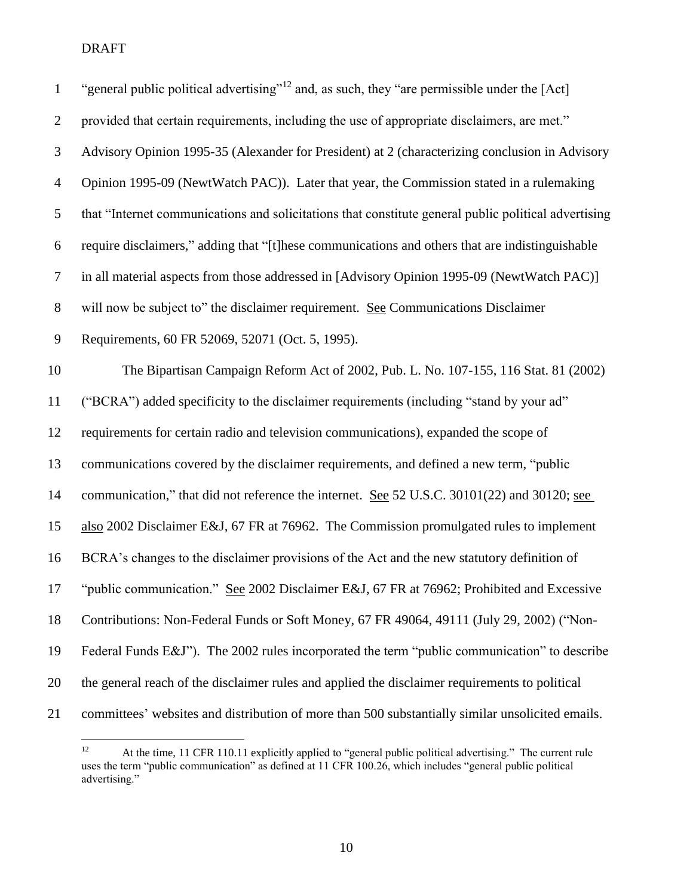| $\mathbf{1}$   | "general public political advertising" <sup>12</sup> and, as such, they "are permissible under the [Act] |
|----------------|----------------------------------------------------------------------------------------------------------|
| $\overline{2}$ | provided that certain requirements, including the use of appropriate disclaimers, are met."              |
| 3              | Advisory Opinion 1995-35 (Alexander for President) at 2 (characterizing conclusion in Advisory           |
| $\overline{4}$ | Opinion 1995-09 (NewtWatch PAC)). Later that year, the Commission stated in a rulemaking                 |
| $\mathfrak{S}$ | that "Internet communications and solicitations that constitute general public political advertising     |
| 6              | require disclaimers," adding that "[t]hese communications and others that are indistinguishable          |
| $\tau$         | in all material aspects from those addressed in [Advisory Opinion 1995-09 (NewtWatch PAC)]               |
| $8\,$          | will now be subject to" the disclaimer requirement. See Communications Disclaimer                        |
| 9              | Requirements, 60 FR 52069, 52071 (Oct. 5, 1995).                                                         |
| 10             | The Bipartisan Campaign Reform Act of 2002, Pub. L. No. 107-155, 116 Stat. 81 (2002)                     |
| 11             | ("BCRA") added specificity to the disclaimer requirements (including "stand by your ad"                  |
| 12             | requirements for certain radio and television communications), expanded the scope of                     |
| 13             | communications covered by the disclaimer requirements, and defined a new term, "public                   |
| 14             | communication," that did not reference the internet. See 52 U.S.C. 30101(22) and 30120; see              |
| 15             | also 2002 Disclaimer E&J, 67 FR at 76962. The Commission promulgated rules to implement                  |
| 16             | BCRA's changes to the disclaimer provisions of the Act and the new statutory definition of               |
| 17             | "public communication." See 2002 Disclaimer E&J, 67 FR at 76962; Prohibited and Excessive                |
| 18             | Contributions: Non-Federal Funds or Soft Money, 67 FR 49064, 49111 (July 29, 2002) ("Non-                |
| 19             | Federal Funds E&J"). The 2002 rules incorporated the term "public communication" to describe             |
| 20             | the general reach of the disclaimer rules and applied the disclaimer requirements to political           |
| 21             | committees' websites and distribution of more than 500 substantially similar unsolicited emails.         |

<sup>12</sup> At the time, 11 CFR 110.11 explicitly applied to "general public political advertising." The current rule uses the term "public communication" as defined at 11 CFR 100.26, which includes "general public political advertising."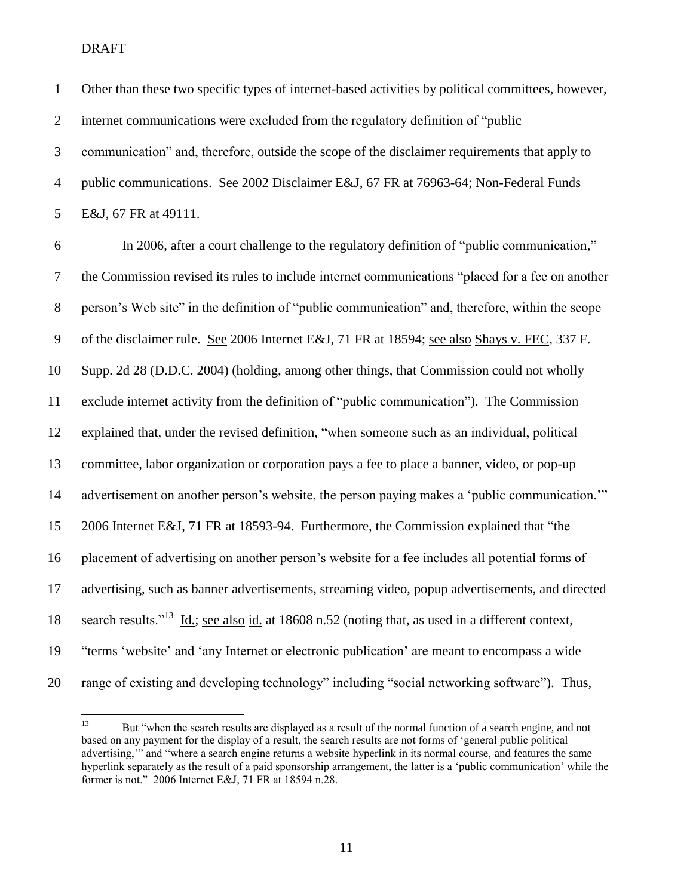| $\mathbf{1}$     | Other than these two specific types of internet-based activities by political committees, however,           |
|------------------|--------------------------------------------------------------------------------------------------------------|
| $\overline{2}$   | internet communications were excluded from the regulatory definition of "public                              |
| $\mathfrak{Z}$   | communication" and, therefore, outside the scope of the disclaimer requirements that apply to                |
| $\overline{4}$   | public communications. See 2002 Disclaimer E&J, 67 FR at 76963-64; Non-Federal Funds                         |
| 5                | E&J, 67 FR at 49111.                                                                                         |
| $\boldsymbol{6}$ | In 2006, after a court challenge to the regulatory definition of "public communication,"                     |
| $\tau$           | the Commission revised its rules to include internet communications "placed for a fee on another             |
| $8\,$            | person's Web site" in the definition of "public communication" and, therefore, within the scope              |
| $\overline{9}$   | of the disclaimer rule. See 2006 Internet E&J, 71 FR at 18594; see also Shays v. FEC, 337 F.                 |
| 10               | Supp. 2d 28 (D.D.C. 2004) (holding, among other things, that Commission could not wholly                     |
| 11               | exclude internet activity from the definition of "public communication"). The Commission                     |
| 12               | explained that, under the revised definition, "when someone such as an individual, political                 |
| 13               | committee, labor organization or corporation pays a fee to place a banner, video, or pop-up                  |
| 14               | advertisement on another person's website, the person paying makes a 'public communication."                 |
| 15               | 2006 Internet E&J, 71 FR at 18593-94. Furthermore, the Commission explained that "the                        |
| 16               | placement of advertising on another person's website for a fee includes all potential forms of               |
| 17               | advertising, such as banner advertisements, streaming video, popup advertisements, and directed              |
| 18               | search results." <sup>13</sup> Id.; see also id. at 18608 n.52 (noting that, as used in a different context, |
| 19               | "terms 'website' and 'any Internet or electronic publication' are meant to encompass a wide                  |
| 20               | range of existing and developing technology" including "social networking software"). Thus,                  |

 $13\,$ But "when the search results are displayed as a result of the normal function of a search engine, and not based on any payment for the display of a result, the search results are not forms of 'general public political advertising," and "where a search engine returns a website hyperlink in its normal course, and features the same hyperlink separately as the result of a paid sponsorship arrangement, the latter is a 'public communication' while the former is not." 2006 Internet E&J, 71 FR at 18594 n.28.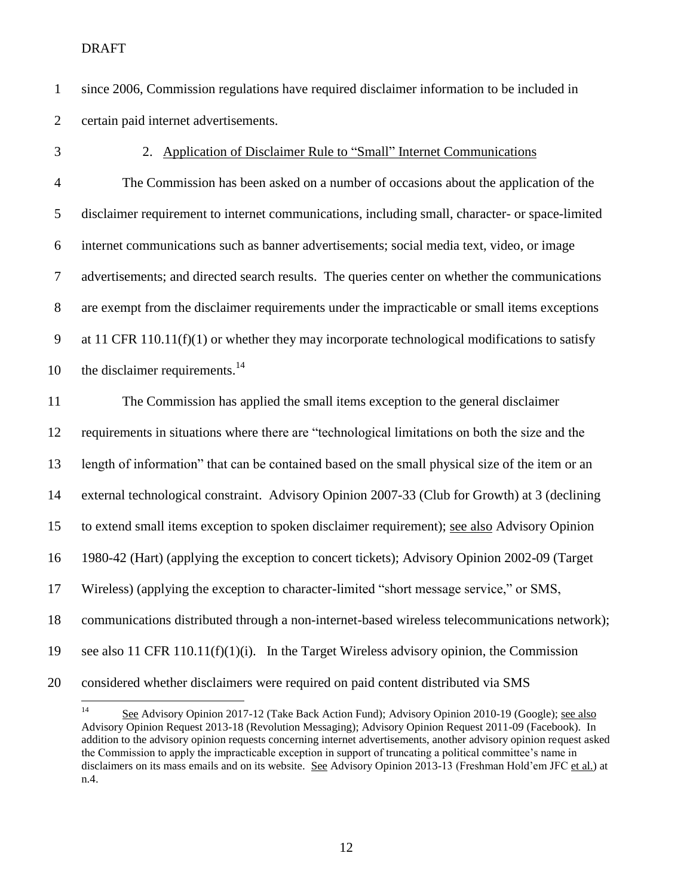- since 2006, Commission regulations have required disclaimer information to be included in certain paid internet advertisements.
- 

## 2. Application of Disclaimer Rule to "Small" Internet Communications

 The Commission has been asked on a number of occasions about the application of the disclaimer requirement to internet communications, including small, character- or space-limited internet communications such as banner advertisements; social media text, video, or image advertisements; and directed search results. The queries center on whether the communications are exempt from the disclaimer requirements under the impracticable or small items exceptions at 11 CFR 110.11(f)(1) or whether they may incorporate technological modifications to satisfy 10 the disclaimer requirements.

 The Commission has applied the small items exception to the general disclaimer requirements in situations where there are "technological limitations on both the size and the length of information" that can be contained based on the small physical size of the item or an external technological constraint. Advisory Opinion 2007-33 (Club for Growth) at 3 (declining to extend small items exception to spoken disclaimer requirement); see also Advisory Opinion 1980-42 (Hart) (applying the exception to concert tickets); Advisory Opinion 2002-09 (Target Wireless) (applying the exception to character-limited "short message service," or SMS, communications distributed through a non-internet-based wireless telecommunications network); see also 11 CFR 110.11(f)(1)(i). In the Target Wireless advisory opinion, the Commission considered whether disclaimers were required on paid content distributed via SMS

 $14\,$ See Advisory Opinion 2017-12 (Take Back Action Fund); Advisory Opinion 2010-19 (Google); see also Advisory Opinion Request 2013-18 (Revolution Messaging); Advisory Opinion Request 2011-09 (Facebook). In addition to the advisory opinion requests concerning internet advertisements, another advisory opinion request asked the Commission to apply the impracticable exception in support of truncating a political committee's name in disclaimers on its mass emails and on its website. See Advisory Opinion 2013-13 (Freshman Hold'em JFC et al.) at n.4.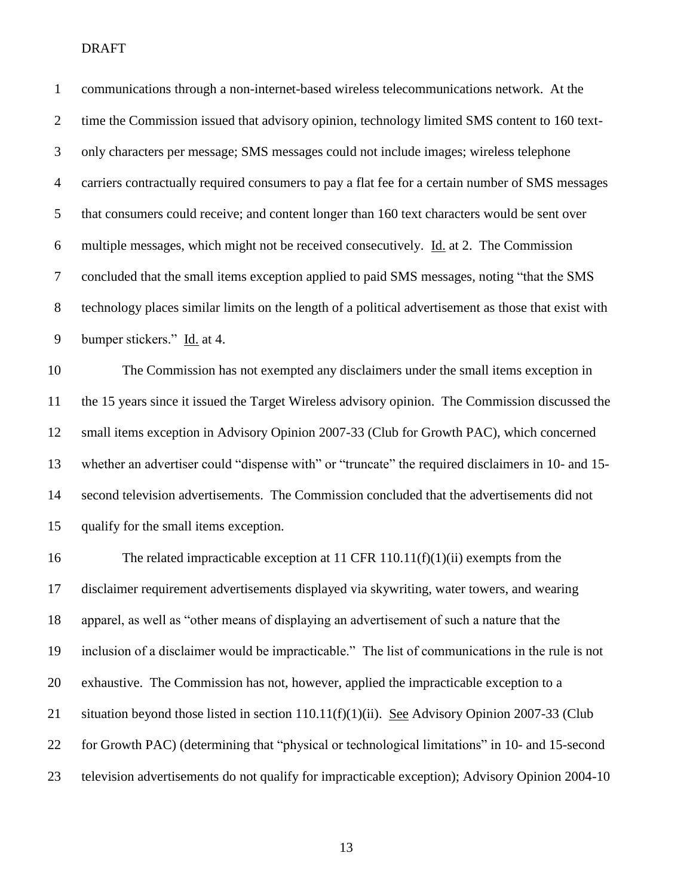| 1      | communications through a non-internet-based wireless telecommunications network. At the              |
|--------|------------------------------------------------------------------------------------------------------|
| 2      | time the Commission issued that advisory opinion, technology limited SMS content to 160 text-        |
| 3      | only characters per message; SMS messages could not include images; wireless telephone               |
| 4      | carriers contractually required consumers to pay a flat fee for a certain number of SMS messages     |
| 5      | that consumers could receive; and content longer than 160 text characters would be sent over         |
| 6      | multiple messages, which might not be received consecutively. Id. at 2. The Commission               |
| $\tau$ | concluded that the small items exception applied to paid SMS messages, noting "that the SMS          |
| 8      | technology places similar limits on the length of a political advertisement as those that exist with |
| 9      | bumper stickers." Id. at 4.                                                                          |
| 10     | The Commission has not exempted any disclaimers under the small items exception in                   |

 the 15 years since it issued the Target Wireless advisory opinion. The Commission discussed the small items exception in Advisory Opinion 2007-33 (Club for Growth PAC), which concerned whether an advertiser could "dispense with" or "truncate" the required disclaimers in 10- and 15- second television advertisements. The Commission concluded that the advertisements did not qualify for the small items exception.

 The related impracticable exception at 11 CFR 110.11(f)(1)(ii) exempts from the disclaimer requirement advertisements displayed via skywriting, water towers, and wearing apparel, as well as "other means of displaying an advertisement of such a nature that the inclusion of a disclaimer would be impracticable." The list of communications in the rule is not exhaustive. The Commission has not, however, applied the impracticable exception to a 21 situation beyond those listed in section 110.11(f)(1)(ii). See Advisory Opinion 2007-33 (Club for Growth PAC) (determining that "physical or technological limitations" in 10- and 15-second television advertisements do not qualify for impracticable exception); Advisory Opinion 2004-10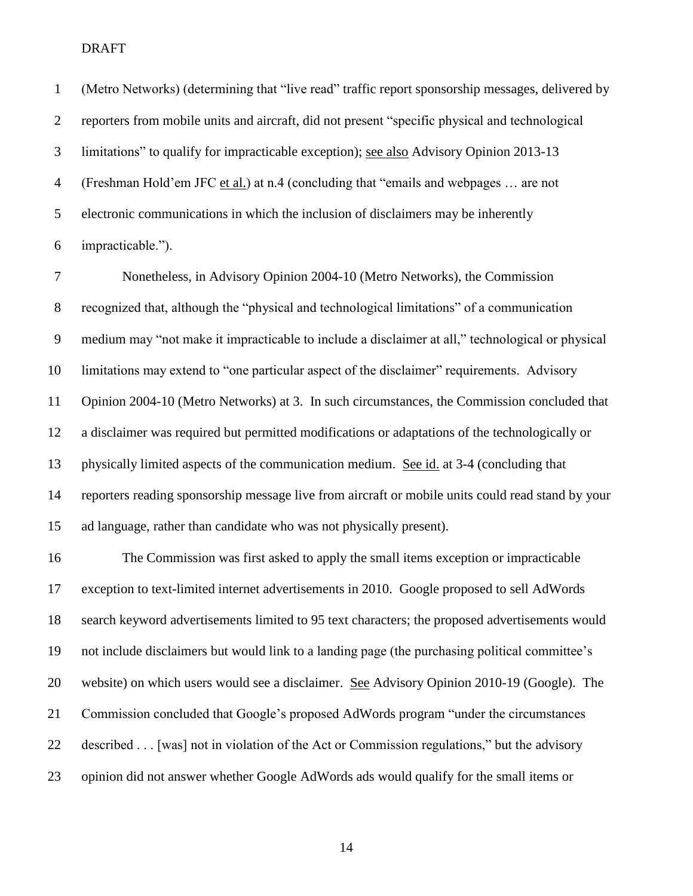(Metro Networks) (determining that "live read" traffic report sponsorship messages, delivered by reporters from mobile units and aircraft, did not present "specific physical and technological limitations" to qualify for impracticable exception); see also Advisory Opinion 2013-13 (Freshman Hold'em JFC et al.) at n.4 (concluding that "emails and webpages … are not electronic communications in which the inclusion of disclaimers may be inherently impracticable.").

 Nonetheless, in Advisory Opinion 2004-10 (Metro Networks), the Commission recognized that, although the "physical and technological limitations" of a communication medium may "not make it impracticable to include a disclaimer at all," technological or physical limitations may extend to "one particular aspect of the disclaimer" requirements. Advisory Opinion 2004-10 (Metro Networks) at 3. In such circumstances, the Commission concluded that a disclaimer was required but permitted modifications or adaptations of the technologically or physically limited aspects of the communication medium. See id. at 3-4 (concluding that reporters reading sponsorship message live from aircraft or mobile units could read stand by your ad language, rather than candidate who was not physically present).

 The Commission was first asked to apply the small items exception or impracticable exception to text-limited internet advertisements in 2010. Google proposed to sell AdWords search keyword advertisements limited to 95 text characters; the proposed advertisements would not include disclaimers but would link to a landing page (the purchasing political committee's website) on which users would see a disclaimer. See Advisory Opinion 2010-19 (Google). The Commission concluded that Google's proposed AdWords program "under the circumstances described . . . [was] not in violation of the Act or Commission regulations," but the advisory opinion did not answer whether Google AdWords ads would qualify for the small items or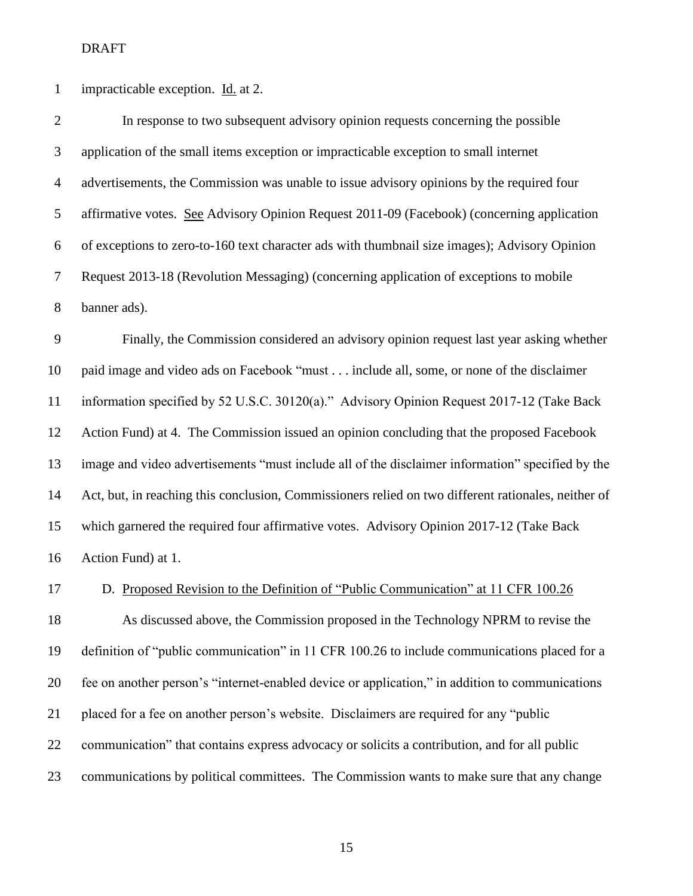impracticable exception. Id. at 2.

| $\overline{2}$ | In response to two subsequent advisory opinion requests concerning the possible               |
|----------------|-----------------------------------------------------------------------------------------------|
| 3              | application of the small items exception or impracticable exception to small internet         |
| $\overline{4}$ | advertisements, the Commission was unable to issue advisory opinions by the required four     |
| 5              | affirmative votes. See Advisory Opinion Request 2011-09 (Facebook) (concerning application    |
| 6              | of exceptions to zero-to-160 text character ads with thumbnail size images); Advisory Opinion |
| $\tau$         | Request 2013-18 (Revolution Messaging) (concerning application of exceptions to mobile        |
| 8              | banner ads).                                                                                  |
| 9              | Finally, the Commission considered an advisory opinion request last year asking whether       |
| 10             | paid image and video ads on Facebook "must include all, some, or none of the disclaimer       |
| 11             | information specified by 52 U.S.C. 30120(a)." Advisory Opinion Request 2017-12 (Take Back     |
| 12             | Action Fund) at 4. The Commission issued an opinion concluding that the proposed Facebook     |
|                |                                                                                               |

 image and video advertisements "must include all of the disclaimer information" specified by the Act, but, in reaching this conclusion, Commissioners relied on two different rationales, neither of which garnered the required four affirmative votes. Advisory Opinion 2017-12 (Take Back

Action Fund) at 1.

# D. Proposed Revision to the Definition of "Public Communication" at 11 CFR 100.26

 As discussed above, the Commission proposed in the Technology NPRM to revise the definition of "public communication" in 11 CFR 100.26 to include communications placed for a fee on another person's "internet-enabled device or application," in addition to communications placed for a fee on another person's website. Disclaimers are required for any "public communication" that contains express advocacy or solicits a contribution, and for all public communications by political committees. The Commission wants to make sure that any change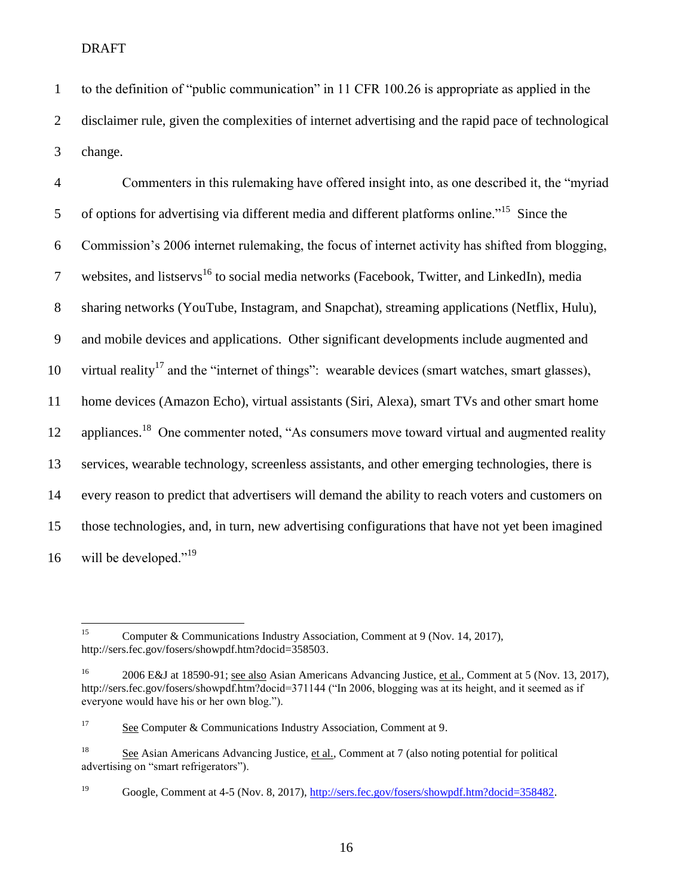1 to the definition of "public communication" in 11 CFR 100.26 is appropriate as applied in the 2 disclaimer rule, given the complexities of internet advertising and the rapid pace of technological 3 change.

 Commenters in this rulemaking have offered insight into, as one described it, the "myriad 5 of options for advertising via different media and different platforms online."<sup>15</sup> Since the Commission's 2006 internet rulemaking, the focus of internet activity has shifted from blogging, 7 websites, and listservs<sup>16</sup> to social media networks (Facebook, Twitter, and LinkedIn), media sharing networks (YouTube, Instagram, and Snapchat), streaming applications (Netflix, Hulu), and mobile devices and applications. Other significant developments include augmented and 10 virtual reality<sup>17</sup> and the "internet of things": wearable devices (smart watches, smart glasses), home devices (Amazon Echo), virtual assistants (Siri, Alexa), smart TVs and other smart home 12 appliances.<sup>18</sup> One commenter noted, "As consumers move toward virtual and augmented reality services, wearable technology, screenless assistants, and other emerging technologies, there is every reason to predict that advertisers will demand the ability to reach voters and customers on those technologies, and, in turn, new advertising configurations that have not yet been imagined 16 will be developed." $19$ 

 $15$ <sup>15</sup> Computer & Communications Industry Association, Comment at 9 (Nov. 14, 2017), http://sers.fec.gov/fosers/showpdf.htm?docid=358503.

<sup>&</sup>lt;sup>16</sup> 2006 E&J at 18590-91; see also Asian Americans Advancing Justice, et al., Comment at 5 (Nov. 13, 2017), http://sers.fec.gov/fosers/showpdf.htm?docid=371144 ("In 2006, blogging was at its height, and it seemed as if everyone would have his or her own blog.").

 $17$  See Computer & Communications Industry Association, Comment at 9.

<sup>&</sup>lt;sup>18</sup> See Asian Americans Advancing Justice, <u>et al.</u>, Comment at 7 (also noting potential for political advertising on "smart refrigerators").

<sup>&</sup>lt;sup>19</sup> Google, Comment at 4-5 (Nov. 8, 2017), [http://sers.fec.gov/fosers/showpdf.htm?docid=358482.](http://sers.fec.gov/fosers/showpdf.htm?docid=358482)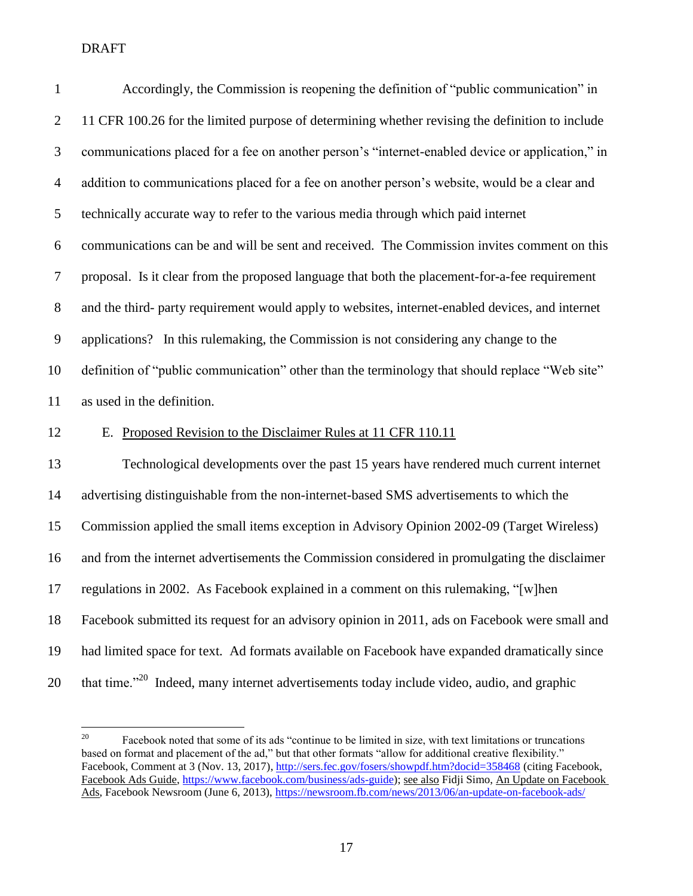| $\mathbf{1}$   | Accordingly, the Commission is reopening the definition of "public communication" in             |
|----------------|--------------------------------------------------------------------------------------------------|
| $\overline{2}$ | 11 CFR 100.26 for the limited purpose of determining whether revising the definition to include  |
| 3              | communications placed for a fee on another person's "internet-enabled device or application," in |
| $\overline{4}$ | addition to communications placed for a fee on another person's website, would be a clear and    |
| $\mathfrak{S}$ | technically accurate way to refer to the various media through which paid internet               |
| 6              | communications can be and will be sent and received. The Commission invites comment on this      |
| $\tau$         | proposal. Is it clear from the proposed language that both the placement-for-a-fee requirement   |
| $8\,$          | and the third- party requirement would apply to websites, internet-enabled devices, and internet |
| $\mathbf{9}$   | applications? In this rulemaking, the Commission is not considering any change to the            |
| 10             | definition of "public communication" other than the terminology that should replace "Web site"   |
| 11             | as used in the definition.                                                                       |
| 12             | E. Proposed Revision to the Disclaimer Rules at 11 CFR 110.11                                    |
| 13             | Technological developments over the past 15 years have rendered much current internet            |
| 14             |                                                                                                  |
|                | advertising distinguishable from the non-internet-based SMS advertisements to which the          |
| 15             | Commission applied the small items exception in Advisory Opinion 2002-09 (Target Wireless)       |
| 16             | and from the internet advertisements the Commission considered in promulgating the disclaimer    |
| 17             | regulations in 2002. As Facebook explained in a comment on this rulemaking, "[w]hen              |
| 18             | Facebook submitted its request for an advisory opinion in 2011, ads on Facebook were small and   |
| 19             | had limited space for text. Ad formats available on Facebook have expanded dramatically since    |

<sup>&</sup>lt;sup>20</sup> Facebook noted that some of its ads "continue to be limited in size, with text limitations or truncations based on format and placement of the ad," but that other formats "allow for additional creative flexibility." Facebook, Comment at 3 (Nov. 13, 2017),<http://sers.fec.gov/fosers/showpdf.htm?docid=358468> (citing Facebook, Facebook Ads Guide, [https://www.facebook.com/business/ads-guide\)](https://www.facebook.com/business/ads-guide); see also Fidji Simo, An Update on Facebook Ads, Facebook Newsroom (June 6, 2013),<https://newsroom.fb.com/news/2013/06/an-update-on-facebook-ads/>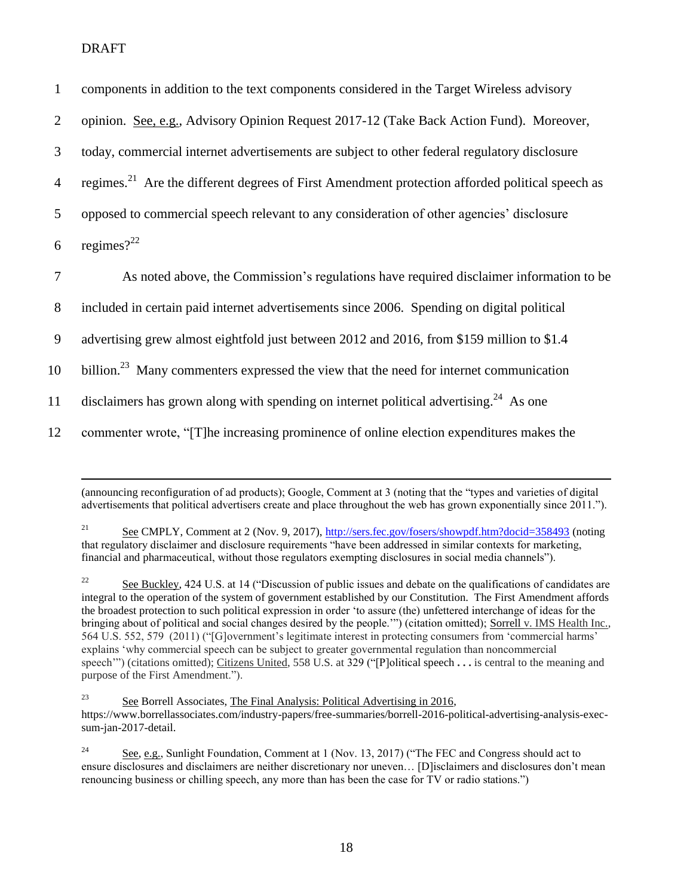$\overline{a}$ 

| 1              | components in addition to the text components considered in the Target Wireless advisory                    |
|----------------|-------------------------------------------------------------------------------------------------------------|
| 2              | opinion. See, e.g., Advisory Opinion Request 2017-12 (Take Back Action Fund). Moreover,                     |
| 3              | today, commercial internet advertisements are subject to other federal regulatory disclosure                |
| $\overline{4}$ | regimes. <sup>21</sup> Are the different degrees of First Amendment protection afforded political speech as |
| 5              | opposed to commercial speech relevant to any consideration of other agencies' disclosure                    |
| 6              | regimes? $2^{22}$                                                                                           |
| $\overline{7}$ | As noted above, the Commission's regulations have required disclaimer information to be                     |
| 8              | included in certain paid internet advertisements since 2006. Spending on digital political                  |
|                |                                                                                                             |
| 9              | advertising grew almost eightfold just between 2012 and 2016, from \$159 million to \$1.4                   |
| 10             | billion. <sup>23</sup> Many commenters expressed the view that the need for internet communication          |
| 11             | disclaimers has grown along with spending on internet political advertising. <sup>24</sup> As one           |

(announcing reconfiguration of ad products); Google, Comment at 3 (noting that the "types and varieties of digital advertisements that political advertisers create and place throughout the web has grown exponentially since 2011.").

<sup>21</sup> See CMPLY, Comment at 2 (Nov. 9, 2017),<http://sers.fec.gov/fosers/showpdf.htm?docid=358493> (noting that regulatory disclaimer and disclosure requirements "have been addressed in similar contexts for marketing, financial and pharmaceutical, without those regulators exempting disclosures in social media channels").

<sup>22</sup> See Buckley, 424 U.S. at 14 ("Discussion of public issues and debate on the qualifications of candidates are integral to the operation of the system of government established by our Constitution. The First Amendment affords the broadest protection to such political expression in order 'to assure (the) unfettered interchange of ideas for the bringing about of political and social changes desired by the people.'") (citation omitted); [Sorrell](https://1.next.westlaw.com/Search/Results.html?query=advanced%3a+OAID(5008606895)&saveJuris=False&contentType=BUSINESS-INVESTIGATOR&startIndex=1&contextData=(sc.Default)&categoryPageUrl=Home%2fCompanyInvestigator&originationContext=document&transitionType=DocumentItem) v. IMS Health Inc., 564 U.S. 552, 579 (2011) ("[G]overnment's legitimate interest in protecting consumers from 'commercial harms' explains 'why commercial speech can be subject to greater governmental regulation than noncommercial speech'") (citations omitted); Citizens United, 558 U.S. at 329 ("[P]olitical speech **. . .** is central to the meaning and purpose of the First Amendment.").

<sup>23</sup> See Borrell Associates, The Final Analysis: Political Advertising in 2016, https://www.borrellassociates.com/industry-papers/free-summaries/borrell-2016-political-advertising-analysis-execsum-jan-2017-detail.

<sup>&</sup>lt;sup>24</sup> See, e.g., Sunlight Foundation, Comment at 1 (Nov. 13, 2017) ("The FEC and Congress should act to ensure disclosures and disclaimers are neither discretionary nor uneven… [D]isclaimers and disclosures don't mean renouncing business or chilling speech, any more than has been the case for TV or radio stations.")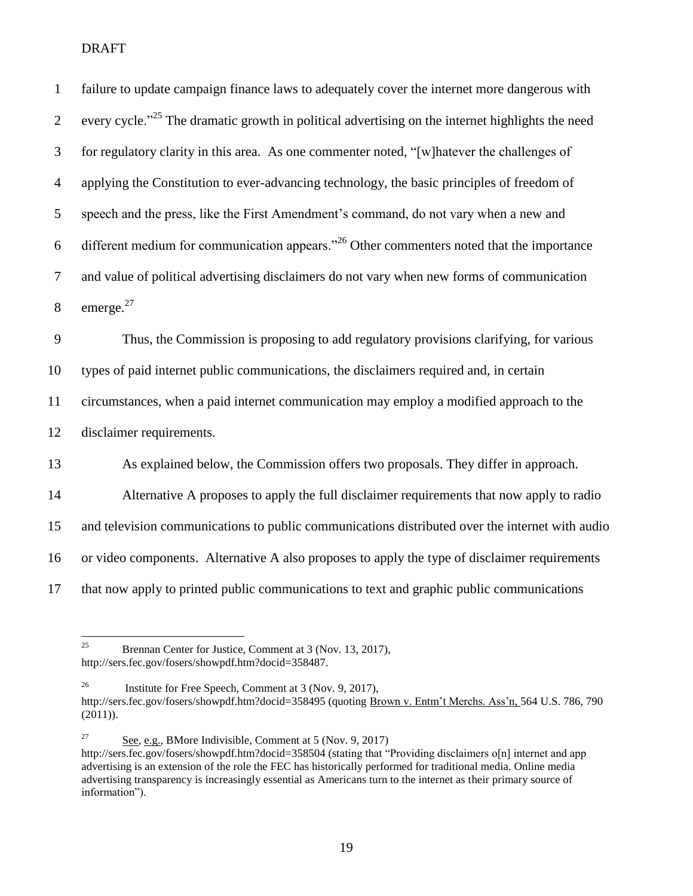| $\mathbf{1}$     | failure to update campaign finance laws to adequately cover the internet more dangerous with                 |
|------------------|--------------------------------------------------------------------------------------------------------------|
| $\mathbf{2}$     | every cycle." <sup>25</sup> The dramatic growth in political advertising on the internet highlights the need |
| $\mathfrak{Z}$   | for regulatory clarity in this area. As one commenter noted, "[w]hatever the challenges of                   |
| $\overline{4}$   | applying the Constitution to ever-advancing technology, the basic principles of freedom of                   |
| 5                | speech and the press, like the First Amendment's command, do not vary when a new and                         |
| 6                | different medium for communication appears." <sup>26</sup> Other commenters noted that the importance        |
| $\boldsymbol{7}$ | and value of political advertising disclaimers do not vary when new forms of communication                   |
| $8\,$            | emerge. <sup>27</sup>                                                                                        |
| 9                | Thus, the Commission is proposing to add regulatory provisions clarifying, for various                       |
| 10               | types of paid internet public communications, the disclaimers required and, in certain                       |
| 11               | circumstances, when a paid internet communication may employ a modified approach to the                      |
| 12               | disclaimer requirements.                                                                                     |
| 13               | As explained below, the Commission offers two proposals. They differ in approach.                            |
| 14               | Alternative A proposes to apply the full disclaimer requirements that now apply to radio                     |
| 15               | and television communications to public communications distributed over the internet with audio              |
| 16               | or video components. Alternative A also proposes to apply the type of disclaimer requirements                |
| 17               | that now apply to printed public communications to text and graphic public communications                    |

 $25\,$ Brennan Center for Justice, Comment at 3 (Nov. 13, 2017), http://sers.fec.gov/fosers/showpdf.htm?docid=358487.

<sup>&</sup>lt;sup>26</sup> Institute for Free Speech, Comment at 3 (Nov. 9, 2017), http://sers.fec.gov/fosers/showpdf.htm?docid=358495 (quoting Brown v. Entm't Merchs. Ass'n, 564 U.S. 786, 790  $(2011)$ ).

<sup>&</sup>lt;sup>27</sup> See, e.g., BMore Indivisible, Comment at 5 (Nov. 9, 2017) http://sers.fec.gov/fosers/showpdf.htm?docid=358504 (stating that "Providing disclaimers o[n] internet and app advertising is an extension of the role the FEC has historically performed for traditional media. Online media advertising transparency is increasingly essential as Americans turn to the internet as their primary source of information").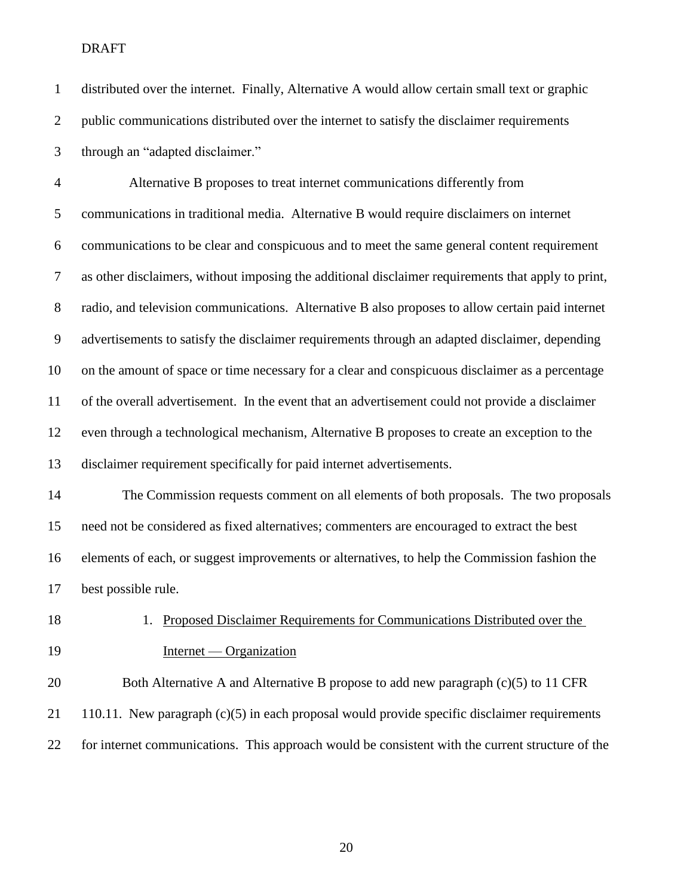| $\mathbf{1}$     | distributed over the internet. Finally, Alternative A would allow certain small text or graphic    |
|------------------|----------------------------------------------------------------------------------------------------|
| $\overline{2}$   | public communications distributed over the internet to satisfy the disclaimer requirements         |
| 3                | through an "adapted disclaimer."                                                                   |
| $\overline{4}$   | Alternative B proposes to treat internet communications differently from                           |
| 5                | communications in traditional media. Alternative B would require disclaimers on internet           |
| 6                | communications to be clear and conspicuous and to meet the same general content requirement        |
| $\tau$           | as other disclaimers, without imposing the additional disclaimer requirements that apply to print, |
| $8\,$            | radio, and television communications. Alternative B also proposes to allow certain paid internet   |
| $\boldsymbol{9}$ | advertisements to satisfy the disclaimer requirements through an adapted disclaimer, depending     |
| 10               | on the amount of space or time necessary for a clear and conspicuous disclaimer as a percentage    |
| 11               | of the overall advertisement. In the event that an advertisement could not provide a disclaimer    |
| 12               | even through a technological mechanism, Alternative B proposes to create an exception to the       |
| 13               | disclaimer requirement specifically for paid internet advertisements.                              |
| 14               | The Commission requests comment on all elements of both proposals. The two proposals               |
| 15               | need not be considered as fixed alternatives; commenters are encouraged to extract the best        |
| 16               | elements of each, or suggest improvements or alternatives, to help the Commission fashion the      |
| 17               | best possible rule.                                                                                |
| 18               | Proposed Disclaimer Requirements for Communications Distributed over the<br>1.                     |
| 19               | Internet — Organization                                                                            |
| 20               | Both Alternative A and Alternative B propose to add new paragraph (c)(5) to 11 CFR                 |
| 21               | 110.11. New paragraph $(c)(5)$ in each proposal would provide specific disclaimer requirements     |
| 22               | for internet communications. This approach would be consistent with the current structure of the   |
|                  |                                                                                                    |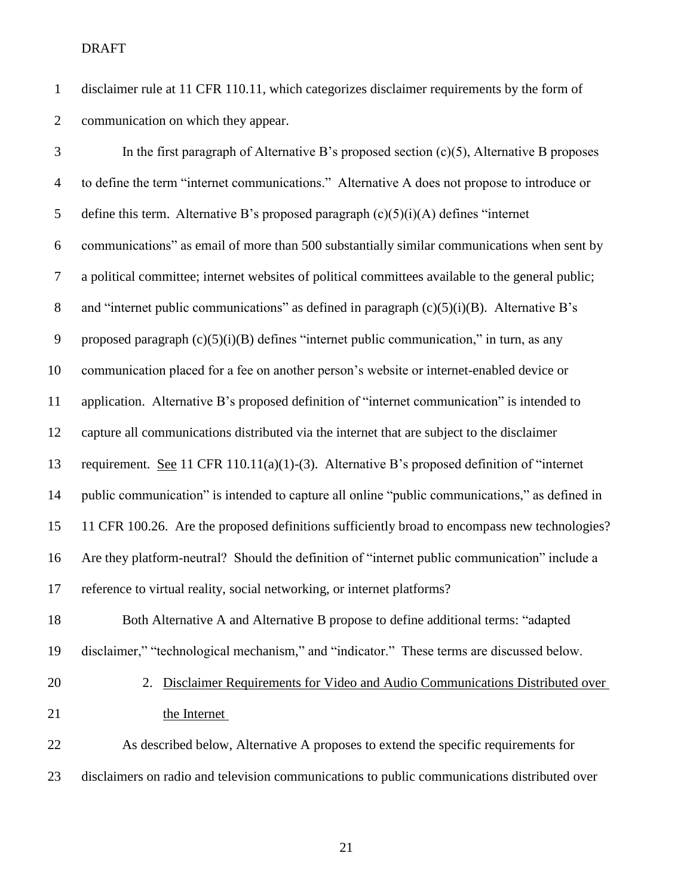disclaimer rule at 11 CFR 110.11, which categorizes disclaimer requirements by the form of communication on which they appear.

 In the first paragraph of Alternative B's proposed section (c)(5), Alternative B proposes to define the term "internet communications." Alternative A does not propose to introduce or 5 define this term. Alternative B's proposed paragraph  $(c)(5)(i)(A)$  defines "internet communications" as email of more than 500 substantially similar communications when sent by a political committee; internet websites of political committees available to the general public; 8 and "internet public communications" as defined in paragraph  $(c)(5)(i)(B)$ . Alternative B's 9 proposed paragraph  $(c)(5)(i)(B)$  defines "internet public communication," in turn, as any communication placed for a fee on another person's website or internet-enabled device or application. Alternative B's proposed definition of "internet communication" is intended to capture all communications distributed via the internet that are subject to the disclaimer requirement. See 11 CFR 110.11(a)(1)-(3). Alternative B's proposed definition of "internet public communication" is intended to capture all online "public communications," as defined in 11 CFR 100.26. Are the proposed definitions sufficiently broad to encompass new technologies? Are they platform-neutral? Should the definition of "internet public communication" include a reference to virtual reality, social networking, or internet platforms?

 Both Alternative A and Alternative B propose to define additional terms: "adapted disclaimer," "technological mechanism," and "indicator." These terms are discussed below.

 2. Disclaimer Requirements for Video and Audio Communications Distributed over 21 the Internet

 As described below, Alternative A proposes to extend the specific requirements for disclaimers on radio and television communications to public communications distributed over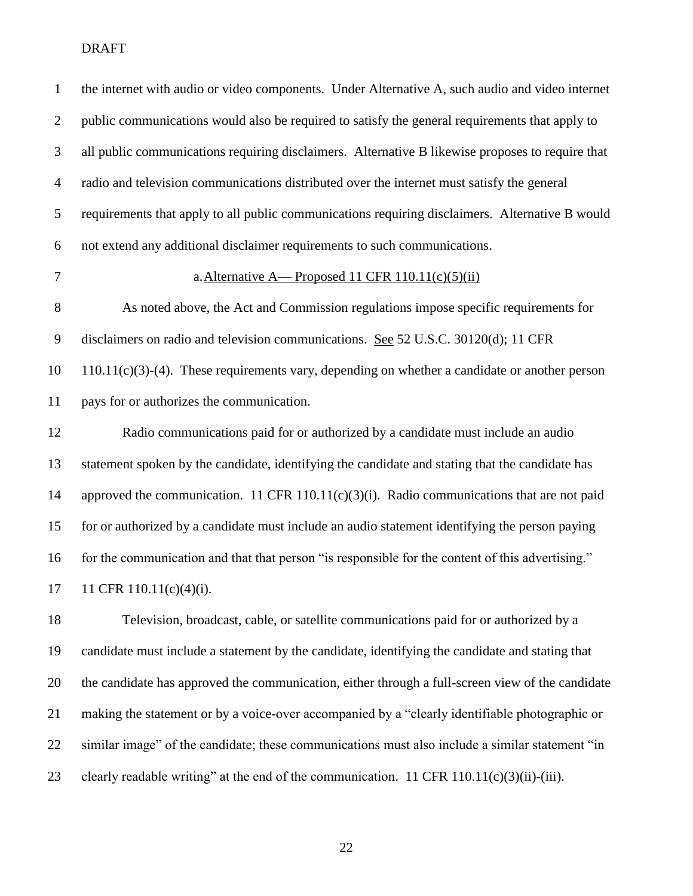| $\mathbf{1}$   | the internet with audio or video components. Under Alternative A, such audio and video internet  |
|----------------|--------------------------------------------------------------------------------------------------|
| $\overline{2}$ | public communications would also be required to satisfy the general requirements that apply to   |
| 3              | all public communications requiring disclaimers. Alternative B likewise proposes to require that |
| $\overline{4}$ | radio and television communications distributed over the internet must satisfy the general       |
| 5              | requirements that apply to all public communications requiring disclaimers. Alternative B would  |
| 6              | not extend any additional disclaimer requirements to such communications.                        |
| $\tau$         | a. Alternative A— Proposed 11 CFR $110.11(c)(5)(ii)$                                             |
| 8              | As noted above, the Act and Commission regulations impose specific requirements for              |
| $\overline{9}$ | disclaimers on radio and television communications. See 52 U.S.C. 30120(d); 11 CFR               |
| 10             | $110.11(c)(3)-(4)$ . These requirements vary, depending on whether a candidate or another person |
| 11             | pays for or authorizes the communication.                                                        |
| 12             | Radio communications paid for or authorized by a candidate must include an audio                 |
| 13             | statement spoken by the candidate, identifying the candidate and stating that the candidate has  |
| 14             | approved the communication. 11 CFR 110.11(c)(3)(i). Radio communications that are not paid       |
| 15             | for or authorized by a candidate must include an audio statement identifying the person paying   |
| 16             | for the communication and that that person "is responsible for the content of this advertising." |
| 17             | 11 CFR 110.11(c)(4)(i).                                                                          |
| 18             | Television, broadcast, cable, or satellite communications paid for or authorized by a            |
| 19             | candidate must include a statement by the candidate, identifying the candidate and stating that  |
| 20             | the candidate has approved the communication, either through a full-screen view of the candidate |
| 21             | making the statement or by a voice-over accompanied by a "clearly identifiable photographic or   |
| 22             | similar image" of the candidate; these communications must also include a similar statement "in  |
| 23             | clearly readable writing" at the end of the communication. $11$ CFR $110.11(c)(3)(ii)$ -(iii).   |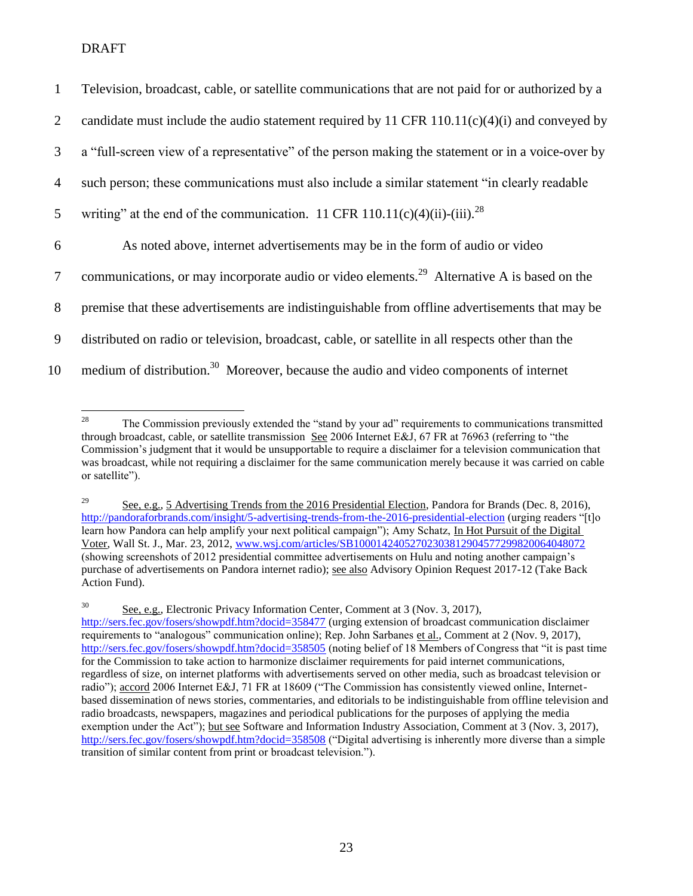| 1              | Television, broadcast, cable, or satellite communications that are not paid for or authorized by a      |
|----------------|---------------------------------------------------------------------------------------------------------|
| 2              | candidate must include the audio statement required by 11 CFR $110.11(c)(4)(i)$ and conveyed by         |
| 3              | a "full-screen view of a representative" of the person making the statement or in a voice-over by       |
| $\overline{4}$ | such person; these communications must also include a similar statement "in clearly readable"           |
| 5              | writing" at the end of the communication. 11 CFR 110.11(c)(4)(ii)-(iii). <sup>28</sup>                  |
| 6              | As noted above, internet advertisements may be in the form of audio or video                            |
| $\tau$         | communications, or may incorporate audio or video elements. <sup>29</sup> Alternative A is based on the |
| 8              | premise that these advertisements are indistinguishable from offline advertisements that may be         |
| 9              | distributed on radio or television, broadcast, cable, or satellite in all respects other than the       |
| 10             | medium of distribution. <sup>30</sup> Moreover, because the audio and video components of internet      |

<sup>&</sup>lt;sup>28</sup> The Commission previously extended the "stand by your ad" requirements to communications transmitted through broadcast, cable, or satellite transmission See 2006 Internet E&J, 67 FR at 76963 (referring to "the Commission's judgment that it would be unsupportable to require a disclaimer for a television communication that was broadcast, while not requiring a disclaimer for the same communication merely because it was carried on cable or satellite").

<sup>30</sup> See, e.g., Electronic Privacy Information Center, Comment at 3 (Nov. 3, 2017), <http://sers.fec.gov/fosers/showpdf.htm?docid=358477> (urging extension of broadcast communication disclaimer requirements to "analogous" communication online); Rep. John Sarbanes et al., Comment at 2 (Nov. 9, 2017), <http://sers.fec.gov/fosers/showpdf.htm?docid=358505> (noting belief of 18 Members of Congress that "it is past time for the Commission to take action to harmonize disclaimer requirements for paid internet communications, regardless of size, on internet platforms with advertisements served on other media, such as broadcast television or radio"); accord 2006 Internet E&J, 71 FR at 18609 ("The Commission has consistently viewed online, Internetbased dissemination of news stories, commentaries, and editorials to be indistinguishable from offline television and radio broadcasts, newspapers, magazines and periodical publications for the purposes of applying the media exemption under the Act"); but see Software and Information Industry Association, Comment at 3 (Nov. 3, 2017), <http://sers.fec.gov/fosers/showpdf.htm?docid=358508> ("Digital advertising is inherently more diverse than a simple transition of similar content from print or broadcast television.").

<sup>&</sup>lt;sup>29</sup> See, e.g., 5 Advertising Trends from the 2016 Presidential Election, Pandora for Brands (Dec. 8, 2016), <http://pandoraforbrands.com/insight/5-advertising-trends-from-the-2016-presidential-election> (urging readers "[t]o learn how Pandora can help amplify your next political campaign"); Amy Schatz, In Hot Pursuit of the Digital Voter, Wall St. J., Mar. 23, 2012, [www.wsj.com/articles/SB10001424052702303812904577299820064048072](http://www.wsj.com/articles/SB10001424052702303812904577299820064048072)  (showing screenshots of 2012 presidential committee advertisements on Hulu and noting another campaign's purchase of advertisements on Pandora internet radio); see also Advisory Opinion Request 2017-12 (Take Back Action Fund).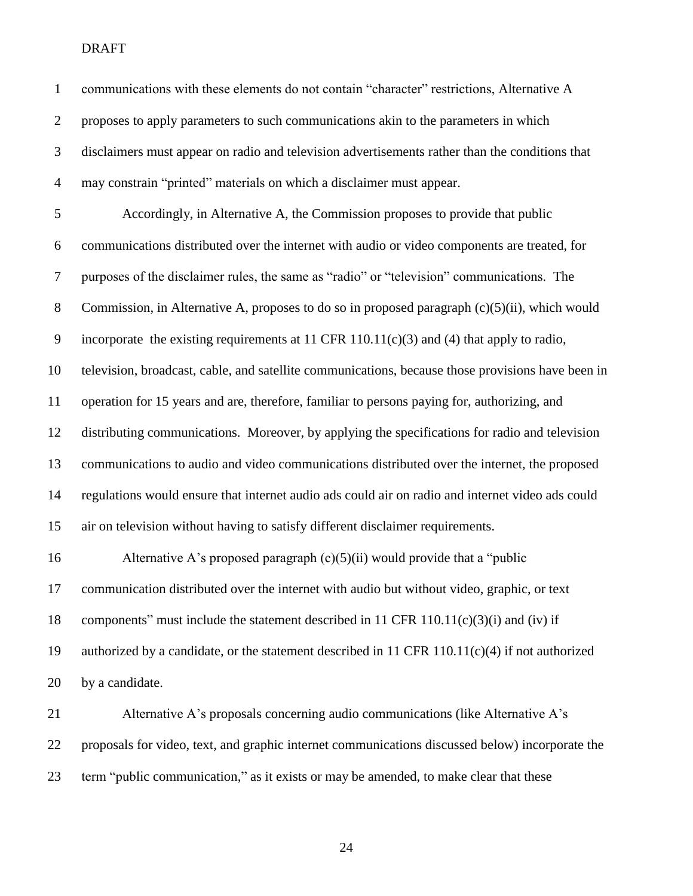| $\mathbf{1}$   | communications with these elements do not contain "character" restrictions, Alternative A         |
|----------------|---------------------------------------------------------------------------------------------------|
| $\overline{2}$ | proposes to apply parameters to such communications akin to the parameters in which               |
| 3              | disclaimers must appear on radio and television advertisements rather than the conditions that    |
| $\overline{4}$ | may constrain "printed" materials on which a disclaimer must appear.                              |
| $\mathfrak{S}$ | Accordingly, in Alternative A, the Commission proposes to provide that public                     |
| 6              | communications distributed over the internet with audio or video components are treated, for      |
| $\tau$         | purposes of the disclaimer rules, the same as "radio" or "television" communications. The         |
| $8\,$          | Commission, in Alternative A, proposes to do so in proposed paragraph (c)(5)(ii), which would     |
| $\mathbf{9}$   | incorporate the existing requirements at 11 CFR $110.11(c)(3)$ and (4) that apply to radio,       |
| 10             | television, broadcast, cable, and satellite communications, because those provisions have been in |
| 11             | operation for 15 years and are, therefore, familiar to persons paying for, authorizing, and       |
| 12             | distributing communications. Moreover, by applying the specifications for radio and television    |
| 13             | communications to audio and video communications distributed over the internet, the proposed      |
| 14             | regulations would ensure that internet audio ads could air on radio and internet video ads could  |
| 15             | air on television without having to satisfy different disclaimer requirements.                    |
| 16             | Alternative A's proposed paragraph $(c)(5)(ii)$ would provide that a "public"                     |
| 17             | communication distributed over the internet with audio but without video, graphic, or text        |
| 18             | components" must include the statement described in 11 CFR $110.11(c)(3)(i)$ and (iv) if          |
| 19             | authorized by a candidate, or the statement described in 11 CFR 110.11(c)(4) if not authorized    |
| 20             | by a candidate.                                                                                   |
| 21             | Alternative A's proposals concerning audio communications (like Alternative A's                   |
| 22             | proposals for video, text, and graphic internet communications discussed below) incorporate the   |

term "public communication," as it exists or may be amended, to make clear that these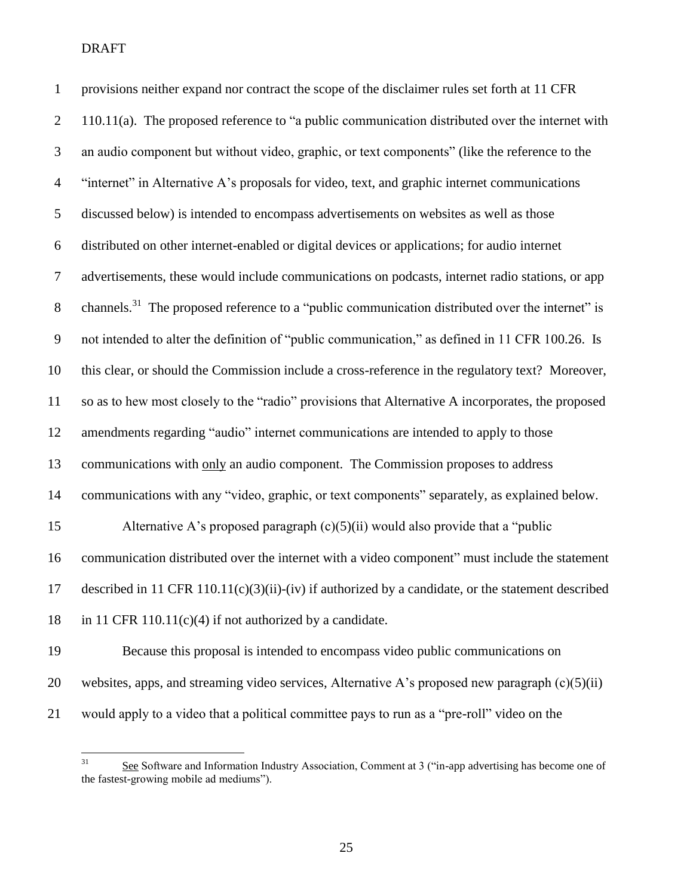provisions neither expand nor contract the scope of the disclaimer rules set forth at 11 CFR 2 110.11(a). The proposed reference to "a public communication distributed over the internet with an audio component but without video, graphic, or text components" (like the reference to the "internet" in Alternative A's proposals for video, text, and graphic internet communications discussed below) is intended to encompass advertisements on websites as well as those distributed on other internet-enabled or digital devices or applications; for audio internet advertisements, these would include communications on podcasts, internet radio stations, or app 8 channels.<sup>31</sup> The proposed reference to a "public communication distributed over the internet" is not intended to alter the definition of "public communication," as defined in 11 CFR 100.26. Is this clear, or should the Commission include a cross-reference in the regulatory text? Moreover, so as to hew most closely to the "radio" provisions that Alternative A incorporates, the proposed amendments regarding "audio" internet communications are intended to apply to those communications with only an audio component. The Commission proposes to address communications with any "video, graphic, or text components" separately, as explained below. Alternative A's proposed paragraph (c)(5)(ii) would also provide that a "public communication distributed over the internet with a video component" must include the statement described in 11 CFR 110.11(c)(3)(ii)-(iv) if authorized by a candidate, or the statement described 18 in 11 CFR 110.11(c)(4) if not authorized by a candidate. Because this proposal is intended to encompass video public communications on

20 websites, apps, and streaming video services, Alternative A's proposed new paragraph  $(c)(5)(ii)$ 

would apply to a video that a political committee pays to run as a "pre-roll" video on the

See Software and Information Industry Association, Comment at 3 ("in-app advertising has become one of the fastest-growing mobile ad mediums").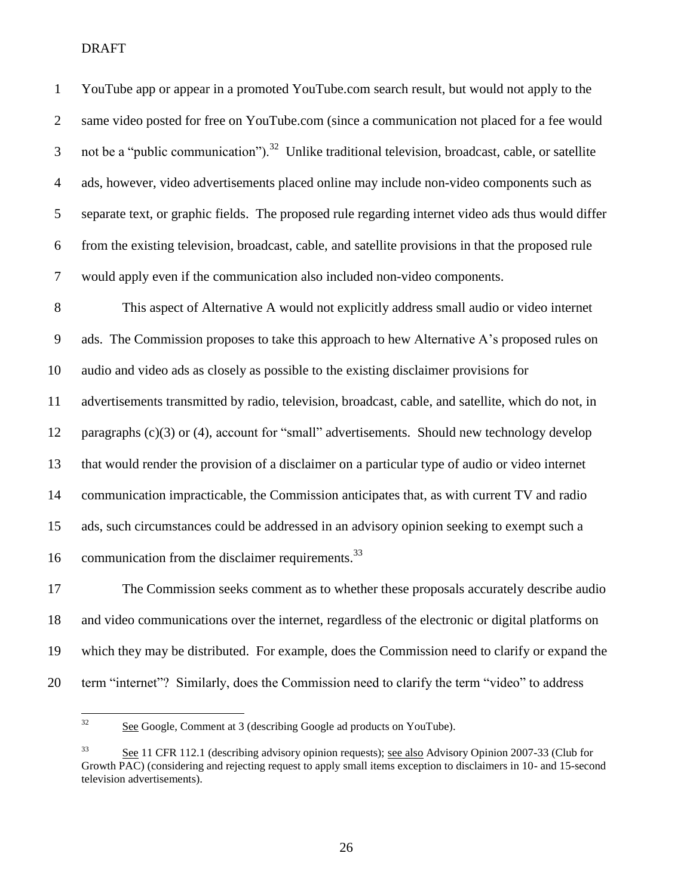YouTube app or appear in a promoted YouTube.com search result, but would not apply to the same video posted for free on YouTube.com (since a communication not placed for a fee would 3 not be a "public communication").<sup>32</sup> Unlike traditional television, broadcast, cable, or satellite ads, however, video advertisements placed online may include non-video components such as separate text, or graphic fields. The proposed rule regarding internet video ads thus would differ from the existing television, broadcast, cable, and satellite provisions in that the proposed rule would apply even if the communication also included non-video components.

 This aspect of Alternative A would not explicitly address small audio or video internet ads. The Commission proposes to take this approach to hew Alternative A's proposed rules on audio and video ads as closely as possible to the existing disclaimer provisions for

 advertisements transmitted by radio, television, broadcast, cable, and satellite, which do not, in paragraphs (c)(3) or (4), account for "small" advertisements. Should new technology develop that would render the provision of a disclaimer on a particular type of audio or video internet communication impracticable, the Commission anticipates that, as with current TV and radio ads, such circumstances could be addressed in an advisory opinion seeking to exempt such a 16 communication from the disclaimer requirements. $^{33}$ 

 The Commission seeks comment as to whether these proposals accurately describe audio and video communications over the internet, regardless of the electronic or digital platforms on which they may be distributed. For example, does the Commission need to clarify or expand the term "internet"? Similarly, does the Commission need to clarify the term "video" to address

See Google, Comment at 3 (describing Google ad products on YouTube).

<sup>&</sup>lt;sup>33</sup> See 11 CFR 112.1 (describing advisory opinion requests); see also Advisory Opinion 2007-33 (Club for Growth PAC) (considering and rejecting request to apply small items exception to disclaimers in 10- and 15-second television advertisements).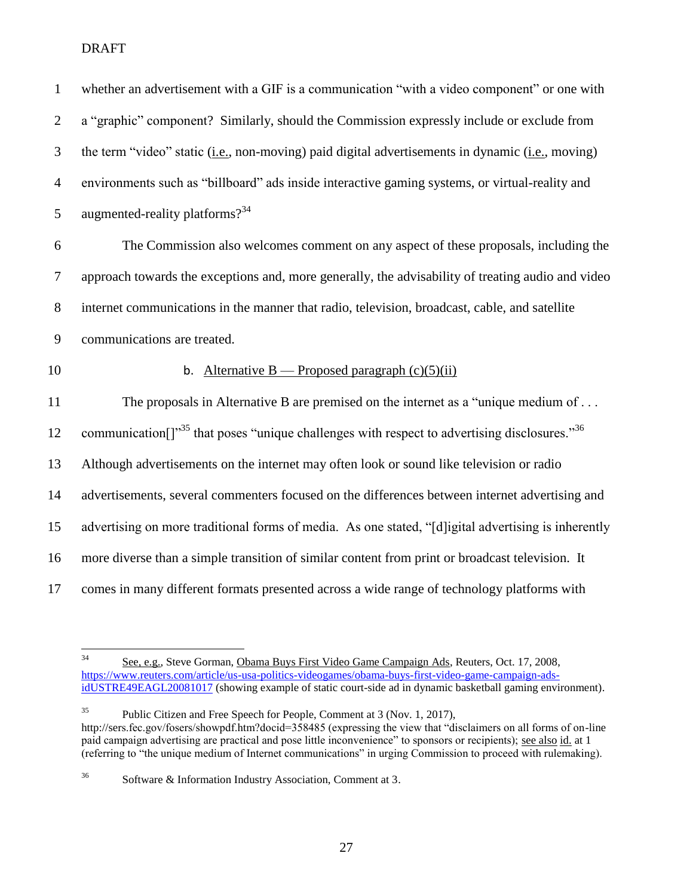| $\mathbf{1}$   | whether an advertisement with a GIF is a communication "with a video component" or one with                          |
|----------------|----------------------------------------------------------------------------------------------------------------------|
| $\overline{2}$ | a "graphic" component? Similarly, should the Commission expressly include or exclude from                            |
| 3              | the term "video" static ( <i>i.e.</i> , non-moving) paid digital advertisements in dynamic ( <i>i.e.</i> , moving)   |
| $\overline{4}$ | environments such as "billboard" ads inside interactive gaming systems, or virtual-reality and                       |
| 5              | augmented-reality platforms? <sup>34</sup>                                                                           |
| 6              | The Commission also welcomes comment on any aspect of these proposals, including the                                 |
| $\tau$         | approach towards the exceptions and, more generally, the advisability of treating audio and video                    |
| $8\,$          | internet communications in the manner that radio, television, broadcast, cable, and satellite                        |
| 9              | communications are treated.                                                                                          |
| 10             | b. Alternative B — Proposed paragraph $(c)(5)(ii)$                                                                   |
| 11             | The proposals in Alternative B are premised on the internet as a "unique medium of $\dots$                           |
| 12             | communication <sup>[1,35</sup> that poses "unique challenges with respect to advertising disclosures." <sup>36</sup> |
| 13             | Although advertisements on the internet may often look or sound like television or radio                             |
| 14             | advertisements, several commenters focused on the differences between internet advertising and                       |
| 15             | advertising on more traditional forms of media. As one stated, "[d]igital advertising is inherently                  |
| 16             | more diverse than a simple transition of similar content from print or broadcast television. It                      |
| 17             | comes in many different formats presented across a wide range of technology platforms with                           |

See, e.g., Steve Gorman, Obama Buys First Video Game Campaign Ads, Reuters, Oct. 17, 2008, [https://www.reuters.com/article/us-usa-politics-videogames/obama-buys-first-video-game-campaign-ads](https://www.reuters.com/article/us-usa-politics-videogames/obama-buys-first-video-game-campaign-ads-idUSTRE49EAGL20081017)[idUSTRE49EAGL20081017](https://www.reuters.com/article/us-usa-politics-videogames/obama-buys-first-video-game-campaign-ads-idUSTRE49EAGL20081017) (showing example of static court-side ad in dynamic basketball gaming environment).

 Public Citizen and Free Speech for People, Comment at 3 (Nov. 1, 2017), http://sers.fec.gov/fosers/showpdf.htm?docid=358485 (expressing the view that "disclaimers on all forms of on-line paid campaign advertising are practical and pose little inconvenience" to sponsors or recipients); <u>see also id.</u> at 1 (referring to "the unique medium of Internet communications" in urging Commission to proceed with rulemaking).

Software & Information Industry Association, Comment at 3.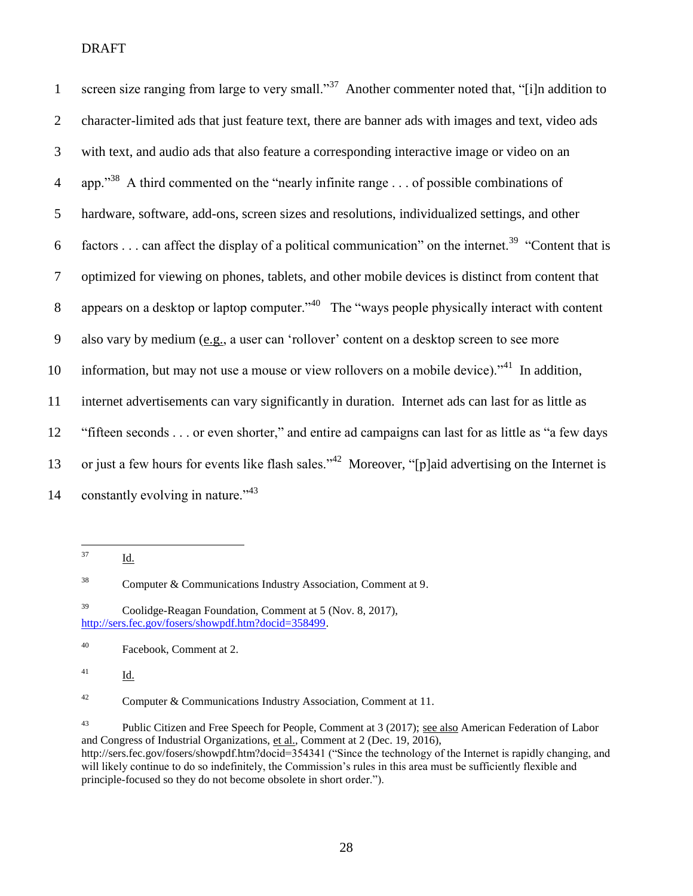1 screen size ranging from large to very small."<sup>37</sup> Another commenter noted that, "[i]n addition to 2 character-limited ads that just feature text, there are banner ads with images and text, video ads 3 with text, and audio ads that also feature a corresponding interactive image or video on an app."<sup>38</sup> 4 A third commented on the "nearly infinite range . . . of possible combinations of 5 hardware, software, add-ons, screen sizes and resolutions, individualized settings, and other 6 factors . . . can affect the display of a political communication" on the internet.<sup>39</sup> "Content that is 7 optimized for viewing on phones, tablets, and other mobile devices is distinct from content that 8 appears on a desktop or laptop computer.<sup> $340$ </sup> The "ways people physically interact with content 9 also vary by medium (e.g., a user can 'rollover' content on a desktop screen to see more 10 information, but may not use a mouse or view rollovers on a mobile device).<sup> $1/41$ </sup> In addition, 11 internet advertisements can vary significantly in duration. Internet ads can last for as little as 12 "fifteen seconds . . . or even shorter," and entire ad campaigns can last for as little as "a few days 13 or just a few hours for events like flash sales."<sup>42</sup> Moreover, "[p]aid advertising on the Internet is 14 constantly evolving in nature." $43$ 

Id.

 $\frac{41}{\text{Id.}}$ 

<sup>42</sup> Computer & Communications Industry Association, Comment at 11.

<sup>43</sup> Public Citizen and Free Speech for People, Comment at 3 (2017); see also American Federation of Labor and Congress of Industrial Organizations, et al., Comment at 2 (Dec. 19, 2016), http://sers.fec.gov/fosers/showpdf.htm?docid=354341 ("Since the technology of the Internet is rapidly changing, and will likely continue to do so indefinitely, the Commission's rules in this area must be sufficiently flexible and principle-focused so they do not become obsolete in short order.").

<sup>37</sup> 

<sup>38</sup> Computer & Communications Industry Association, Comment at 9.

<sup>39</sup> Coolidge-Reagan Foundation, Comment at 5 (Nov. 8, 2017), [http://sers.fec.gov/fosers/showpdf.htm?docid=358499.](http://sers.fec.gov/fosers/showpdf.htm?docid=358499)

<sup>40</sup> Facebook, Comment at 2.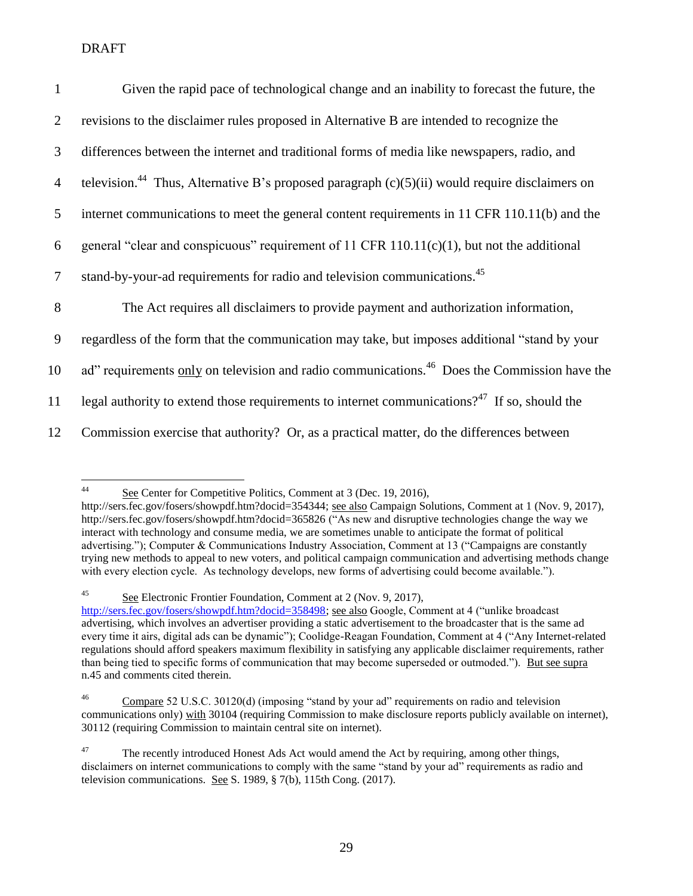| $\mathbf{1}$    | Given the rapid pace of technological change and an inability to forecast the future, the                    |
|-----------------|--------------------------------------------------------------------------------------------------------------|
| 2               | revisions to the disclaimer rules proposed in Alternative B are intended to recognize the                    |
| 3               | differences between the internet and traditional forms of media like newspapers, radio, and                  |
| $\overline{4}$  | television. <sup>44</sup> Thus, Alternative B's proposed paragraph $(c)(5)(ii)$ would require disclaimers on |
| 5               | internet communications to meet the general content requirements in 11 CFR 110.11(b) and the                 |
| 6               | general "clear and conspicuous" requirement of 11 CFR $110.11(c)(1)$ , but not the additional                |
| $7\phantom{.0}$ | stand-by-your-ad requirements for radio and television communications. <sup>45</sup>                         |
| 8               | The Act requires all disclaimers to provide payment and authorization information,                           |
| 9               | regardless of the form that the communication may take, but imposes additional "stand by your                |
| 10              | ad" requirements only on television and radio communications. <sup>46</sup> Does the Commission have the     |
| 11              | legal authority to extend those requirements to internet communications? <sup>47</sup> If so, should the     |
| 12              | Commission exercise that authority? Or, as a practical matter, do the differences between                    |

 $44$ See Center for Competitive Politics, Comment at 3 (Dec. 19, 2016), http://sers.fec.gov/fosers/showpdf.htm?docid=354344; see also Campaign Solutions, Comment at 1 (Nov. 9, 2017), http://sers.fec.gov/fosers/showpdf.htm?docid=365826 ("As new and disruptive technologies change the way we interact with technology and consume media, we are sometimes unable to anticipate the format of political advertising."); Computer & Communications Industry Association, Comment at 13 ("Campaigns are constantly trying new methods to appeal to new voters, and political campaign communication and advertising methods change with every election cycle. As technology develops, new forms of advertising could become available.").

<sup>45</sup> See Electronic Frontier Foundation, Comment at 2 (Nov. 9, 2017), [http://sers.fec.gov/fosers/showpdf.htm?docid=358498;](http://sers.fec.gov/fosers/showpdf.htm?docid=358498) see also Google, Comment at 4 ("unlike broadcast advertising, which involves an advertiser providing a static advertisement to the broadcaster that is the same ad every time it airs, digital ads can be dynamic"); Coolidge-Reagan Foundation, Comment at 4 ("Any Internet-related regulations should afford speakers maximum flexibility in satisfying any applicable disclaimer requirements, rather than being tied to specific forms of communication that may become superseded or outmoded."). But see supra n.45 and comments cited therein.

<sup>46</sup> Compare 52 U.S.C. 30120(d) (imposing "stand by your ad" requirements on radio and television communications only) with 30104 (requiring Commission to make disclosure reports publicly available on internet), 30112 (requiring Commission to maintain central site on internet).

<sup>&</sup>lt;sup>47</sup> The recently introduced Honest Ads Act would amend the Act by requiring, among other things, disclaimers on internet communications to comply with the same "stand by your ad" requirements as radio and television communications. See S. 1989, § 7(b), 115th Cong. (2017).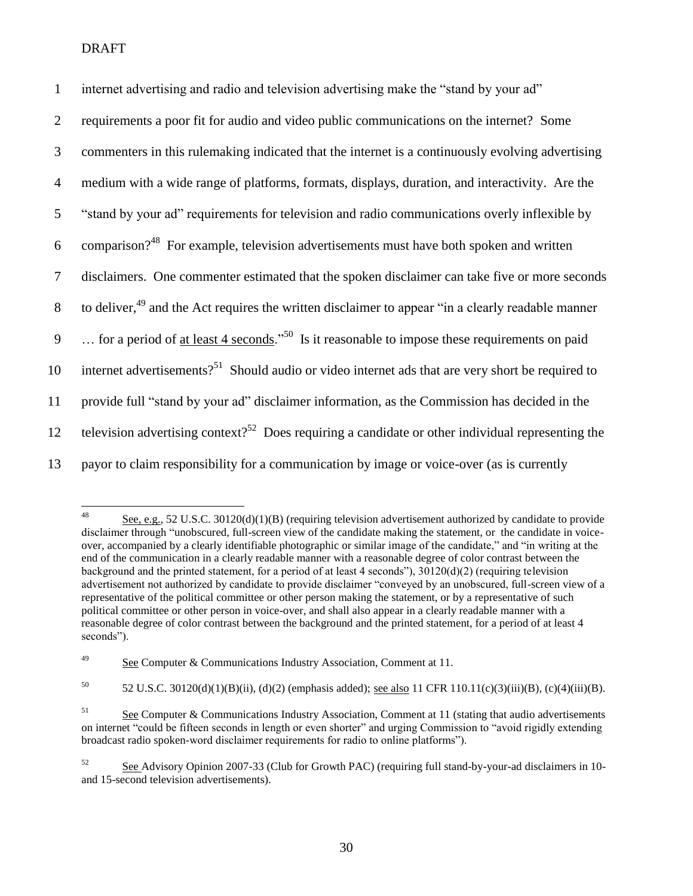| $\mathbf{1}$   | internet advertising and radio and television advertising make the "stand by your ad"                            |
|----------------|------------------------------------------------------------------------------------------------------------------|
| 2              | requirements a poor fit for audio and video public communications on the internet? Some                          |
| 3              | commenters in this rulemaking indicated that the internet is a continuously evolving advertising                 |
| $\overline{4}$ | medium with a wide range of platforms, formats, displays, duration, and interactivity. Are the                   |
| $\mathfrak{S}$ | "stand by your ad" requirements for television and radio communications overly inflexible by                     |
| 6              | comparison? <sup>48</sup> For example, television advertisements must have both spoken and written               |
| $\tau$         | disclaimers. One commenter estimated that the spoken disclaimer can take five or more seconds                    |
| 8              | to deliver, <sup>49</sup> and the Act requires the written disclaimer to appear "in a clearly readable manner    |
| 9              | for a period of <u>at least 4 seconds</u> ." <sup>50</sup> Is it reasonable to impose these requirements on paid |
| 10             | internet advertisements? <sup>51</sup> Should audio or video internet ads that are very short be required to     |
| 11             | provide full "stand by your ad" disclaimer information, as the Commission has decided in the                     |
| 12             | television advertising context? <sup>52</sup> Does requiring a candidate or other individual representing the    |
| 13             | payor to claim responsibility for a communication by image or voice-over (as is currently                        |

 $\overline{48}$ See, e.g., 52 U.S.C. 30120(d)(1)(B) (requiring television advertisement authorized by candidate to provide disclaimer through "unobscured, full-screen view of the candidate making the statement, or the candidate in voiceover, accompanied by a clearly identifiable photographic or similar image of the candidate," and "in writing at the end of the communication in a clearly readable manner with a reasonable degree of color contrast between the background and the printed statement, for a period of at least 4 seconds"),  $30120(d)(2)$  (requiring television advertisement not authorized by candidate to provide disclaimer "conveyed by an unobscured, full-screen view of a representative of the political committee or other person making the statement, or by a representative of such political committee or other person in voice-over, and shall also appear in a clearly readable manner with a reasonable degree of color contrast between the background and the printed statement, for a period of at least 4 seconds").

<sup>50</sup> 52 U.S.C. 30120(d)(1)(B)(ii), (d)(2) (emphasis added); <u>see also</u> 11 CFR 110.11(c)(3)(iii)(B), (c)(4)(iii)(B).

<sup>49</sup> See Computer & Communications Industry Association, Comment at 11.

 $51$  See Computer & Communications Industry Association, Comment at 11 (stating that audio advertisements on internet "could be fifteen seconds in length or even shorter" and urging Commission to "avoid rigidly extending broadcast radio spoken-word disclaimer requirements for radio to online platforms").

<sup>52</sup> See Advisory Opinion 2007-33 (Club for Growth PAC) (requiring full stand-by-your-ad disclaimers in 10 and 15-second television advertisements).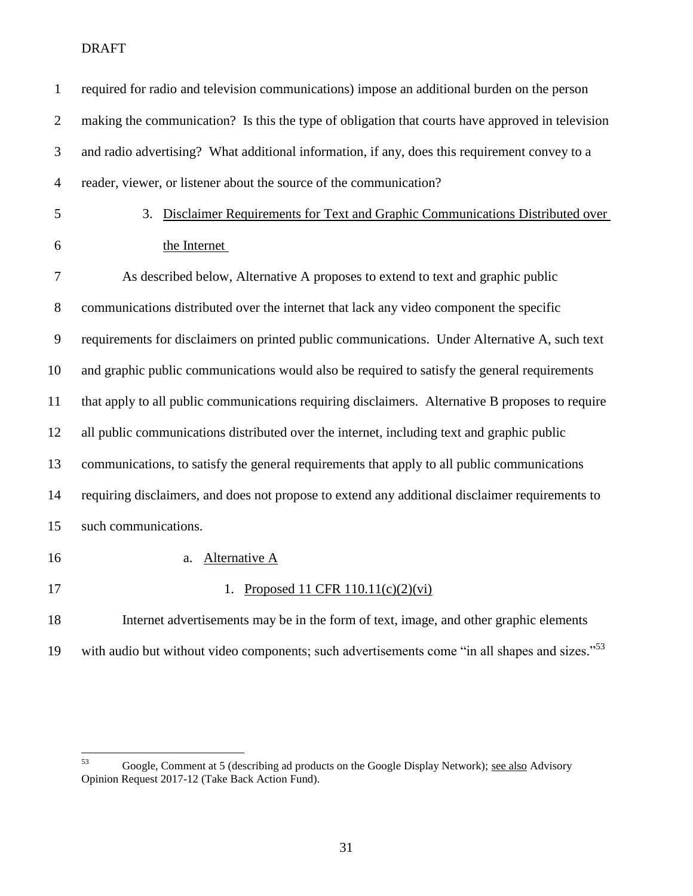| $\mathbf{1}$   | required for radio and television communications) impose an additional burden on the person                |
|----------------|------------------------------------------------------------------------------------------------------------|
| $\overline{2}$ | making the communication? Is this the type of obligation that courts have approved in television           |
| 3              | and radio advertising? What additional information, if any, does this requirement convey to a              |
| $\overline{4}$ | reader, viewer, or listener about the source of the communication?                                         |
| 5              | Disclaimer Requirements for Text and Graphic Communications Distributed over<br>3.                         |
| 6              | the Internet                                                                                               |
| 7              | As described below, Alternative A proposes to extend to text and graphic public                            |
| 8              | communications distributed over the internet that lack any video component the specific                    |
| 9              | requirements for disclaimers on printed public communications. Under Alternative A, such text              |
| 10             | and graphic public communications would also be required to satisfy the general requirements               |
| 11             | that apply to all public communications requiring disclaimers. Alternative B proposes to require           |
| 12             | all public communications distributed over the internet, including text and graphic public                 |
| 13             | communications, to satisfy the general requirements that apply to all public communications                |
| 14             | requiring disclaimers, and does not propose to extend any additional disclaimer requirements to            |
| 15             | such communications.                                                                                       |
| 16             | Alternative A<br>a.                                                                                        |
| 17             | 1. Proposed 11 CFR $110.11(c)(2)(vi)$                                                                      |
| 18             | Internet advertisements may be in the form of text, image, and other graphic elements                      |
| 19             | with audio but without video components; such advertisements come "in all shapes and sizes." <sup>53</sup> |

 Google, Comment at 5 (describing ad products on the Google Display Network); <u>see also</u> Advisory Opinion Request 2017-12 (Take Back Action Fund).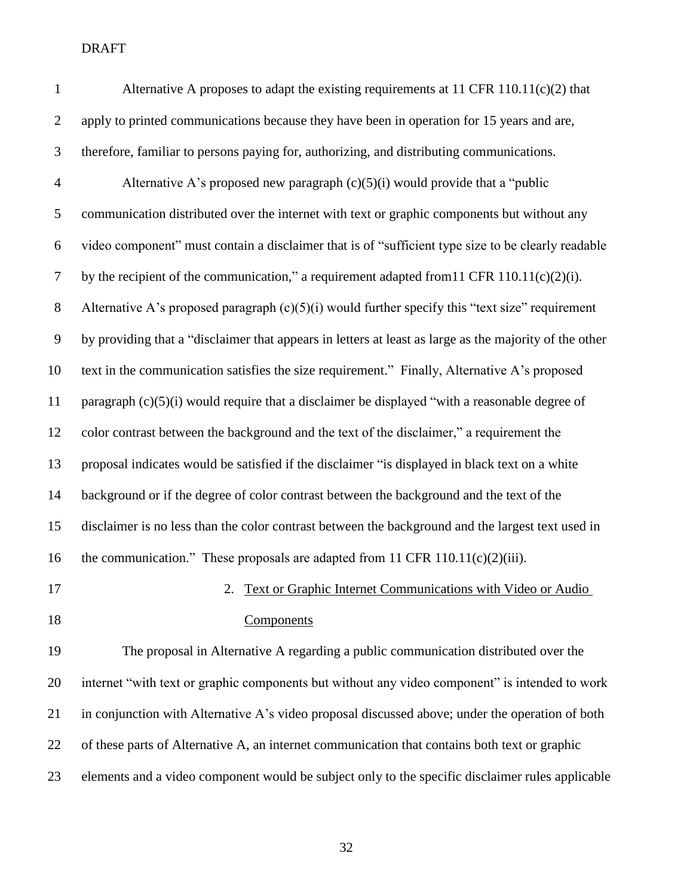| $\mathbf{1}$   | Alternative A proposes to adapt the existing requirements at 11 CFR 110.11(c)(2) that                  |
|----------------|--------------------------------------------------------------------------------------------------------|
| $\overline{2}$ | apply to printed communications because they have been in operation for 15 years and are,              |
| 3              | therefore, familiar to persons paying for, authorizing, and distributing communications.               |
| $\overline{4}$ | Alternative A's proposed new paragraph $(c)(5)(i)$ would provide that a "public"                       |
| $\mathfrak{S}$ | communication distributed over the internet with text or graphic components but without any            |
| 6              | video component" must contain a disclaimer that is of "sufficient type size to be clearly readable     |
| $\tau$         | by the recipient of the communication," a requirement adapted from 11 CFR 110.11(c)(2)(i).             |
| $8\,$          | Alternative A's proposed paragraph $(c)(5)(i)$ would further specify this "text size" requirement      |
| 9              | by providing that a "disclaimer that appears in letters at least as large as the majority of the other |
| 10             | text in the communication satisfies the size requirement." Finally, Alternative A's proposed           |
| 11             | paragraph (c)(5)(i) would require that a disclaimer be displayed "with a reasonable degree of          |
| 12             | color contrast between the background and the text of the disclaimer," a requirement the               |
| 13             | proposal indicates would be satisfied if the disclaimer "is displayed in black text on a white         |
| 14             | background or if the degree of color contrast between the background and the text of the               |
| 15             | disclaimer is no less than the color contrast between the background and the largest text used in      |
| 16             | the communication." These proposals are adapted from 11 CFR $110.11(c)(2)(iii)$ .                      |
| 17             | 2. Text or Graphic Internet Communications with Video or Audio                                         |
| 18             | Components                                                                                             |
| 19             | The proposal in Alternative A regarding a public communication distributed over the                    |
| 20             | internet "with text or graphic components but without any video component" is intended to work         |
| 21             | in conjunction with Alternative A's video proposal discussed above; under the operation of both        |
| 22             | of these parts of Alternative A, an internet communication that contains both text or graphic          |
| 23             | elements and a video component would be subject only to the specific disclaimer rules applicable       |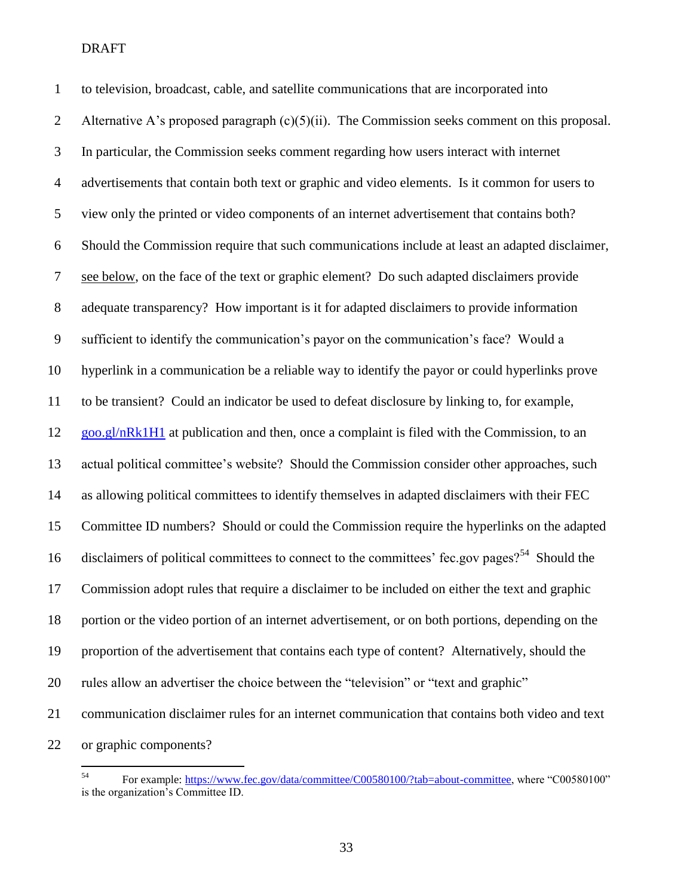to television, broadcast, cable, and satellite communications that are incorporated into 2 Alternative A's proposed paragraph (c)(5)(ii). The Commission seeks comment on this proposal. In particular, the Commission seeks comment regarding how users interact with internet advertisements that contain both text or graphic and video elements. Is it common for users to view only the printed or video components of an internet advertisement that contains both? Should the Commission require that such communications include at least an adapted disclaimer, see below, on the face of the text or graphic element? Do such adapted disclaimers provide adequate transparency? How important is it for adapted disclaimers to provide information sufficient to identify the communication's payor on the communication's face? Would a hyperlink in a communication be a reliable way to identify the payor or could hyperlinks prove to be transient? Could an indicator be used to defeat disclosure by linking to, for example, [goo.gl/nRk1H1](http://goo.gl/nRk1H1) at publication and then, once a complaint is filed with the Commission, to an actual political committee's website? Should the Commission consider other approaches, such as allowing political committees to identify themselves in adapted disclaimers with their FEC Committee ID numbers? Should or could the Commission require the hyperlinks on the adapted 16 disclaimers of political committees to connect to the committees' fec.gov pages?<sup>54</sup> Should the Commission adopt rules that require a disclaimer to be included on either the text and graphic portion or the video portion of an internet advertisement, or on both portions, depending on the proportion of the advertisement that contains each type of content? Alternatively, should the rules allow an advertiser the choice between the "television" or "text and graphic" communication disclaimer rules for an internet communication that contains both video and text or graphic components?

For example: [https://www.fec.gov/data/committee/C00580100/?tab=about-committee,](https://www.fec.gov/data/committee/C00580100/?tab=about-committee) where "C00580100" is the organization's Committee ID.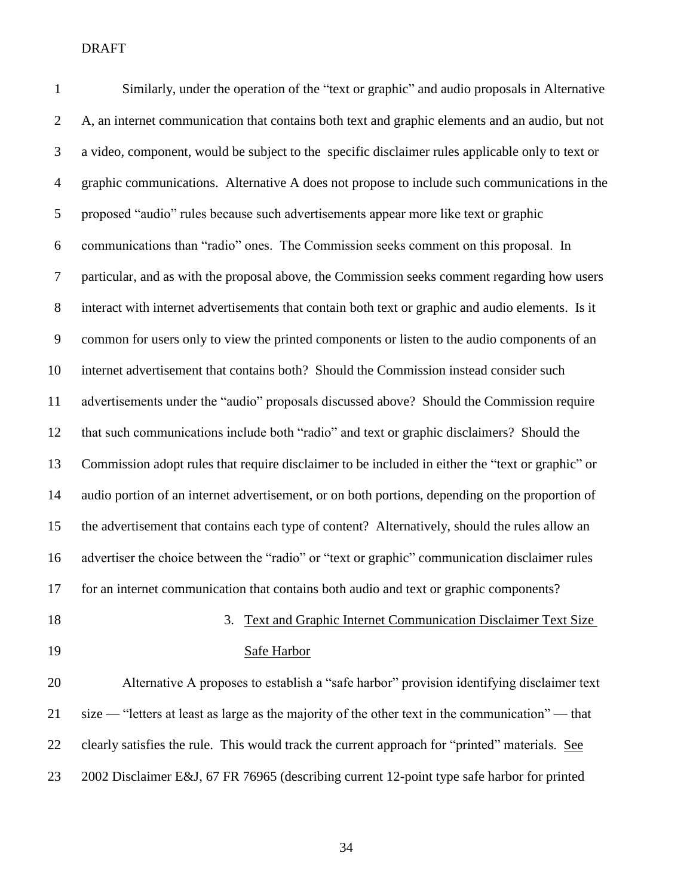| $\mathbf{1}$     | Similarly, under the operation of the "text or graphic" and audio proposals in Alternative        |
|------------------|---------------------------------------------------------------------------------------------------|
| $\overline{2}$   | A, an internet communication that contains both text and graphic elements and an audio, but not   |
| 3                | a video, component, would be subject to the specific disclaimer rules applicable only to text or  |
| $\overline{4}$   | graphic communications. Alternative A does not propose to include such communications in the      |
| $\mathfrak{S}$   | proposed "audio" rules because such advertisements appear more like text or graphic               |
| 6                | communications than "radio" ones. The Commission seeks comment on this proposal. In               |
| $\boldsymbol{7}$ | particular, and as with the proposal above, the Commission seeks comment regarding how users      |
| $8\,$            | interact with internet advertisements that contain both text or graphic and audio elements. Is it |
| $\overline{9}$   | common for users only to view the printed components or listen to the audio components of an      |
| 10               | internet advertisement that contains both? Should the Commission instead consider such            |
| 11               | advertisements under the "audio" proposals discussed above? Should the Commission require         |
| 12               | that such communications include both "radio" and text or graphic disclaimers? Should the         |
| 13               | Commission adopt rules that require disclaimer to be included in either the "text or graphic" or  |
| 14               | audio portion of an internet advertisement, or on both portions, depending on the proportion of   |
| 15               | the advertisement that contains each type of content? Alternatively, should the rules allow an    |
| 16               | advertiser the choice between the "radio" or "text or graphic" communication disclaimer rules     |
| 17               | for an internet communication that contains both audio and text or graphic components?            |
| 18               | Text and Graphic Internet Communication Disclaimer Text Size<br>3.                                |
| 19               | <b>Safe Harbor</b>                                                                                |
| 20               | Alternative A proposes to establish a "safe harbor" provision identifying disclaimer text         |
| 21               | size — "letters at least as large as the majority of the other text in the communication" — that  |
| 22               | clearly satisfies the rule. This would track the current approach for "printed" materials. See    |
| 23               | 2002 Disclaimer E&J, 67 FR 76965 (describing current 12-point type safe harbor for printed        |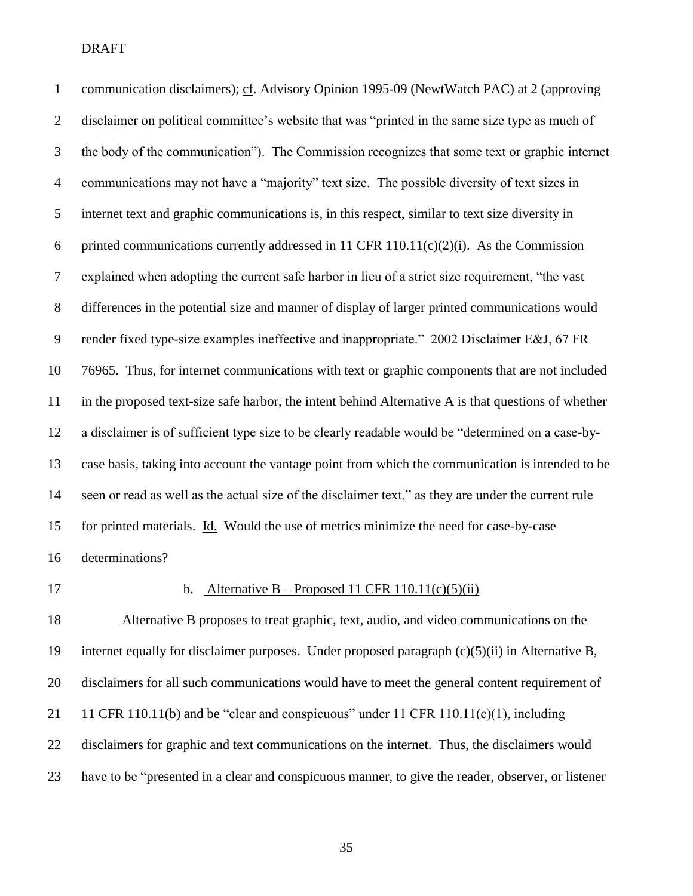communication disclaimers); cf. Advisory Opinion 1995-09 (NewtWatch PAC) at 2 (approving disclaimer on political committee's website that was "printed in the same size type as much of the body of the communication"). The Commission recognizes that some text or graphic internet communications may not have a "majority" text size. The possible diversity of text sizes in internet text and graphic communications is, in this respect, similar to text size diversity in printed communications currently addressed in 11 CFR 110.11(c)(2)(i). As the Commission explained when adopting the current safe harbor in lieu of a strict size requirement, "the vast differences in the potential size and manner of display of larger printed communications would render fixed type-size examples ineffective and inappropriate." 2002 Disclaimer E&J, 67 FR 76965. Thus, for internet communications with text or graphic components that are not included in the proposed text-size safe harbor, the intent behind Alternative A is that questions of whether a disclaimer is of sufficient type size to be clearly readable would be "determined on a case-by- case basis, taking into account the vantage point from which the communication is intended to be seen or read as well as the actual size of the disclaimer text," as they are under the current rule for printed materials. Id. Would the use of metrics minimize the need for case-by-case determinations?

## 17 b. Alternative B – Proposed 11 CFR 110.11(c)(5)(ii)

 Alternative B proposes to treat graphic, text, audio, and video communications on the internet equally for disclaimer purposes. Under proposed paragraph (c)(5)(ii) in Alternative B, disclaimers for all such communications would have to meet the general content requirement of 21 11 CFR 110.11(b) and be "clear and conspicuous" under 11 CFR 110.11(c)(1), including disclaimers for graphic and text communications on the internet. Thus, the disclaimers would have to be "presented in a clear and conspicuous manner, to give the reader, observer, or listener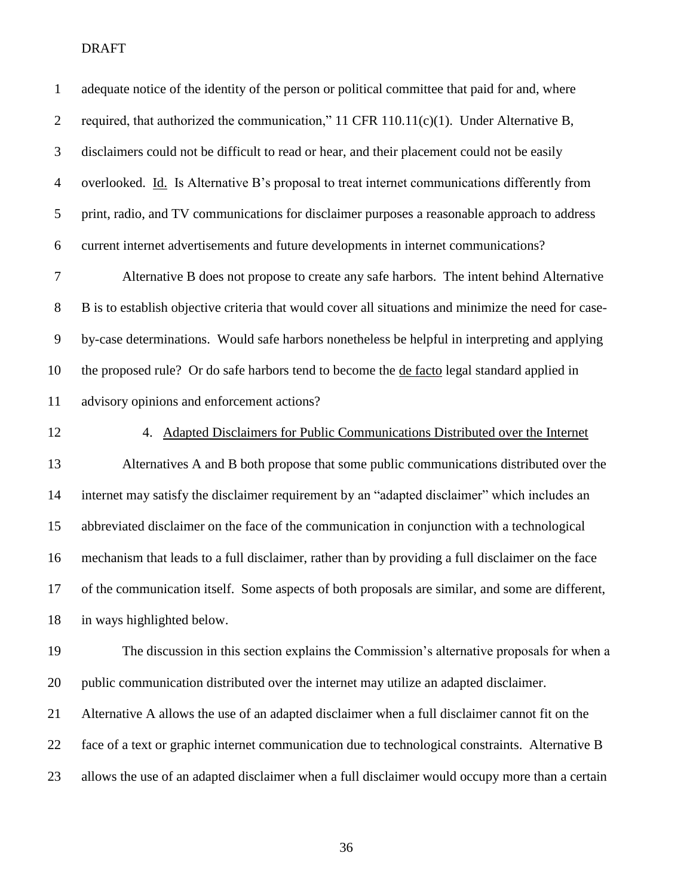| $\mathbf{1}$   | adequate notice of the identity of the person or political committee that paid for and, where        |
|----------------|------------------------------------------------------------------------------------------------------|
| $\overline{2}$ | required, that authorized the communication," 11 CFR 110.11(c)(1). Under Alternative B,              |
| 3              | disclaimers could not be difficult to read or hear, and their placement could not be easily          |
| $\overline{4}$ | overlooked. Id. Is Alternative B's proposal to treat internet communications differently from        |
| $\mathfrak s$  | print, radio, and TV communications for disclaimer purposes a reasonable approach to address         |
| 6              | current internet advertisements and future developments in internet communications?                  |
| 7              | Alternative B does not propose to create any safe harbors. The intent behind Alternative             |
| $8\,$          | B is to establish objective criteria that would cover all situations and minimize the need for case- |
| 9              | by-case determinations. Would safe harbors nonetheless be helpful in interpreting and applying       |
| 10             | the proposed rule? Or do safe harbors tend to become the de facto legal standard applied in          |
| 11             | advisory opinions and enforcement actions?                                                           |
| 12             | 4. Adapted Disclaimers for Public Communications Distributed over the Internet                       |
| 13             | Alternatives A and B both propose that some public communications distributed over the               |
| 14             | internet may satisfy the disclaimer requirement by an "adapted disclaimer" which includes an         |
| 15             | abbreviated disclaimer on the face of the communication in conjunction with a technological          |
| 16             | mechanism that leads to a full disclaimer, rather than by providing a full disclaimer on the face    |
| 17             | of the communication itself. Some aspects of both proposals are similar, and some are different,     |
| 18             | in ways highlighted below.                                                                           |
| 19             | The discussion in this section explains the Commission's alternative proposals for when a            |
| 20             | public communication distributed over the internet may utilize an adapted disclaimer.                |
| 21             | Alternative A allows the use of an adapted disclaimer when a full disclaimer cannot fit on the       |
| 22             | face of a text or graphic internet communication due to technological constraints. Alternative B     |
|                |                                                                                                      |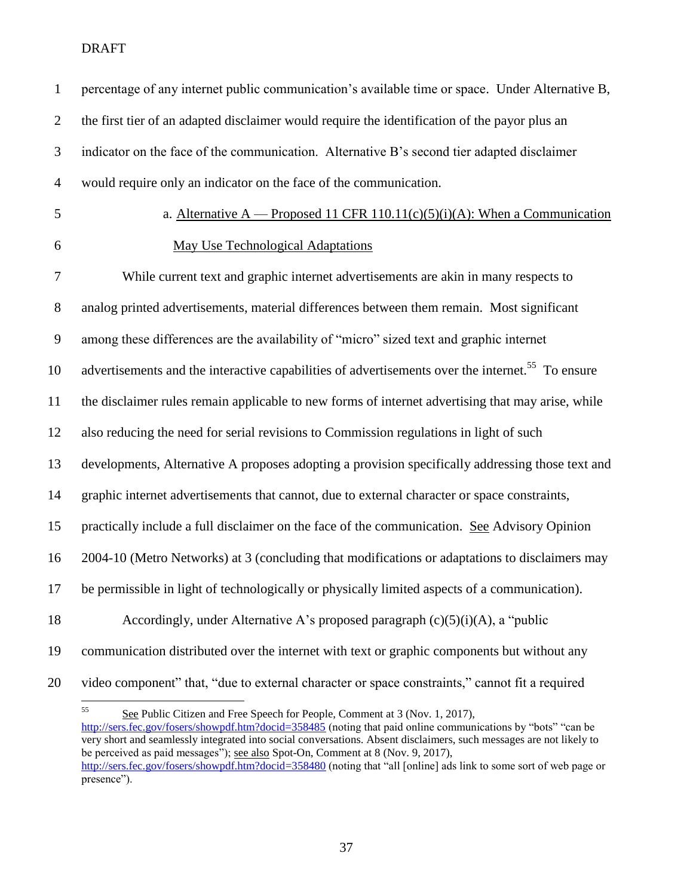| $\mathbf 1$    | percentage of any internet public communication's available time or space. Under Alternative B,                                                                                                    |
|----------------|----------------------------------------------------------------------------------------------------------------------------------------------------------------------------------------------------|
| $\overline{2}$ | the first tier of an adapted disclaimer would require the identification of the payor plus an                                                                                                      |
| $\mathfrak{Z}$ | indicator on the face of the communication. Alternative B's second tier adapted disclaimer                                                                                                         |
| $\overline{4}$ | would require only an indicator on the face of the communication.                                                                                                                                  |
| $\sqrt{5}$     | a. Alternative A — Proposed 11 CFR 110.11(c)(5)(i)(A): When a Communication                                                                                                                        |
| 6              | <b>May Use Technological Adaptations</b>                                                                                                                                                           |
| $\tau$         | While current text and graphic internet advertisements are akin in many respects to                                                                                                                |
| $8\,$          | analog printed advertisements, material differences between them remain. Most significant                                                                                                          |
| 9              | among these differences are the availability of "micro" sized text and graphic internet                                                                                                            |
| 10             | advertisements and the interactive capabilities of advertisements over the internet. <sup>55</sup> To ensure                                                                                       |
| 11             | the disclaimer rules remain applicable to new forms of internet advertising that may arise, while                                                                                                  |
| 12             | also reducing the need for serial revisions to Commission regulations in light of such                                                                                                             |
| 13             | developments, Alternative A proposes adopting a provision specifically addressing those text and                                                                                                   |
| 14             | graphic internet advertisements that cannot, due to external character or space constraints,                                                                                                       |
| 15             | practically include a full disclaimer on the face of the communication. See Advisory Opinion                                                                                                       |
| 16             | 2004-10 (Metro Networks) at 3 (concluding that modifications or adaptations to disclaimers may                                                                                                     |
|                | 17 be permissible in light of technologically or physically limited aspects of a communication).                                                                                                   |
| 18             | Accordingly, under Alternative A's proposed paragraph $(c)(5)(i)(A)$ , a "public                                                                                                                   |
| 19             | communication distributed over the internet with text or graphic components but without any                                                                                                        |
| 20             | video component" that, "due to external character or space constraints," cannot fit a required                                                                                                     |
|                | 55<br>See Public Citizen and Free Speech for People, Comment at 3 (Nov. 1, 2017),<br>http://sers.fec.gov/fosers/showndf.htm?docid=358485 (noting that paid online communications by "bots" "can be |

<http://sers.fec.gov/fosers/showpdf.htm?docid=358485> (noting that paid online communications by "bots" "can be very short and seamlessly integrated into social conversations. Absent disclaimers, such messages are not likely to be perceived as paid messages"); see also Spot-On, Comment at 8 (Nov. 9, 2017), <http://sers.fec.gov/fosers/showpdf.htm?docid=358480> (noting that "all [online] ads link to some sort of web page or presence").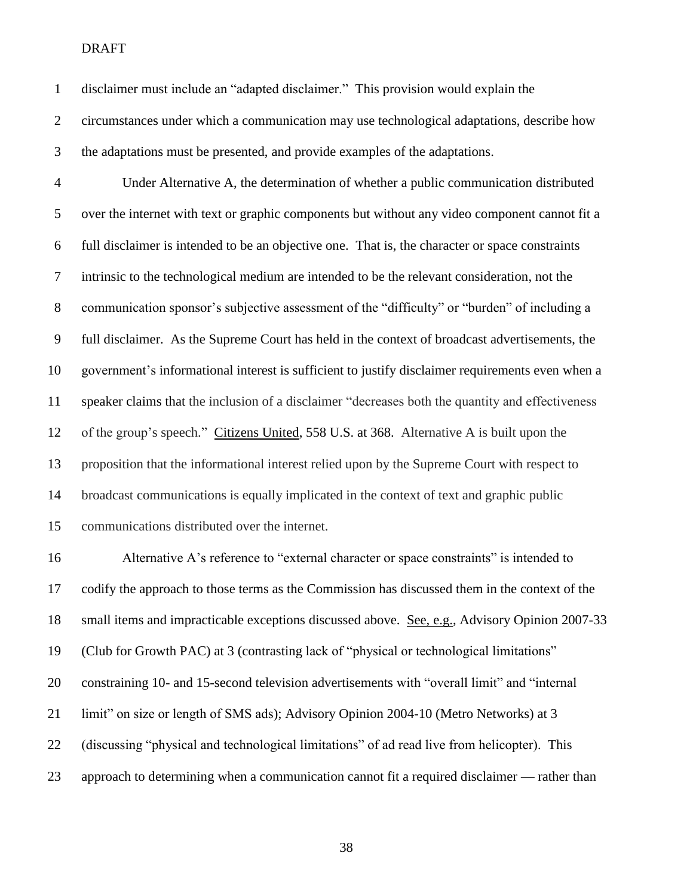| $\mathbf{1}$   | disclaimer must include an "adapted disclaimer." This provision would explain the                |
|----------------|--------------------------------------------------------------------------------------------------|
| $\overline{2}$ | circumstances under which a communication may use technological adaptations, describe how        |
| 3              | the adaptations must be presented, and provide examples of the adaptations.                      |
| $\overline{4}$ | Under Alternative A, the determination of whether a public communication distributed             |
| 5              | over the internet with text or graphic components but without any video component cannot fit a   |
| 6              | full disclaimer is intended to be an objective one. That is, the character or space constraints  |
| $\tau$         | intrinsic to the technological medium are intended to be the relevant consideration, not the     |
| 8              | communication sponsor's subjective assessment of the "difficulty" or "burden" of including a     |
| 9              | full disclaimer. As the Supreme Court has held in the context of broadcast advertisements, the   |
| 10             | government's informational interest is sufficient to justify disclaimer requirements even when a |
| 11             | speaker claims that the inclusion of a disclaimer "decreases both the quantity and effectiveness |
| 12             | of the group's speech." Citizens United, 558 U.S. at 368. Alternative A is built upon the        |
| 13             | proposition that the informational interest relied upon by the Supreme Court with respect to     |
| 14             | broadcast communications is equally implicated in the context of text and graphic public         |
|                |                                                                                                  |

communications distributed over the internet.

 Alternative A's reference to "external character or space constraints" is intended to codify the approach to those terms as the Commission has discussed them in the context of the small items and impracticable exceptions discussed above. See, e.g., Advisory Opinion 2007-33 (Club for Growth PAC) at 3 (contrasting lack of "physical or technological limitations" constraining 10- and 15-second television advertisements with "overall limit" and "internal limit" on size or length of SMS ads); Advisory Opinion 2004-10 (Metro Networks) at 3 (discussing "physical and technological limitations" of ad read live from helicopter). This 23 approach to determining when a communication cannot fit a required disclaimer — rather than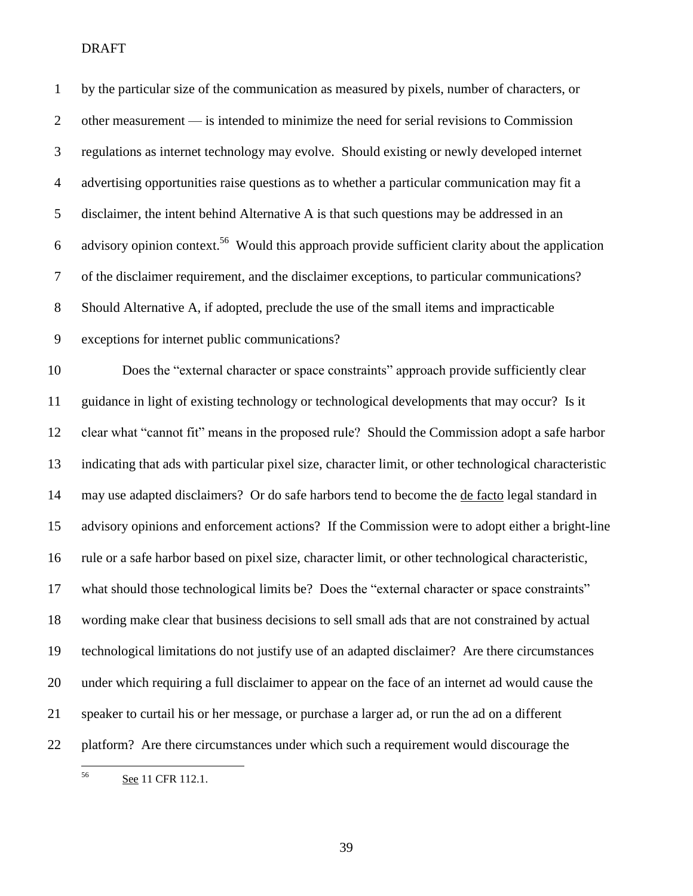| $\mathbf{1}$     | by the particular size of the communication as measured by pixels, number of characters, or                  |
|------------------|--------------------------------------------------------------------------------------------------------------|
| $\overline{2}$   | other measurement — is intended to minimize the need for serial revisions to Commission                      |
| $\mathfrak{Z}$   | regulations as internet technology may evolve. Should existing or newly developed internet                   |
| $\overline{4}$   | advertising opportunities raise questions as to whether a particular communication may fit a                 |
| 5                | disclaimer, the intent behind Alternative A is that such questions may be addressed in an                    |
| $\boldsymbol{6}$ | advisory opinion context. <sup>56</sup> Would this approach provide sufficient clarity about the application |
| $\boldsymbol{7}$ | of the disclaimer requirement, and the disclaimer exceptions, to particular communications?                  |
| $8\,$            | Should Alternative A, if adopted, preclude the use of the small items and impracticable                      |
| $\overline{9}$   | exceptions for internet public communications?                                                               |
| 10               | Does the "external character or space constraints" approach provide sufficiently clear                       |
| 11               | guidance in light of existing technology or technological developments that may occur? Is it                 |
| 12               | clear what "cannot fit" means in the proposed rule? Should the Commission adopt a safe harbor                |
| 13               | indicating that ads with particular pixel size, character limit, or other technological characteristic       |
| 14               | may use adapted disclaimers? Or do safe harbors tend to become the de facto legal standard in                |
| 15               | advisory opinions and enforcement actions? If the Commission were to adopt either a bright-line              |
| 16               | rule or a safe harbor based on pixel size, character limit, or other technological characteristic,           |
| 17               | what should those technological limits be? Does the "external character or space constraints"                |
| 18               | wording make clear that business decisions to sell small ads that are not constrained by actual              |
| 19               | technological limitations do not justify use of an adapted disclaimer? Are there circumstances               |
| 20               | under which requiring a full disclaimer to appear on the face of an internet ad would cause the              |
| 21               | speaker to curtail his or her message, or purchase a larger ad, or run the ad on a different                 |
| 22               | platform? Are there circumstances under which such a requirement would discourage the                        |
|                  |                                                                                                              |

 $\overline{56}$ See 11 CFR 112.1.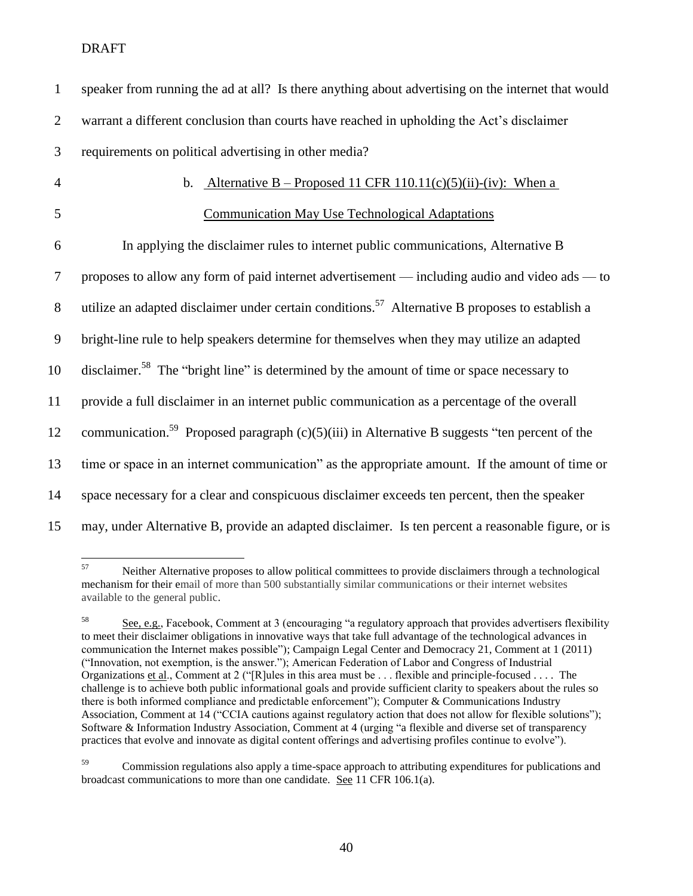| $\mathbf{1}$   | speaker from running the ad at all? Is there anything about advertising on the internet that would          |
|----------------|-------------------------------------------------------------------------------------------------------------|
| $\overline{2}$ | warrant a different conclusion than courts have reached in upholding the Act's disclaimer                   |
| 3              | requirements on political advertising in other media?                                                       |
| $\overline{4}$ | Alternative B – Proposed 11 CFR 110.11(c)(5)(ii)-(iv): When a<br>$\mathbf b$ .                              |
| 5              | <b>Communication May Use Technological Adaptations</b>                                                      |
| 6              | In applying the disclaimer rules to internet public communications, Alternative B                           |
| 7              | proposes to allow any form of paid internet advertisement — including audio and video ads — to              |
| $8\,$          | utilize an adapted disclaimer under certain conditions. <sup>57</sup> Alternative B proposes to establish a |
| 9              | bright-line rule to help speakers determine for themselves when they may utilize an adapted                 |
| 10             | disclaimer. <sup>58</sup> The "bright line" is determined by the amount of time or space necessary to       |
| 11             | provide a full disclaimer in an internet public communication as a percentage of the overall                |
| 12             | communication. <sup>59</sup> Proposed paragraph (c)(5)(iii) in Alternative B suggests "ten percent of the   |
| 13             | time or space in an internet communication" as the appropriate amount. If the amount of time or             |
| 14             | space necessary for a clear and conspicuous disclaimer exceeds ten percent, then the speaker                |
| 15             | may, under Alternative B, provide an adapted disclaimer. Is ten percent a reasonable figure, or is          |

<sup>57</sup> <sup>57</sup> Neither Alternative proposes to allow political committees to provide disclaimers through a technological mechanism for their email of more than 500 substantially similar communications or their internet websites available to the general public.

<sup>58</sup> See, e.g., Facebook, Comment at 3 (encouraging "a regulatory approach that provides advertisers flexibility to meet their disclaimer obligations in innovative ways that take full advantage of the technological advances in communication the Internet makes possible"); Campaign Legal Center and Democracy 21, Comment at 1 (2011) ("Innovation, not exemption, is the answer."); American Federation of Labor and Congress of Industrial Organizations et al., Comment at 2 ("[R]ules in this area must be . . . flexible and principle-focused . . . . The challenge is to achieve both public informational goals and provide sufficient clarity to speakers about the rules so there is both informed compliance and predictable enforcement"); Computer & Communications Industry Association, Comment at 14 ("CCIA cautions against regulatory action that does not allow for flexible solutions"); Software & Information Industry Association, Comment at 4 (urging "a flexible and diverse set of transparency practices that evolve and innovate as digital content offerings and advertising profiles continue to evolve").

<sup>&</sup>lt;sup>59</sup> Commission regulations also apply a time-space approach to attributing expenditures for publications and broadcast communications to more than one candidate. See 11 CFR 106.1(a).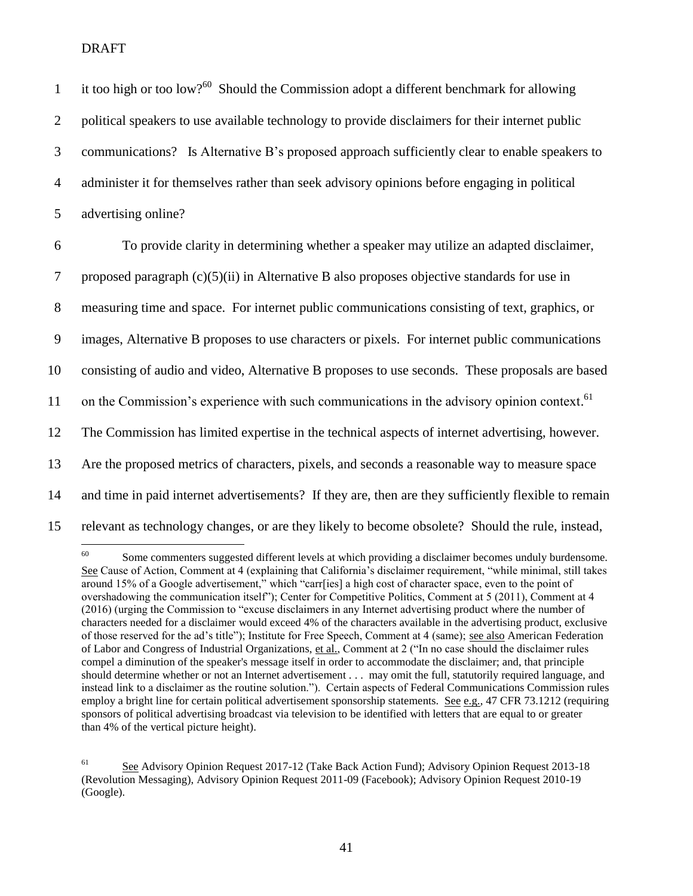| $\mathbf{1}$   | it too high or too low? <sup>60</sup> Should the Commission adopt a different benchmark for allowing   |
|----------------|--------------------------------------------------------------------------------------------------------|
| $\overline{2}$ | political speakers to use available technology to provide disclaimers for their internet public        |
| 3              | communications? Is Alternative B's proposed approach sufficiently clear to enable speakers to          |
| $\overline{4}$ | administer it for themselves rather than seek advisory opinions before engaging in political           |
| 5              | advertising online?                                                                                    |
| 6              | To provide clarity in determining whether a speaker may utilize an adapted disclaimer,                 |
| 7              | proposed paragraph $(c)(5)(ii)$ in Alternative B also proposes objective standards for use in          |
| $8\,$          | measuring time and space. For internet public communications consisting of text, graphics, or          |
| 9              | images, Alternative B proposes to use characters or pixels. For internet public communications         |
| 10             | consisting of audio and video, Alternative B proposes to use seconds. These proposals are based        |
| 11             | on the Commission's experience with such communications in the advisory opinion context. <sup>61</sup> |
| 12             | The Commission has limited expertise in the technical aspects of internet advertising, however.        |
| 13             | Are the proposed metrics of characters, pixels, and seconds a reasonable way to measure space          |
| 14             | and time in paid internet advertisements? If they are, then are they sufficiently flexible to remain   |
| 15             | relevant as technology changes, or are they likely to become obsolete? Should the rule, instead,       |

 $60\,$ Some commenters suggested different levels at which providing a disclaimer becomes unduly burdensome. See Cause of Action, Comment at 4 (explaining that California's disclaimer requirement, "while minimal, still takes around 15% of a Google advertisement," which "carr[ies] a high cost of character space, even to the point of overshadowing the communication itself"); Center for Competitive Politics, Comment at 5 (2011), Comment at 4 (2016) (urging the Commission to "excuse disclaimers in any Internet advertising product where the number of characters needed for a disclaimer would exceed 4% of the characters available in the advertising product, exclusive of those reserved for the ad's title"); Institute for Free Speech, Comment at 4 (same); see also American Federation of Labor and Congress of Industrial Organizations, et al., Comment at 2 ("In no case should the disclaimer rules compel a diminution of the speaker's message itself in order to accommodate the disclaimer; and, that principle should determine whether or not an Internet advertisement . . . may omit the full, statutorily required language, and instead link to a disclaimer as the routine solution."). Certain aspects of Federal Communications Commission rules employ a bright line for certain political advertisement sponsorship statements. See e.g., 47 CFR 73.1212 (requiring sponsors of political advertising broadcast via television to be identified with letters that are equal to or greater than 4% of the vertical picture height).

<sup>&</sup>lt;sup>61</sup> See Advisory Opinion Request 2017-12 (Take Back Action Fund); Advisory Opinion Request 2013-18 (Revolution Messaging), Advisory Opinion Request 2011-09 (Facebook); Advisory Opinion Request 2010-19 (Google).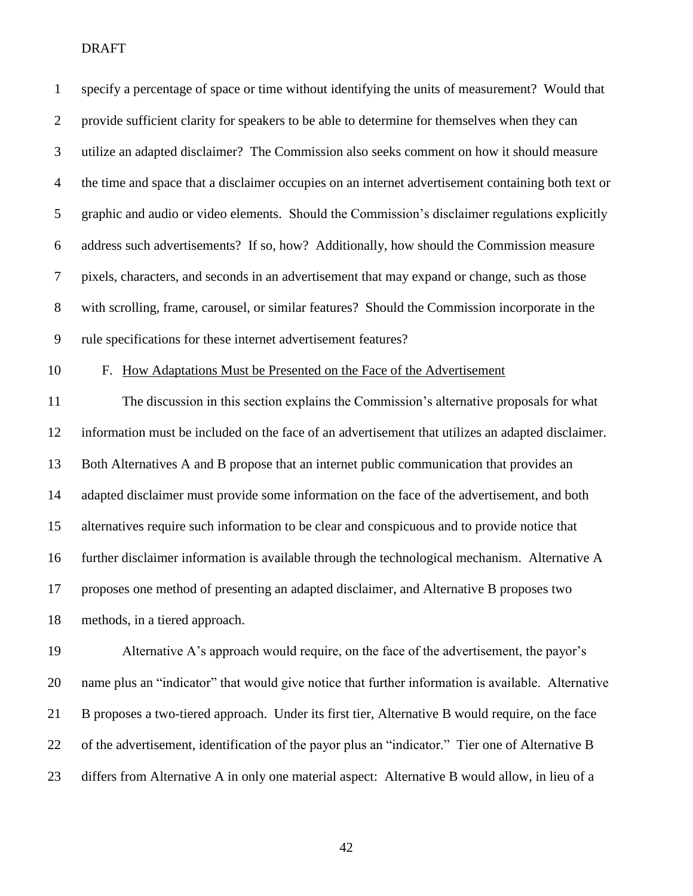| $\mathbf{1}$   | specify a percentage of space or time without identifying the units of measurement? Would that     |
|----------------|----------------------------------------------------------------------------------------------------|
| $\overline{2}$ | provide sufficient clarity for speakers to be able to determine for themselves when they can       |
| 3              | utilize an adapted disclaimer? The Commission also seeks comment on how it should measure          |
| $\overline{4}$ | the time and space that a disclaimer occupies on an internet advertisement containing both text or |
| $\mathfrak{S}$ | graphic and audio or video elements. Should the Commission's disclaimer regulations explicitly     |
| 6              | address such advertisements? If so, how? Additionally, how should the Commission measure           |
| $\tau$         | pixels, characters, and seconds in an advertisement that may expand or change, such as those       |
| $8\,$          | with scrolling, frame, carousel, or similar features? Should the Commission incorporate in the     |
| 9              | rule specifications for these internet advertisement features?                                     |
| 10             | F. How Adaptations Must be Presented on the Face of the Advertisement                              |
| 11             | The discussion in this section explains the Commission's alternative proposals for what            |
| 12             | information must be included on the face of an advertisement that utilizes an adapted disclaimer.  |
| 13             | Both Alternatives A and B propose that an internet public communication that provides an           |
| 14             | adapted disclaimer must provide some information on the face of the advertisement, and both        |
| 15             | alternatives require such information to be clear and conspicuous and to provide notice that       |
| 16             | further disclaimer information is available through the technological mechanism. Alternative A     |
| 17             | proposes one method of presenting an adapted disclaimer, and Alternative B proposes two            |
| 18             | methods, in a tiered approach.                                                                     |
| 19             | Alternative A's approach would require, on the face of the advertisement, the payor's              |
| 20             | name plus an "indicator" that would give notice that further information is available. Alternative |
| 21             | B proposes a two-tiered approach. Under its first tier, Alternative B would require, on the face   |

of the advertisement, identification of the payor plus an "indicator." Tier one of Alternative B

differs from Alternative A in only one material aspect: Alternative B would allow, in lieu of a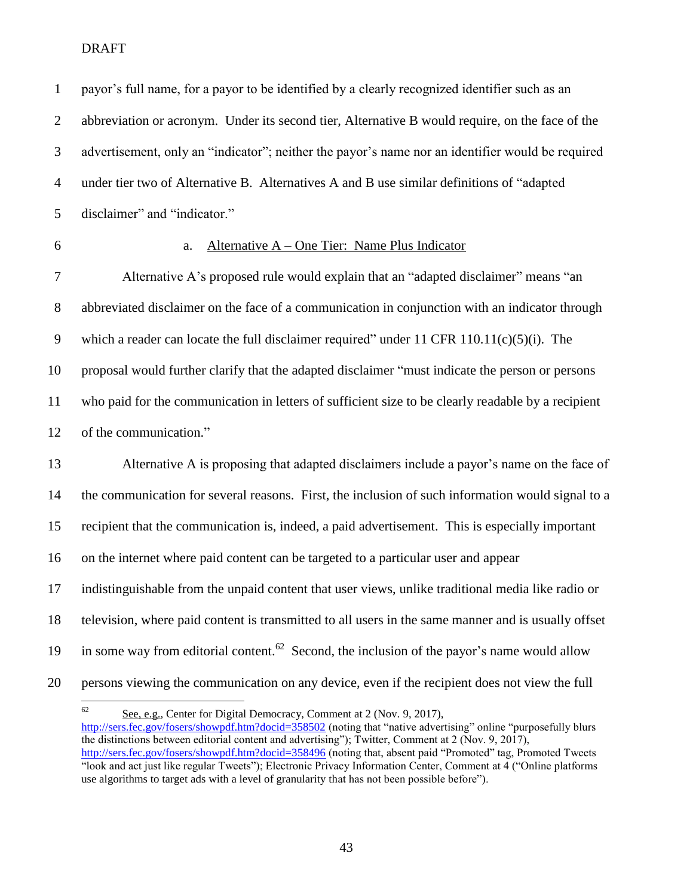| $\mathbf{1}$     | payor's full name, for a payor to be identified by a clearly recognized identifier such as an           |
|------------------|---------------------------------------------------------------------------------------------------------|
| $\overline{2}$   | abbreviation or acronym. Under its second tier, Alternative B would require, on the face of the         |
| 3                | advertisement, only an "indicator"; neither the payor's name nor an identifier would be required        |
| $\overline{4}$   | under tier two of Alternative B. Alternatives A and B use similar definitions of "adapted               |
| 5                | disclaimer" and "indicator."                                                                            |
| 6                | Alternative A – One Tier: Name Plus Indicator<br>a.                                                     |
| 7                | Alternative A's proposed rule would explain that an "adapted disclaimer" means "an                      |
| $8\,$            | abbreviated disclaimer on the face of a communication in conjunction with an indicator through          |
| $\boldsymbol{9}$ | which a reader can locate the full disclaimer required" under $11$ CFR $110.11(c)(5)(i)$ . The          |
| 10               | proposal would further clarify that the adapted disclaimer "must indicate the person or persons         |
| 11               | who paid for the communication in letters of sufficient size to be clearly readable by a recipient      |
| 12               | of the communication."                                                                                  |
| 13               | Alternative A is proposing that adapted disclaimers include a payor's name on the face of               |
| 14               | the communication for several reasons. First, the inclusion of such information would signal to a       |
| 15               | recipient that the communication is, indeed, a paid advertisement. This is especially important         |
| 16               | on the internet where paid content can be targeted to a particular user and appear                      |
| 17               | indistinguishable from the unpaid content that user views, unlike traditional media like radio or       |
| 18               | television, where paid content is transmitted to all users in the same manner and is usually offset     |
| 19               | in some way from editorial content. <sup>62</sup> Second, the inclusion of the payor's name would allow |
| 20               | persons viewing the communication on any device, even if the recipient does not view the full           |

 $62\,$ See, e.g., Center for Digital Democracy, Comment at 2 (Nov. 9, 2017), <http://sers.fec.gov/fosers/showpdf.htm?docid=358502> (noting that "native advertising" online "purposefully blurs the distinctions between editorial content and advertising"); Twitter, Comment at 2 (Nov. 9, 2017), <http://sers.fec.gov/fosers/showpdf.htm?docid=358496> (noting that, absent paid "Promoted" tag, Promoted Tweets "look and act just like regular Tweets"); Electronic Privacy Information Center, Comment at 4 ("Online platforms use algorithms to target ads with a level of granularity that has not been possible before").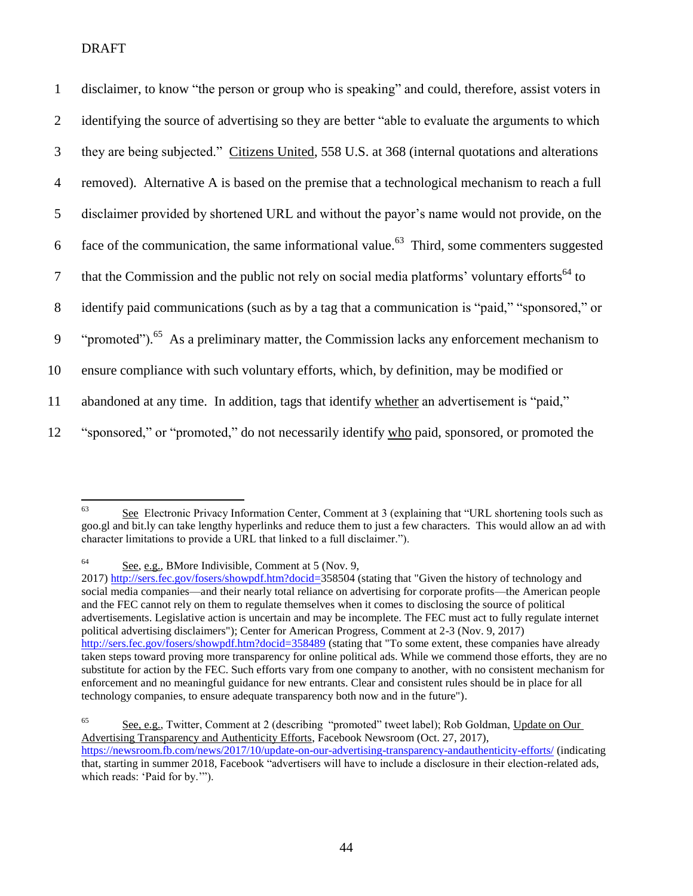| 1              | disclaimer, to know "the person or group who is speaking" and could, therefore, assist voters in          |
|----------------|-----------------------------------------------------------------------------------------------------------|
| 2              | identifying the source of advertising so they are better "able to evaluate the arguments to which         |
| 3              | they are being subjected." Citizens United, 558 U.S. at 368 (internal quotations and alterations          |
| $\overline{4}$ | removed). Alternative A is based on the premise that a technological mechanism to reach a full            |
| 5              | disclaimer provided by shortened URL and without the payor's name would not provide, on the               |
| 6              | face of the communication, the same informational value. <sup>63</sup> Third, some commenters suggested   |
| $\tau$         | that the Commission and the public not rely on social media platforms' voluntary efforts <sup>64</sup> to |
| 8              | identify paid communications (such as by a tag that a communication is "paid," "sponsored," or            |
| 9              | "promoted"). <sup>65</sup> As a preliminary matter, the Commission lacks any enforcement mechanism to     |
| 10             | ensure compliance with such voluntary efforts, which, by definition, may be modified or                   |
| 11             | abandoned at any time. In addition, tags that identify whether an advertisement is "paid,"                |
| 12             | "sponsored," or "promoted," do not necessarily identify who paid, sponsored, or promoted the              |

<sup>64</sup> See, e.g., BMore Indivisible, Comment at 5 (Nov. 9,

 $63$ See Electronic Privacy Information Center, Comment at 3 (explaining that "URL shortening tools such as goo.gl and bit.ly can take lengthy hyperlinks and reduce them to just a few characters. This would allow an ad with character limitations to provide a URL that linked to a full disclaimer.").

<sup>2017)</sup> [http://sers.fec.gov/fosers/showpdf.htm?docid=3](http://sers.fec.gov/fosers/showpdf.htm?docid=)58504 (stating that "Given the history of technology and social media companies—and their nearly total reliance on advertising for corporate profits—the American people and the FEC cannot rely on them to regulate themselves when it comes to disclosing the source of political advertisements. Legislative action is uncertain and may be incomplete. The FEC must act to fully regulate internet political advertising disclaimers"); Center for American Progress, Comment at 2-3 (Nov. 9, 2017) <http://sers.fec.gov/fosers/showpdf.htm?docid=358489> (stating that "To some extent, these companies have already taken steps toward proving more transparency for online political ads. While we commend those efforts, they are no substitute for action by the FEC. Such efforts vary from one company to another, with no consistent mechanism for enforcement and no meaningful guidance for new entrants. Clear and consistent rules should be in place for all technology companies, to ensure adequate transparency both now and in the future").

<sup>&</sup>lt;sup>65</sup> See, e.g., Twitter, Comment at 2 (describing "promoted" tweet label); Rob Goldman, Update on Our Advertising Transparency and Authenticity Efforts, Facebook Newsroom (Oct. 27, 2017), <https://newsroom.fb.com/news/2017/10/update-on-our-advertising-transparency-andauthenticity-efforts/> (indicating that, starting in summer 2018, Facebook "advertisers will have to include a disclosure in their election-related ads, which reads: 'Paid for by.'").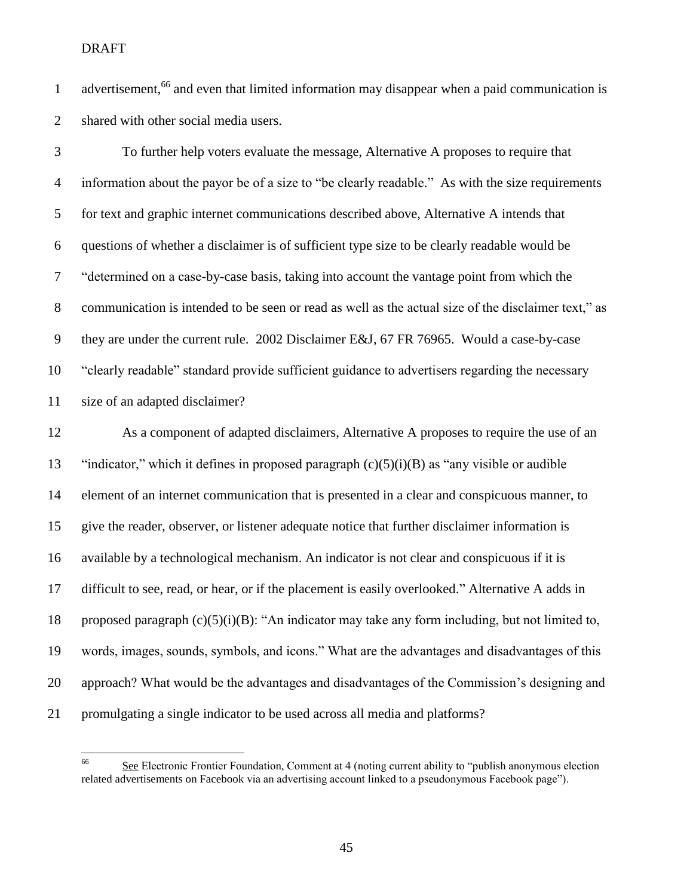1 advertisement,<sup>66</sup> and even that limited information may disappear when a paid communication is shared with other social media users.

 To further help voters evaluate the message, Alternative A proposes to require that information about the payor be of a size to "be clearly readable." As with the size requirements for text and graphic internet communications described above, Alternative A intends that questions of whether a disclaimer is of sufficient type size to be clearly readable would be "determined on a case-by-case basis, taking into account the vantage point from which the communication is intended to be seen or read as well as the actual size of the disclaimer text," as they are under the current rule. 2002 Disclaimer E&J, 67 FR 76965. Would a case-by-case "clearly readable" standard provide sufficient guidance to advertisers regarding the necessary size of an adapted disclaimer?

 As a component of adapted disclaimers, Alternative A proposes to require the use of an 13 "indicator," which it defines in proposed paragraph  $(c)(5)(i)(B)$  as "any visible or audible element of an internet communication that is presented in a clear and conspicuous manner, to give the reader, observer, or listener adequate notice that further disclaimer information is available by a technological mechanism. An indicator is not clear and conspicuous if it is difficult to see, read, or hear, or if the placement is easily overlooked." Alternative A adds in 18 proposed paragraph  $(c)(5)(i)(B)$ : "An indicator may take any form including, but not limited to, words, images, sounds, symbols, and icons." What are the advantages and disadvantages of this approach? What would be the advantages and disadvantages of the Commission's designing and promulgating a single indicator to be used across all media and platforms?

See Electronic Frontier Foundation, Comment at 4 (noting current ability to "publish anonymous election related advertisements on Facebook via an advertising account linked to a pseudonymous Facebook page").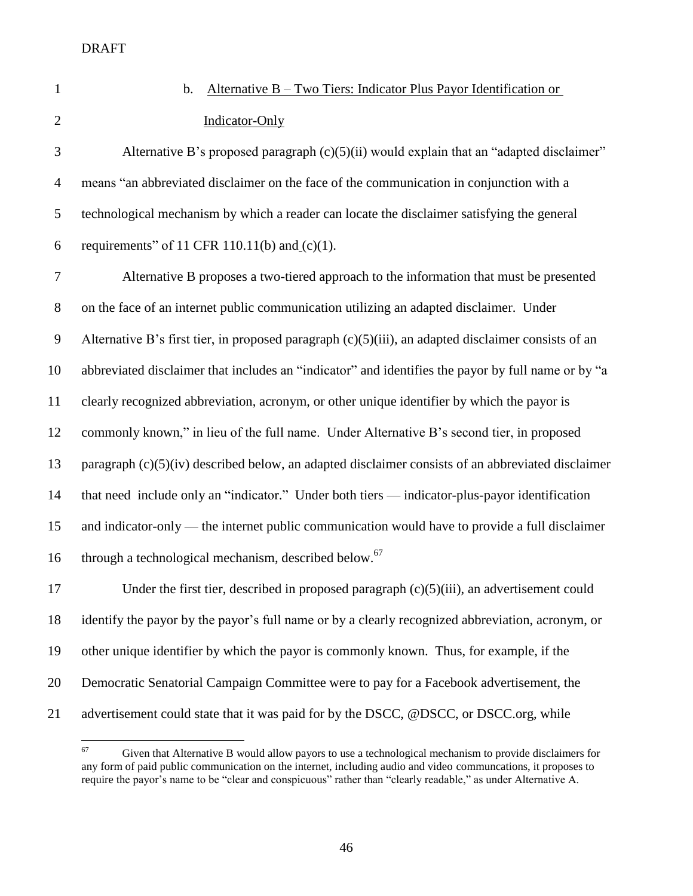# b. Alternative B – Two Tiers: Indicator Plus Payor Identification or Indicator-Only

 Alternative B's proposed paragraph (c)(5)(ii) would explain that an "adapted disclaimer" means "an abbreviated disclaimer on the face of the communication in conjunction with a technological mechanism by which a reader can locate the disclaimer satisfying the general 6 requirements" of 11 CFR 110.11(b) and  $(c)(1)$ .

 Alternative B proposes a two-tiered approach to the information that must be presented on the face of an internet public communication utilizing an adapted disclaimer. Under Alternative B's first tier, in proposed paragraph (c)(5)(iii), an adapted disclaimer consists of an abbreviated disclaimer that includes an "indicator" and identifies the payor by full name or by "a clearly recognized abbreviation, acronym, or other unique identifier by which the payor is commonly known," in lieu of the full name. Under Alternative B's second tier, in proposed paragraph (c)(5)(iv) described below, an adapted disclaimer consists of an abbreviated disclaimer that need include only an "indicator." Under both tiers — indicator-plus-payor identification and indicator-only — the internet public communication would have to provide a full disclaimer 16 through a technological mechanism, described below.<sup>67</sup> 17 Under the first tier, described in proposed paragraph (c)(5)(iii), an advertisement could identify the payor by the payor's full name or by a clearly recognized abbreviation, acronym, or other unique identifier by which the payor is commonly known. Thus, for example, if the

- Democratic Senatorial Campaign Committee were to pay for a Facebook advertisement, the
- 21 advertisement could state that it was paid for by the DSCC, @DSCC, or DSCC.org, while

Given that Alternative B would allow payors to use a technological mechanism to provide disclaimers for any form of paid public communication on the internet, including audio and video communcations, it proposes to require the payor's name to be "clear and conspicuous" rather than "clearly readable," as under Alternative A.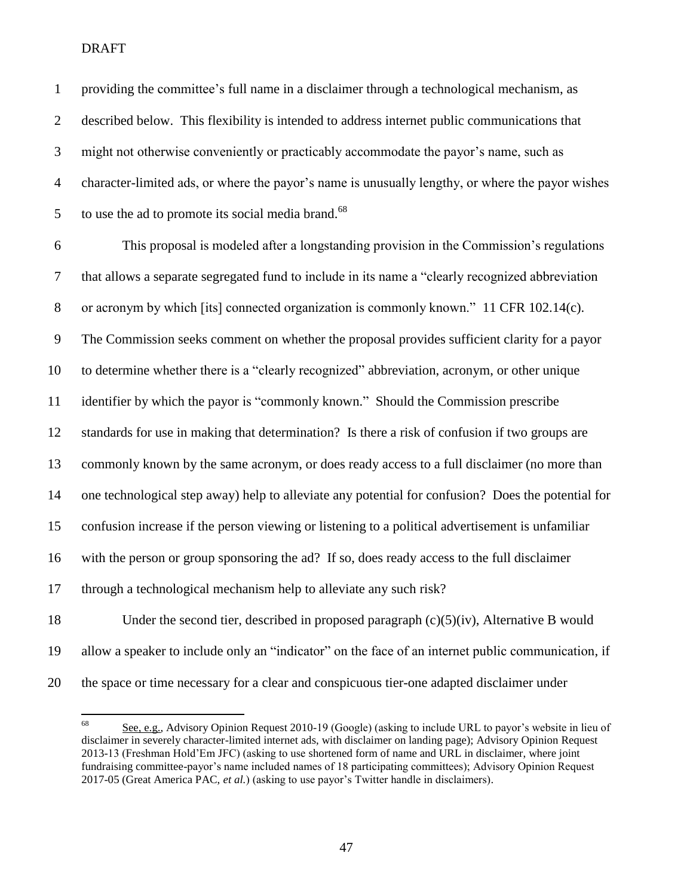providing the committee's full name in a disclaimer through a technological mechanism, as described below. This flexibility is intended to address internet public communications that might not otherwise conveniently or practicably accommodate the payor's name, such as character-limited ads, or where the payor's name is unusually lengthy, or where the payor wishes 5 to use the ad to promote its social media brand. This proposal is modeled after a longstanding provision in the Commission's regulations that allows a separate segregated fund to include in its name a "clearly recognized abbreviation or acronym by which [its] connected organization is commonly known." 11 CFR 102.14(c). The Commission seeks comment on whether the proposal provides sufficient clarity for a payor to determine whether there is a "clearly recognized" abbreviation, acronym, or other unique identifier by which the payor is "commonly known." Should the Commission prescribe standards for use in making that determination? Is there a risk of confusion if two groups are commonly known by the same acronym, or does ready access to a full disclaimer (no more than one technological step away) help to alleviate any potential for confusion? Does the potential for confusion increase if the person viewing or listening to a political advertisement is unfamiliar with the person or group sponsoring the ad? If so, does ready access to the full disclaimer through a technological mechanism help to alleviate any such risk?

18 Under the second tier, described in proposed paragraph  $(c)(5)(iv)$ , Alternative B would allow a speaker to include only an "indicator" on the face of an internet public communication, if the space or time necessary for a clear and conspicuous tier-one adapted disclaimer under

 $68\,$ See, e.g., Advisory Opinion Request 2010-19 (Google) (asking to include URL to payor's website in lieu of disclaimer in severely character-limited internet ads, with disclaimer on landing page); Advisory Opinion Request 2013-13 (Freshman Hold'Em JFC) (asking to use shortened form of name and URL in disclaimer, where joint fundraising committee-payor's name included names of 18 participating committees); Advisory Opinion Request 2017-05 (Great America PAC, *et al.*) (asking to use payor's Twitter handle in disclaimers).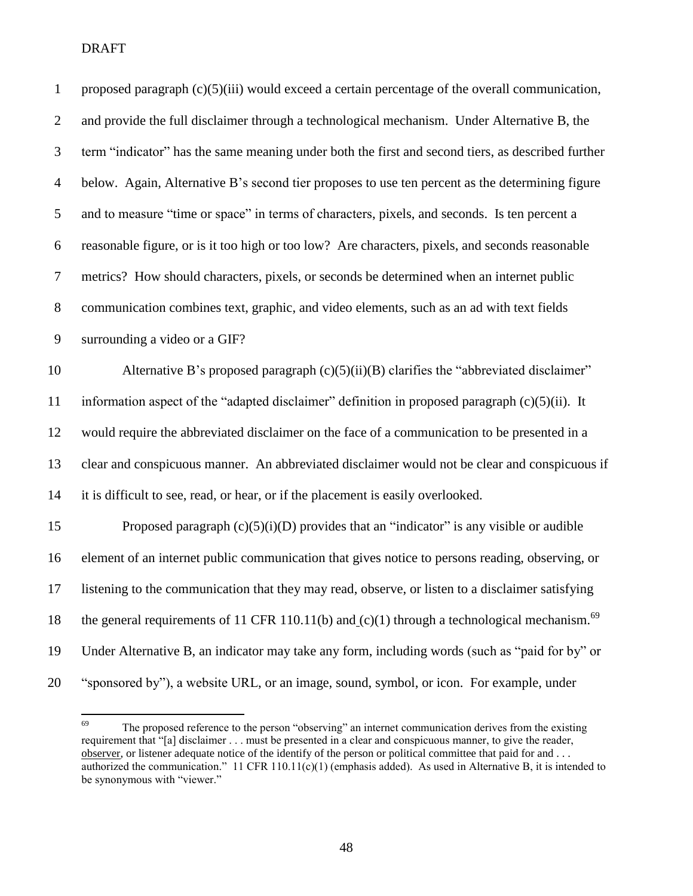| $\mathbf{1}$     | proposed paragraph (c)(5)(iii) would exceed a certain percentage of the overall communication,             |
|------------------|------------------------------------------------------------------------------------------------------------|
| $\overline{2}$   | and provide the full disclaimer through a technological mechanism. Under Alternative B, the                |
| $\mathfrak{Z}$   | term "indicator" has the same meaning under both the first and second tiers, as described further          |
| $\overline{4}$   | below. Again, Alternative B's second tier proposes to use ten percent as the determining figure            |
| 5                | and to measure "time or space" in terms of characters, pixels, and seconds. Is ten percent a               |
| $\boldsymbol{6}$ | reasonable figure, or is it too high or too low? Are characters, pixels, and seconds reasonable            |
| $\tau$           | metrics? How should characters, pixels, or seconds be determined when an internet public                   |
| $8\,$            | communication combines text, graphic, and video elements, such as an ad with text fields                   |
| $\mathbf{9}$     | surrounding a video or a GIF?                                                                              |
| 10               | Alternative B's proposed paragraph (c)(5)(ii)(B) clarifies the "abbreviated disclaimer"                    |
| 11               | information aspect of the "adapted disclaimer" definition in proposed paragraph (c)(5)(ii). It             |
| 12               | would require the abbreviated disclaimer on the face of a communication to be presented in a               |
| 13               | clear and conspicuous manner. An abbreviated disclaimer would not be clear and conspicuous if              |
| 14               | it is difficult to see, read, or hear, or if the placement is easily overlooked.                           |
| 15               | Proposed paragraph $(c)(5)(i)(D)$ provides that an "indicator" is any visible or audible                   |
| 16               | element of an internet public communication that gives notice to persons reading, observing, or            |
| 17               | listening to the communication that they may read, observe, or listen to a disclaimer satisfying           |
| 18               | the general requirements of 11 CFR 110.11(b) and $(c)(1)$ through a technological mechanism. <sup>69</sup> |
| 19               | Under Alternative B, an indicator may take any form, including words (such as "paid for by" or             |
| 20               | "sponsored by"), a website URL, or an image, sound, symbol, or icon. For example, under                    |

<sup>69</sup> The proposed reference to the person "observing" an internet communication derives from the existing requirement that "[a] disclaimer . . . must be presented in a clear and conspicuous manner, to give the reader, observer, or listener adequate notice of the identify of the person or political committee that paid for and ... authorized the communication." 11 CFR 110.11(c)(1) (emphasis added). As used in Alternative B, it is intended to be synonymous with "viewer."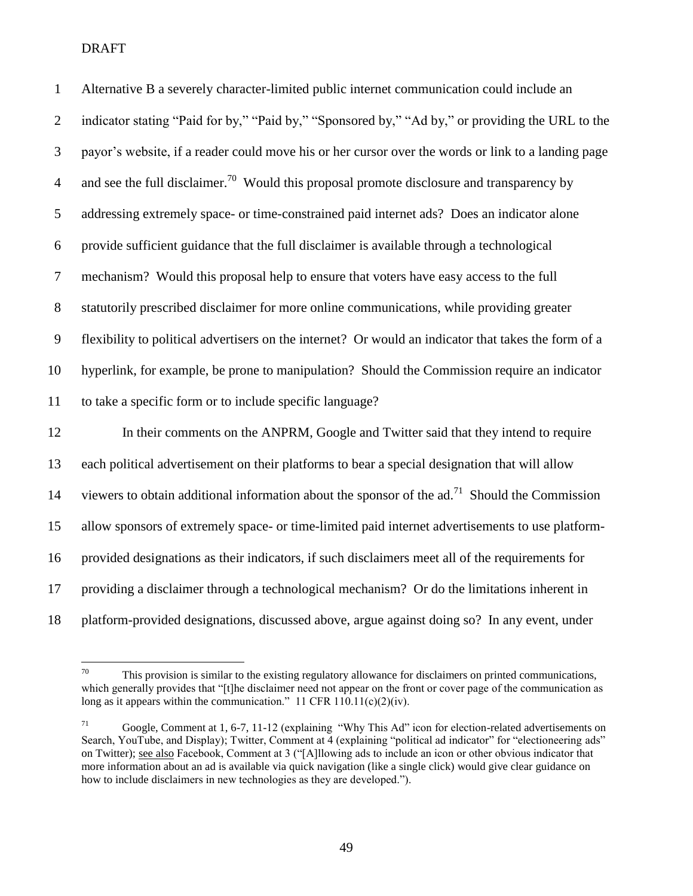| $\mathbf{1}$   | Alternative B a severely character-limited public internet communication could include an             |
|----------------|-------------------------------------------------------------------------------------------------------|
| $\mathbf{2}$   | indicator stating "Paid for by," "Paid by," "Sponsored by," "Ad by," or providing the URL to the      |
| 3              | payor's website, if a reader could move his or her cursor over the words or link to a landing page    |
| $\overline{4}$ | and see the full disclaimer. <sup>70</sup> Would this proposal promote disclosure and transparency by |
| 5              | addressing extremely space- or time-constrained paid internet ads? Does an indicator alone            |
| $6\,$          | provide sufficient guidance that the full disclaimer is available through a technological             |
| $\tau$         | mechanism? Would this proposal help to ensure that voters have easy access to the full                |
| $8\,$          | statutorily prescribed disclaimer for more online communications, while providing greater             |
| 9              | flexibility to political advertisers on the internet? Or would an indicator that takes the form of a  |
| 10             | hyperlink, for example, be prone to manipulation? Should the Commission require an indicator          |
| 11             | to take a specific form or to include specific language?                                              |
| 12             | In their comments on the ANPRM, Google and Twitter said that they intend to require                   |
| 13             | each political advertisement on their platforms to bear a special designation that will allow         |
| 14             | viewers to obtain additional information about the sponsor of the $ad.71$ Should the Commission       |
| 15             | allow sponsors of extremely space- or time-limited paid internet advertisements to use platform-      |
| 16             | provided designations as their indicators, if such disclaimers meet all of the requirements for       |
| 17             | providing a disclaimer through a technological mechanism? Or do the limitations inherent in           |
| 18             | platform-provided designations, discussed above, argue against doing so? In any event, under          |

 $70^{\circ}$ This provision is similar to the existing regulatory allowance for disclaimers on printed communications, which generally provides that "[t]he disclaimer need not appear on the front or cover page of the communication as long as it appears within the communication." 11 CFR 110.11(c)(2)(iv).

 Google, Comment at 1, 6-7, 11-12 (explaining "Why This Ad" icon for election-related advertisements on Search, YouTube, and Display); Twitter, Comment at 4 (explaining "political ad indicator" for "electioneering ads" on Twitter); see also Facebook, Comment at 3 ("[A]llowing ads to include an icon or other obvious indicator that more information about an ad is available via quick navigation (like a single click) would give clear guidance on how to include disclaimers in new technologies as they are developed.").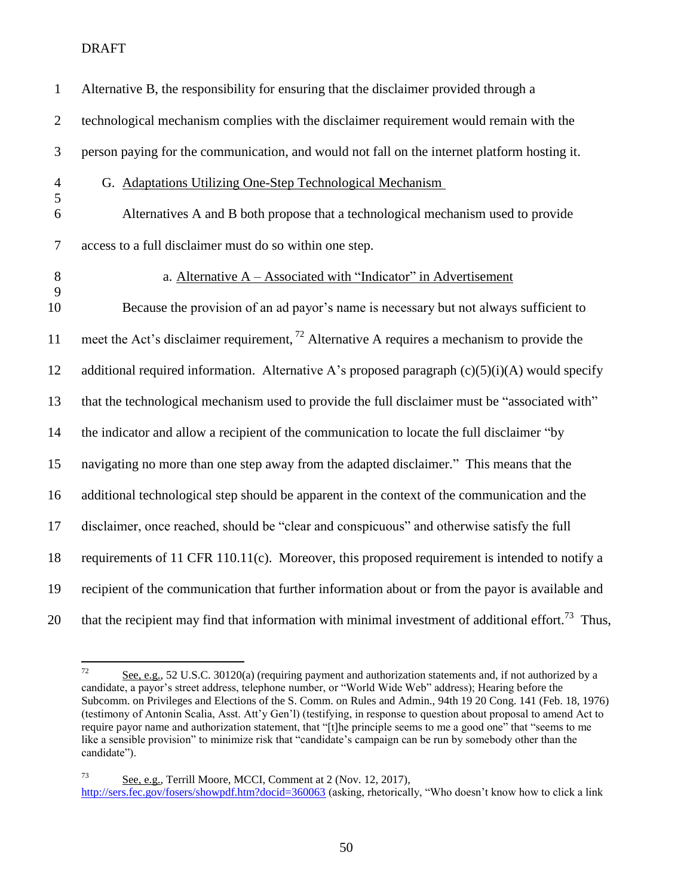| $\mathbf{1}$       | Alternative B, the responsibility for ensuring that the disclaimer provided through a                          |  |  |
|--------------------|----------------------------------------------------------------------------------------------------------------|--|--|
| $\mathbf{2}$       | technological mechanism complies with the disclaimer requirement would remain with the                         |  |  |
| 3                  | person paying for the communication, and would not fall on the internet platform hosting it.                   |  |  |
| $\overline{4}$     | G. Adaptations Utilizing One-Step Technological Mechanism                                                      |  |  |
| $\mathfrak s$<br>6 | Alternatives A and B both propose that a technological mechanism used to provide                               |  |  |
| $\boldsymbol{7}$   | access to a full disclaimer must do so within one step.                                                        |  |  |
| $8\,$<br>9         | a. Alternative A - Associated with "Indicator" in Advertisement                                                |  |  |
| 10                 | Because the provision of an ad payor's name is necessary but not always sufficient to                          |  |  |
| 11                 | meet the Act's disclaimer requirement, $^{72}$ Alternative A requires a mechanism to provide the               |  |  |
| 12                 | additional required information. Alternative A's proposed paragraph $(c)(5)(i)(A)$ would specify               |  |  |
| 13                 | that the technological mechanism used to provide the full disclaimer must be "associated with"                 |  |  |
| 14                 | the indicator and allow a recipient of the communication to locate the full disclaimer "by                     |  |  |
| 15                 | navigating no more than one step away from the adapted disclaimer." This means that the                        |  |  |
| 16                 | additional technological step should be apparent in the context of the communication and the                   |  |  |
| 17                 | disclaimer, once reached, should be "clear and conspicuous" and otherwise satisfy the full                     |  |  |
| 18                 | requirements of 11 CFR 110.11(c). Moreover, this proposed requirement is intended to notify a                  |  |  |
| 19                 | recipient of the communication that further information about or from the payor is available and               |  |  |
| 20                 | that the recipient may find that information with minimal investment of additional effort. <sup>73</sup> Thus, |  |  |

 $72\,$ See, e.g., 52 U.S.C. 30120(a) (requiring payment and authorization statements and, if not authorized by a candidate, a payor's street address, telephone number, or "World Wide Web" address); Hearing before the Subcomm. on Privileges and Elections of the S. Comm. on Rules and Admin., 94th 19 20 Cong. 141 (Feb. 18, 1976) (testimony of Antonin Scalia, Asst. Att'y Gen'l) (testifying, in response to question about proposal to amend Act to require payor name and authorization statement, that "[t]he principle seems to me a good one" that "seems to me like a sensible provision" to minimize risk that "candidate's campaign can be run by somebody other than the candidate").

 See, e.g., Terrill Moore, MCCI, Comment at 2 (Nov. 12, 2017), <http://sers.fec.gov/fosers/showpdf.htm?docid=360063> (asking, rhetorically, "Who doesn't know how to click a link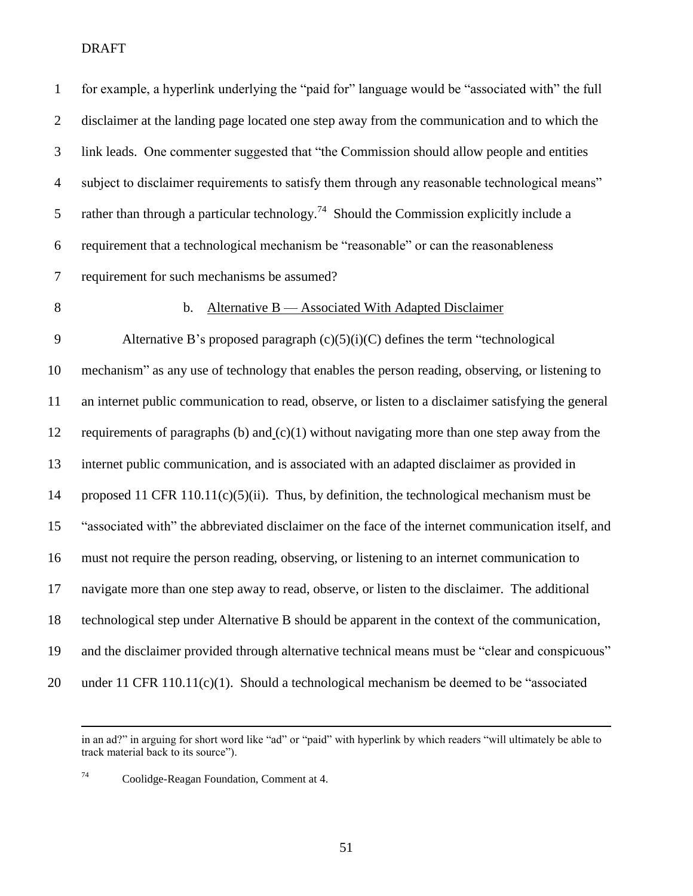for example, a hyperlink underlying the "paid for" language would be "associated with" the full disclaimer at the landing page located one step away from the communication and to which the link leads. One commenter suggested that "the Commission should allow people and entities subject to disclaimer requirements to satisfy them through any reasonable technological means" 5 rather than through a particular technology.<sup>74</sup> Should the Commission explicitly include a requirement that a technological mechanism be "reasonable" or can the reasonableness requirement for such mechanisms be assumed?

 $\overline{a}$ 

### b. Alternative B — Associated With Adapted Disclaimer

 Alternative B's proposed paragraph (c)(5)(i)(C) defines the term "technological mechanism" as any use of technology that enables the person reading, observing, or listening to an internet public communication to read, observe, or listen to a disclaimer satisfying the general requirements of paragraphs (b) and (c)(1) without navigating more than one step away from the internet public communication, and is associated with an adapted disclaimer as provided in proposed 11 CFR 110.11(c)(5)(ii). Thus, by definition, the technological mechanism must be "associated with" the abbreviated disclaimer on the face of the internet communication itself, and must not require the person reading, observing, or listening to an internet communication to navigate more than one step away to read, observe, or listen to the disclaimer. The additional technological step under Alternative B should be apparent in the context of the communication, and the disclaimer provided through alternative technical means must be "clear and conspicuous" 20 under 11 CFR 110.11(c)(1). Should a technological mechanism be deemed to be "associated"

in an ad?" in arguing for short word like "ad" or "paid" with hyperlink by which readers "will ultimately be able to track material back to its source").

Coolidge-Reagan Foundation, Comment at 4.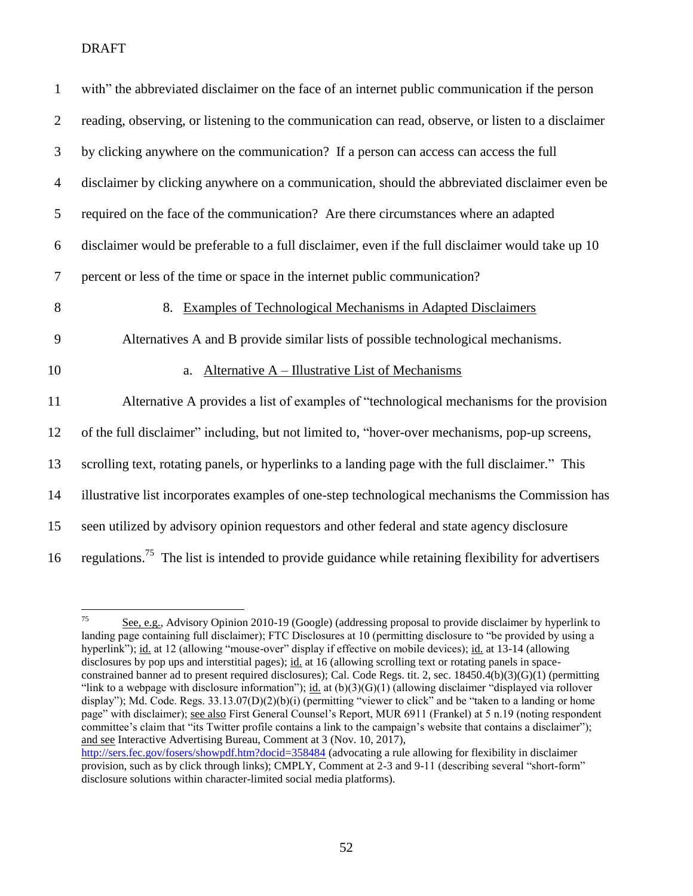| $\mathbf 1$      | with" the abbreviated disclaimer on the face of an internet public communication if the person                  |  |
|------------------|-----------------------------------------------------------------------------------------------------------------|--|
| $\overline{2}$   | reading, observing, or listening to the communication can read, observe, or listen to a disclaimer              |  |
| 3                | by clicking anywhere on the communication? If a person can access can access the full                           |  |
| $\overline{4}$   | disclaimer by clicking anywhere on a communication, should the abbreviated disclaimer even be                   |  |
| 5                | required on the face of the communication? Are there circumstances where an adapted                             |  |
| 6                | disclaimer would be preferable to a full disclaimer, even if the full disclaimer would take up 10               |  |
| $\boldsymbol{7}$ | percent or less of the time or space in the internet public communication?                                      |  |
| $8\,$            | Examples of Technological Mechanisms in Adapted Disclaimers<br>8.                                               |  |
| 9                | Alternatives A and B provide similar lists of possible technological mechanisms.                                |  |
| 10               | Alternative A – Illustrative List of Mechanisms<br>a.                                                           |  |
| 11               | Alternative A provides a list of examples of "technological mechanisms for the provision                        |  |
| 12               | of the full disclaimer" including, but not limited to, "hover-over mechanisms, pop-up screens,                  |  |
| 13               | scrolling text, rotating panels, or hyperlinks to a landing page with the full disclaimer." This                |  |
| 14               | illustrative list incorporates examples of one-step technological mechanisms the Commission has                 |  |
| 15               | seen utilized by advisory opinion requestors and other federal and state agency disclosure                      |  |
| 16               | regulations. <sup>75</sup> The list is intended to provide guidance while retaining flexibility for advertisers |  |

<sup>75</sup> See, e.g., Advisory Opinion 2010-19 (Google) (addressing proposal to provide disclaimer by hyperlink to landing page containing full disclaimer); FTC Disclosures at 10 (permitting disclosure to "be provided by using a hyperlink"); id. at 12 (allowing "mouse-over" display if effective on mobile devices); id. at 13-14 (allowing disclosures by pop ups and interstitial pages); id. at 16 (allowing scrolling text or rotating panels in spaceconstrained banner ad to present required disclosures); Cal. Code Regs. tit. 2, sec. 18450.4(b)(3)(G)(1) (permitting "link to a webpage with disclosure information"); id. at  $(b)(3)(G)(1)$  (allowing disclaimer "displayed via rollover display"); Md. Code. Regs. 33.13.07(D)(2)(b)(i) (permitting "viewer to click" and be "taken to a landing or home page" with disclaimer); see also First General Counsel's Report, MUR 6911 (Frankel) at 5 n.19 (noting respondent committee's claim that "its Twitter profile contains a link to the campaign's website that contains a disclaimer"); and see Interactive Advertising Bureau, Comment at 3 (Nov. 10, 2017), <http://sers.fec.gov/fosers/showpdf.htm?docid=358484> (advocating a rule allowing for flexibility in disclaimer provision, such as by click through links); CMPLY, Comment at 2-3 and 9-11 (describing several "short-form" disclosure solutions within character-limited social media platforms).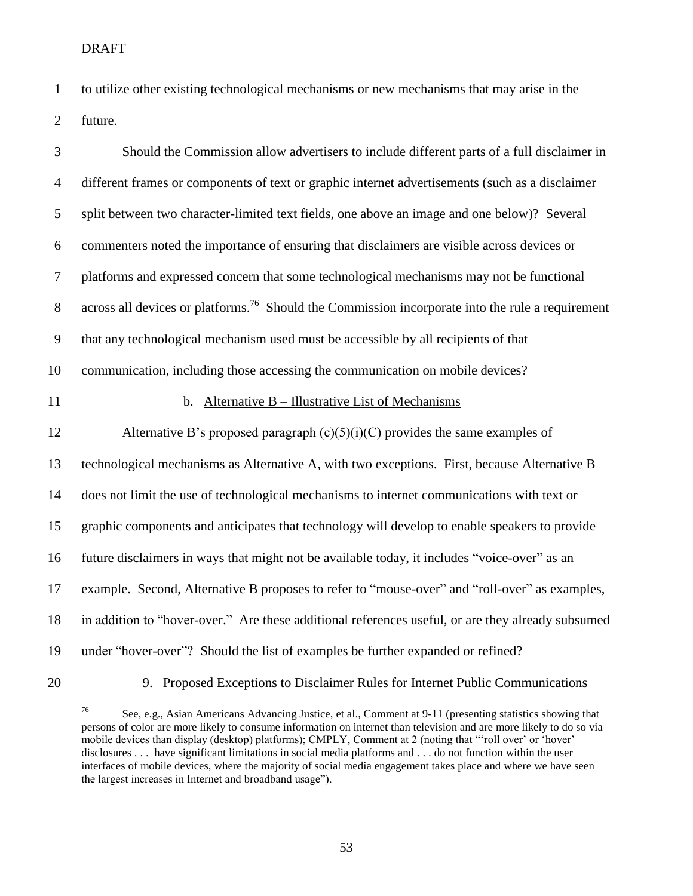to utilize other existing technological mechanisms or new mechanisms that may arise in the future.

| 3              | Should the Commission allow advertisers to include different parts of a full disclaimer in                   |
|----------------|--------------------------------------------------------------------------------------------------------------|
| $\overline{4}$ | different frames or components of text or graphic internet advertisements (such as a disclaimer              |
| 5              | split between two character-limited text fields, one above an image and one below)? Several                  |
| 6              | commenters noted the importance of ensuring that disclaimers are visible across devices or                   |
| $\overline{7}$ | platforms and expressed concern that some technological mechanisms may not be functional                     |
| 8              | across all devices or platforms. <sup>76</sup> Should the Commission incorporate into the rule a requirement |
| $\mathbf{9}$   | that any technological mechanism used must be accessible by all recipients of that                           |
| 10             | communication, including those accessing the communication on mobile devices?                                |
| 11             | b. Alternative B – Illustrative List of Mechanisms                                                           |
| 12             | Alternative B's proposed paragraph $(c)(5)(i)(C)$ provides the same examples of                              |
| 13             | technological mechanisms as Alternative A, with two exceptions. First, because Alternative B                 |
| 14             | does not limit the use of technological mechanisms to internet communications with text or                   |
| 15             | graphic components and anticipates that technology will develop to enable speakers to provide                |
| 16             | future disclaimers in ways that might not be available today, it includes "voice-over" as an                 |
| 17             | example. Second, Alternative B proposes to refer to "mouse-over" and "roll-over" as examples,                |
| 18             | in addition to "hover-over." Are these additional references useful, or are they already subsumed            |
| 19             | under "hover-over"? Should the list of examples be further expanded or refined?                              |
| 20             | 9. Proposed Exceptions to Disclaimer Rules for Internet Public Communications                                |

 $76\,$ See, e.g., Asian Americans Advancing Justice, et al., Comment at 9-11 (presenting statistics showing that persons of color are more likely to consume information on internet than television and are more likely to do so via mobile devices than display (desktop) platforms); CMPLY, Comment at 2 (noting that "'roll over' or 'hover' disclosures . . . have significant limitations in social media platforms and . . . do not function within the user interfaces of mobile devices, where the majority of social media engagement takes place and where we have seen the largest increases in Internet and broadband usage").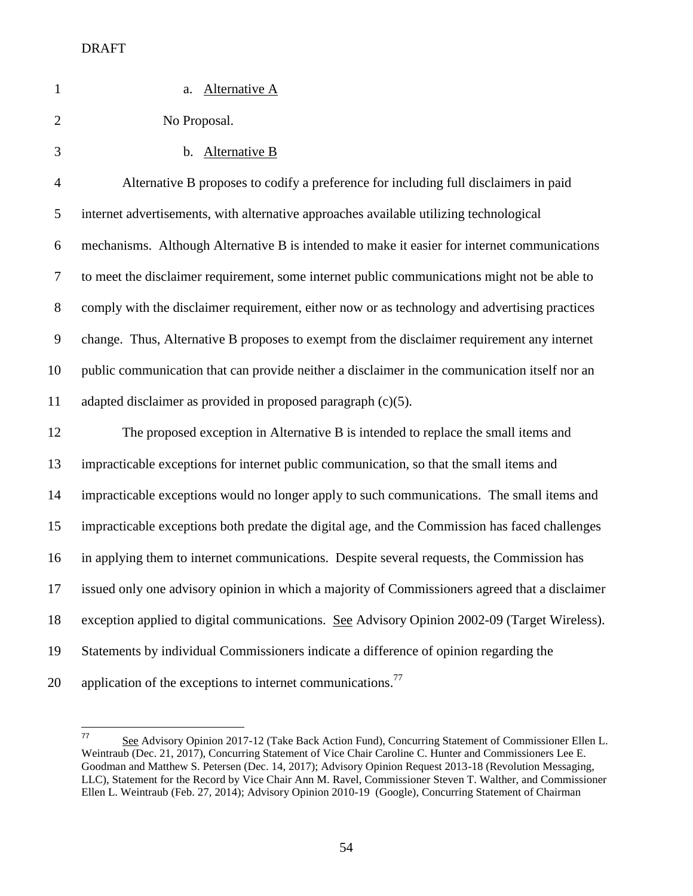| $\mathbf{1}$   | a. Alternative A                                                                               |
|----------------|------------------------------------------------------------------------------------------------|
| $\overline{2}$ | No Proposal.                                                                                   |
| 3              | b. Alternative B                                                                               |
| $\overline{4}$ | Alternative B proposes to codify a preference for including full disclaimers in paid           |
| 5              | internet advertisements, with alternative approaches available utilizing technological         |
| 6              | mechanisms. Although Alternative B is intended to make it easier for internet communications   |
| $\tau$         | to meet the disclaimer requirement, some internet public communications might not be able to   |
| 8              | comply with the disclaimer requirement, either now or as technology and advertising practices  |
| 9              | change. Thus, Alternative B proposes to exempt from the disclaimer requirement any internet    |
| 10             | public communication that can provide neither a disclaimer in the communication itself nor an  |
| 11             | adapted disclaimer as provided in proposed paragraph $(c)(5)$ .                                |
| 12             | The proposed exception in Alternative B is intended to replace the small items and             |
| 13             | impracticable exceptions for internet public communication, so that the small items and        |
| 14             | impracticable exceptions would no longer apply to such communications. The small items and     |
| 15             | impracticable exceptions both predate the digital age, and the Commission has faced challenges |
| 16             | in applying them to internet communications. Despite several requests, the Commission has      |
| 17             | issued only one advisory opinion in which a majority of Commissioners agreed that a disclaimer |
| 18             | exception applied to digital communications. See Advisory Opinion 2002-09 (Target Wireless).   |
| 19             | Statements by individual Commissioners indicate a difference of opinion regarding the          |
| 20             | application of the exceptions to internet communications. <sup>77</sup>                        |

 $77\,$ See Advisory Opinion 2017-12 (Take Back Action Fund), Concurring Statement of Commissioner Ellen L. Weintraub (Dec. 21, 2017), Concurring Statement of Vice Chair Caroline C. Hunter and Commissioners Lee E. Goodman and Matthew S. Petersen (Dec. 14, 2017); Advisory Opinion Request 2013-18 (Revolution Messaging, LLC), Statement for the Record by Vice Chair Ann M. Ravel, Commissioner Steven T. Walther, and Commissioner Ellen L. Weintraub (Feb. 27, 2014); Advisory Opinion 2010-19 (Google), Concurring Statement of Chairman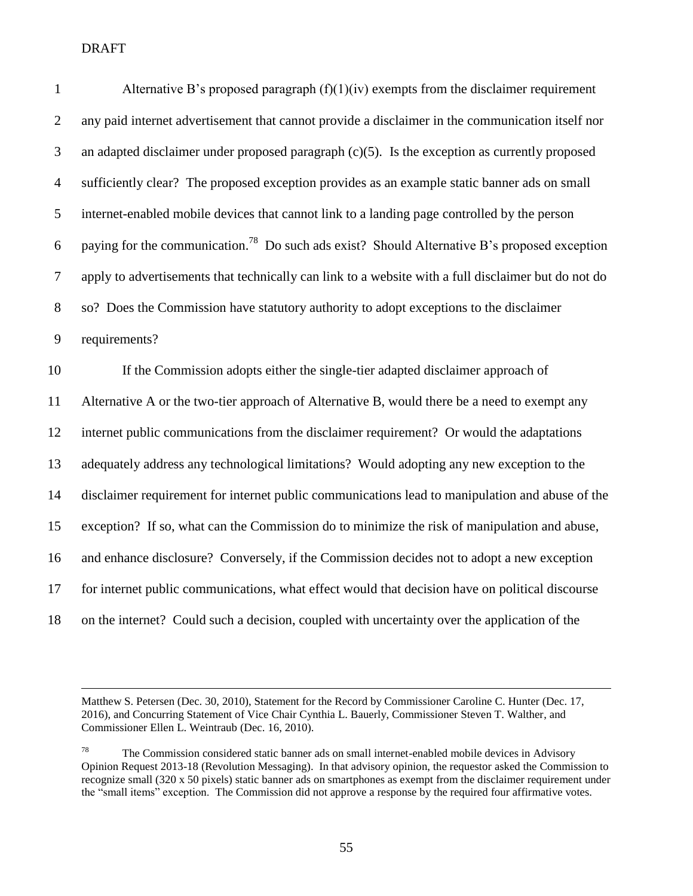$\overline{a}$ 

| $\mathbf{1}$     | Alternative B's proposed paragraph $(f)(1)(iv)$ exempts from the disclaimer requirement                  |  |
|------------------|----------------------------------------------------------------------------------------------------------|--|
| $\mathbf{2}$     | any paid internet advertisement that cannot provide a disclaimer in the communication itself nor         |  |
| 3                | an adapted disclaimer under proposed paragraph $(c)(5)$ . Is the exception as currently proposed         |  |
| $\overline{4}$   | sufficiently clear? The proposed exception provides as an example static banner ads on small             |  |
| $\mathfrak{S}$   | internet-enabled mobile devices that cannot link to a landing page controlled by the person              |  |
| $\boldsymbol{6}$ | paying for the communication. <sup>78</sup> Do such ads exist? Should Alternative B's proposed exception |  |
| $\tau$           | apply to advertisements that technically can link to a website with a full disclaimer but do not do      |  |
| $8\,$            | so? Does the Commission have statutory authority to adopt exceptions to the disclaimer                   |  |
| 9                | requirements?                                                                                            |  |
| 10               | If the Commission adopts either the single-tier adapted disclaimer approach of                           |  |
| 11               | Alternative A or the two-tier approach of Alternative B, would there be a need to exempt any             |  |
|                  |                                                                                                          |  |
| 12               | internet public communications from the disclaimer requirement? Or would the adaptations                 |  |
| 13               | adequately address any technological limitations? Would adopting any new exception to the                |  |
| 14               | disclaimer requirement for internet public communications lead to manipulation and abuse of the          |  |
| 15               | exception? If so, what can the Commission do to minimize the risk of manipulation and abuse,             |  |
| 16               | and enhance disclosure? Conversely, if the Commission decides not to adopt a new exception               |  |
| 17               | for internet public communications, what effect would that decision have on political discourse          |  |

Matthew S. Petersen (Dec. 30, 2010), Statement for the Record by Commissioner Caroline C. Hunter (Dec. 17, 2016), and Concurring Statement of Vice Chair Cynthia L. Bauerly, Commissioner Steven T. Walther, and Commissioner Ellen L. Weintraub (Dec. 16, 2010).

 The Commission considered static banner ads on small internet-enabled mobile devices in Advisory Opinion Request 2013-18 (Revolution Messaging). In that advisory opinion, the requestor asked the Commission to recognize small (320 x 50 pixels) static banner ads on smartphones as exempt from the disclaimer requirement under the "small items" exception. The Commission did not approve a response by the required four affirmative votes.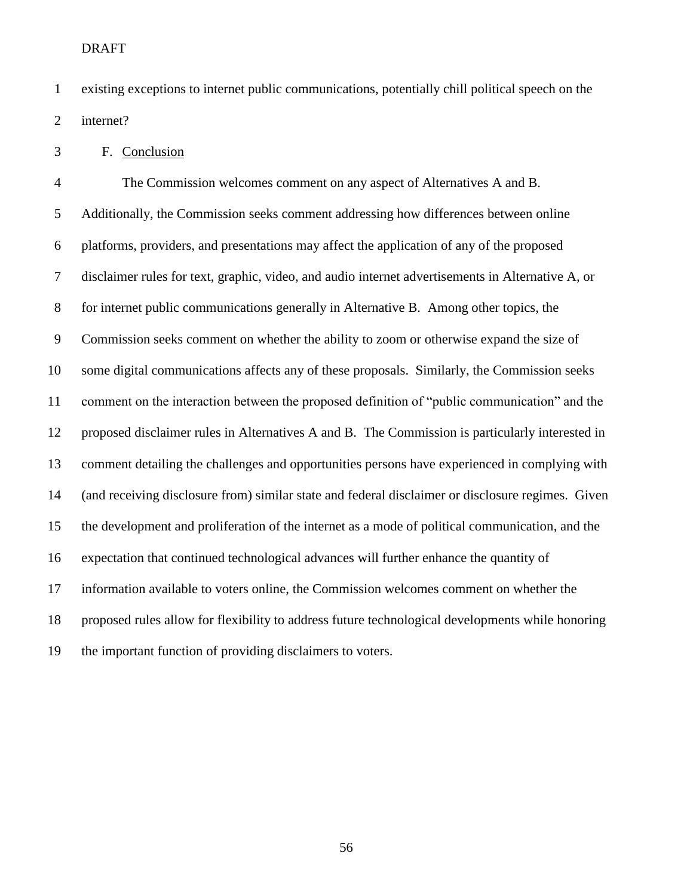existing exceptions to internet public communications, potentially chill political speech on the internet?

F. Conclusion

 The Commission welcomes comment on any aspect of Alternatives A and B. Additionally, the Commission seeks comment addressing how differences between online platforms, providers, and presentations may affect the application of any of the proposed disclaimer rules for text, graphic, video, and audio internet advertisements in Alternative A, or for internet public communications generally in Alternative B. Among other topics, the Commission seeks comment on whether the ability to zoom or otherwise expand the size of some digital communications affects any of these proposals. Similarly, the Commission seeks comment on the interaction between the proposed definition of "public communication" and the proposed disclaimer rules in Alternatives A and B. The Commission is particularly interested in comment detailing the challenges and opportunities persons have experienced in complying with (and receiving disclosure from) similar state and federal disclaimer or disclosure regimes. Given the development and proliferation of the internet as a mode of political communication, and the expectation that continued technological advances will further enhance the quantity of information available to voters online, the Commission welcomes comment on whether the proposed rules allow for flexibility to address future technological developments while honoring the important function of providing disclaimers to voters.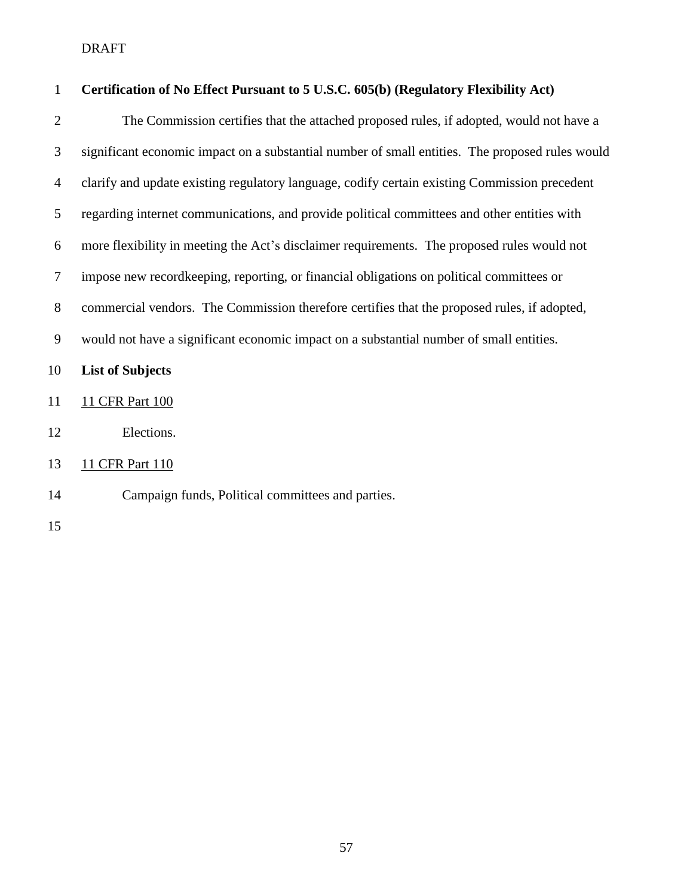# **Certification of No Effect Pursuant to 5 U.S.C. 605(b) (Regulatory Flexibility Act)**

| $\overline{2}$ | The Commission certifies that the attached proposed rules, if adopted, would not have a         |
|----------------|-------------------------------------------------------------------------------------------------|
| 3              | significant economic impact on a substantial number of small entities. The proposed rules would |
| 4              | clarify and update existing regulatory language, codify certain existing Commission precedent   |
| 5              | regarding internet communications, and provide political committees and other entities with     |
| 6              | more flexibility in meeting the Act's disclaimer requirements. The proposed rules would not     |
| $\tau$         | impose new record keeping, reporting, or financial obligations on political committees or       |
| 8              | commercial vendors. The Commission therefore certifies that the proposed rules, if adopted,     |
| 9              | would not have a significant economic impact on a substantial number of small entities.         |
| 10             | <b>List of Subjects</b>                                                                         |
| 11             | 11 CFR Part 100                                                                                 |
| 12             | Elections.                                                                                      |
| 13             | 11 CFR Part 110                                                                                 |
| 14             | Campaign funds, Political committees and parties.                                               |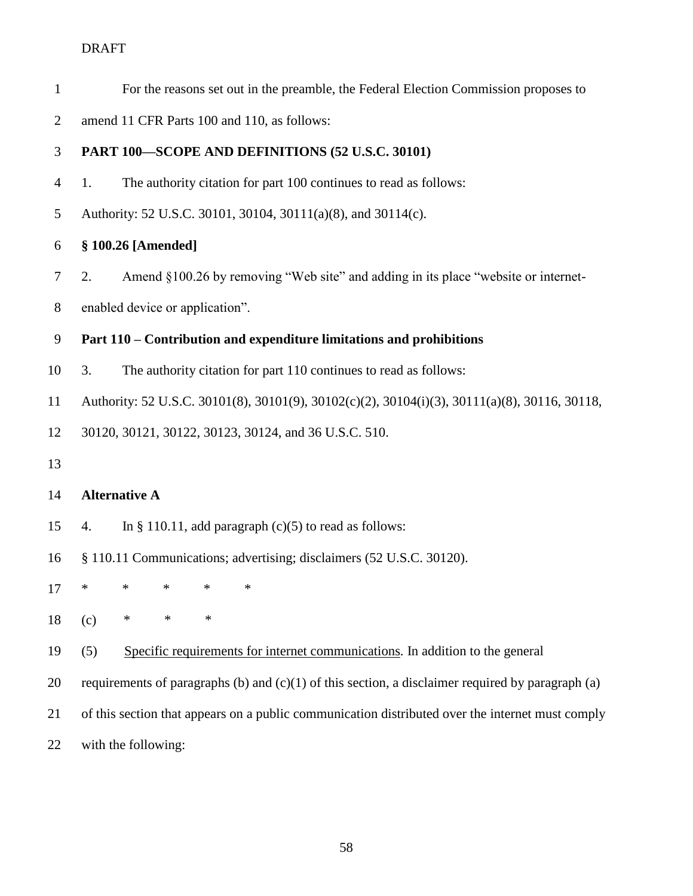- For the reasons set out in the preamble, the Federal Election Commission proposes to
- amend 11 CFR Parts 100 and 110, as follows:

# **PART 100—SCOPE AND DEFINITIONS (52 U.S.C. 30101)**

- 1. The authority citation for part 100 continues to read as follows:
- Authority: 52 U.S.C. 30101, 30104, 30111(a)(8), and 30114(c).

# **§ 100.26 [Amended]**

- 2. Amend §100.26 by removing "Web site" and adding in its place "website or internet-
- enabled device or application".

# **Part 110 – Contribution and expenditure limitations and prohibitions**

- 3. The authority citation for part 110 continues to read as follows:
- Authority: 52 U.S.C. 30101(8), 30101(9), 30102(c)(2), 30104(i)(3), 30111(a)(8), 30116, 30118,

30120, 30121, 30122, 30123, 30124, and 36 U.S.C. 510.

# **Alternative A**

- 15 4. In § 110.11, add paragraph  $(c)(5)$  to read as follows:
- § 110.11 Communications; advertising; disclaimers (52 U.S.C. 30120).
- \* \* \* \* \*
- 18 (c) \* \* \*
- (5) Specific requirements for internet communications*.* In addition to the general
- 20 requirements of paragraphs (b) and  $(c)(1)$  of this section, a disclaimer required by paragraph (a)
- of this section that appears on a public communication distributed over the internet must comply
- with the following: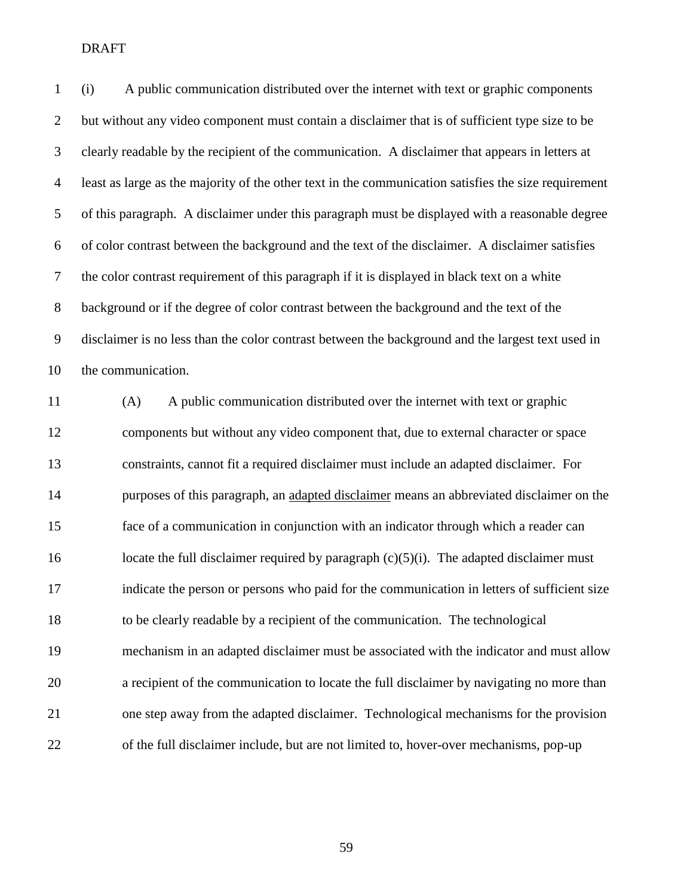(i) A public communication distributed over the internet with text or graphic components but without any video component must contain a disclaimer that is of sufficient type size to be clearly readable by the recipient of the communication. A disclaimer that appears in letters at least as large as the majority of the other text in the communication satisfies the size requirement of this paragraph. A disclaimer under this paragraph must be displayed with a reasonable degree of color contrast between the background and the text of the disclaimer. A disclaimer satisfies the color contrast requirement of this paragraph if it is displayed in black text on a white background or if the degree of color contrast between the background and the text of the disclaimer is no less than the color contrast between the background and the largest text used in the communication.

 (A) A public communication distributed over the internet with text or graphic components but without any video component that, due to external character or space constraints, cannot fit a required disclaimer must include an adapted disclaimer. For purposes of this paragraph, an adapted disclaimer means an abbreviated disclaimer on the face of a communication in conjunction with an indicator through which a reader can 16 locate the full disclaimer required by paragraph  $(c)(5)(i)$ . The adapted disclaimer must indicate the person or persons who paid for the communication in letters of sufficient size to be clearly readable by a recipient of the communication. The technological mechanism in an adapted disclaimer must be associated with the indicator and must allow a recipient of the communication to locate the full disclaimer by navigating no more than one step away from the adapted disclaimer. Technological mechanisms for the provision of the full disclaimer include, but are not limited to, hover-over mechanisms, pop-up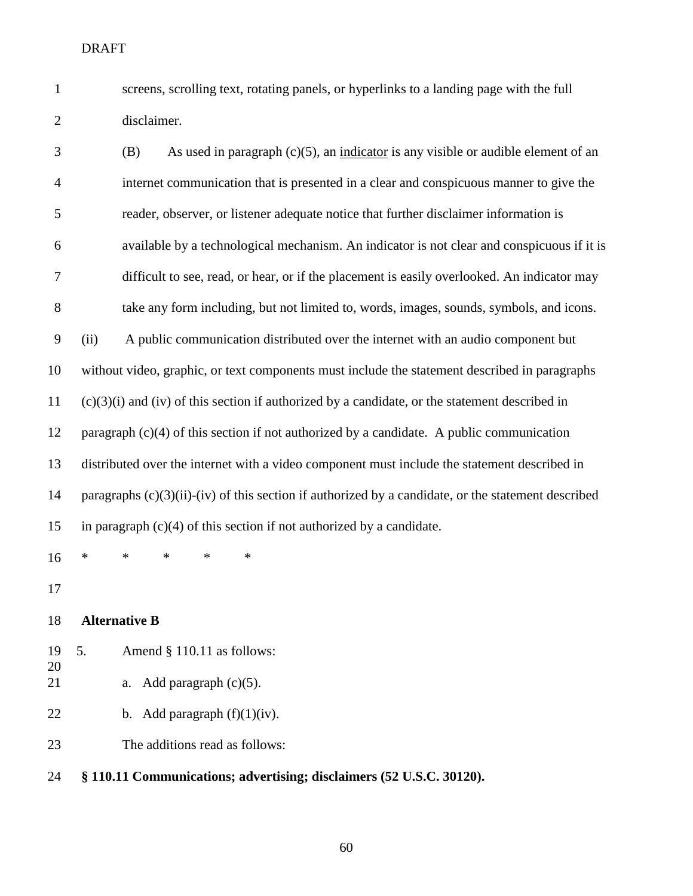screens, scrolling text, rotating panels, or hyperlinks to a landing page with the full disclaimer.

 (B) As used in paragraph (c)(5), an indicator is any visible or audible element of an internet communication that is presented in a clear and conspicuous manner to give the reader, observer, or listener adequate notice that further disclaimer information is available by a technological mechanism. An indicator is not clear and conspicuous if it is difficult to see, read, or hear, or if the placement is easily overlooked. An indicator may take any form including, but not limited to, words, images, sounds, symbols, and icons. (ii) A public communication distributed over the internet with an audio component but without video, graphic, or text components must include the statement described in paragraphs (c)(3)(i) and (iv) of this section if authorized by a candidate, or the statement described in paragraph (c)(4) of this section if not authorized by a candidate. A public communication distributed over the internet with a video component must include the statement described in paragraphs (c)(3)(ii)-(iv) of this section if authorized by a candidate, or the statement described in paragraph (c)(4) of this section if not authorized by a candidate.

#### **Alternative B**

- 5. Amend § 110.11 as follows:
- a. Add paragraph (c)(5).

\* \* \* \* \*

- 22 b. Add paragraph  $(f)(1)(iv)$ .
- The additions read as follows:
- **§ 110.11 Communications; advertising; disclaimers (52 U.S.C. 30120).**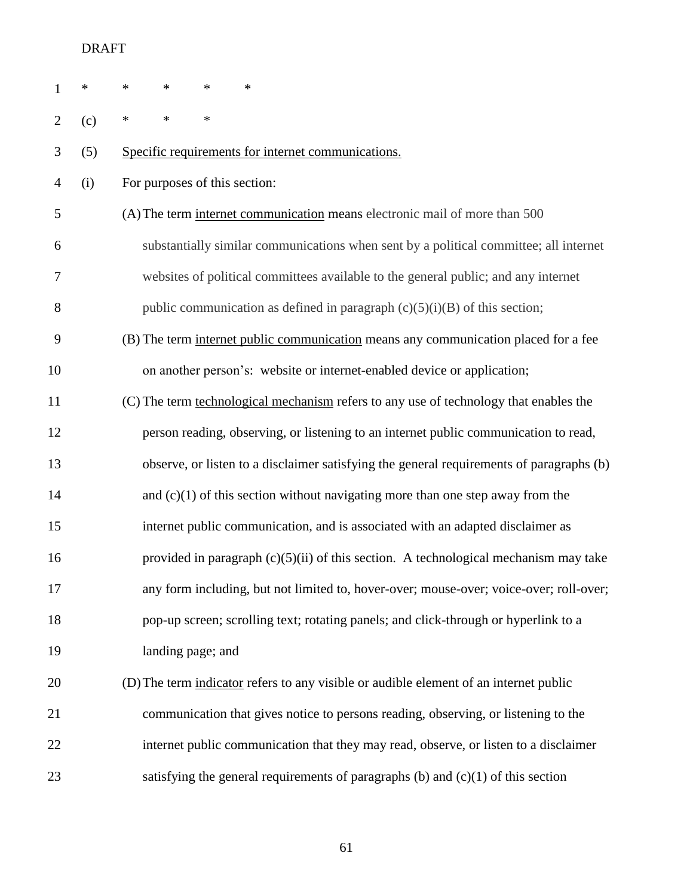| 1              | *   | *<br>*<br>*<br>$\ast$                                                                    |  |  |  |
|----------------|-----|------------------------------------------------------------------------------------------|--|--|--|
| $\overline{2}$ | (c) | $\ast$<br>$\ast$<br>∗                                                                    |  |  |  |
| 3              | (5) | Specific requirements for internet communications.                                       |  |  |  |
| 4              | (i) | For purposes of this section:                                                            |  |  |  |
| 5              |     | (A) The term internet communication means electronic mail of more than 500               |  |  |  |
| 6              |     | substantially similar communications when sent by a political committee; all internet    |  |  |  |
| 7              |     | websites of political committees available to the general public; and any internet       |  |  |  |
| 8              |     | public communication as defined in paragraph $(c)(5)(i)(B)$ of this section;             |  |  |  |
| 9              |     | (B) The term internet public communication means any communication placed for a fee      |  |  |  |
| 10             |     | on another person's: website or internet-enabled device or application;                  |  |  |  |
| 11             |     | (C) The term technological mechanism refers to any use of technology that enables the    |  |  |  |
| 12             |     | person reading, observing, or listening to an internet public communication to read,     |  |  |  |
| 13             |     | observe, or listen to a disclaimer satisfying the general requirements of paragraphs (b) |  |  |  |
| 14             |     | and $(c)(1)$ of this section without navigating more than one step away from the         |  |  |  |
| 15             |     | internet public communication, and is associated with an adapted disclaimer as           |  |  |  |
| 16             |     | provided in paragraph $(c)(5)(ii)$ of this section. A technological mechanism may take   |  |  |  |
| 17             |     | any form including, but not limited to, hover-over; mouse-over; voice-over; roll-over;   |  |  |  |
| 18             |     | pop-up screen; scrolling text; rotating panels; and click-through or hyperlink to a      |  |  |  |
| 19             |     | landing page; and                                                                        |  |  |  |
| 20             |     | (D) The term indicator refers to any visible or audible element of an internet public    |  |  |  |
| 21             |     | communication that gives notice to persons reading, observing, or listening to the       |  |  |  |
| 22             |     | internet public communication that they may read, observe, or listen to a disclaimer     |  |  |  |
| 23             |     | satisfying the general requirements of paragraphs $(b)$ and $(c)(1)$ of this section     |  |  |  |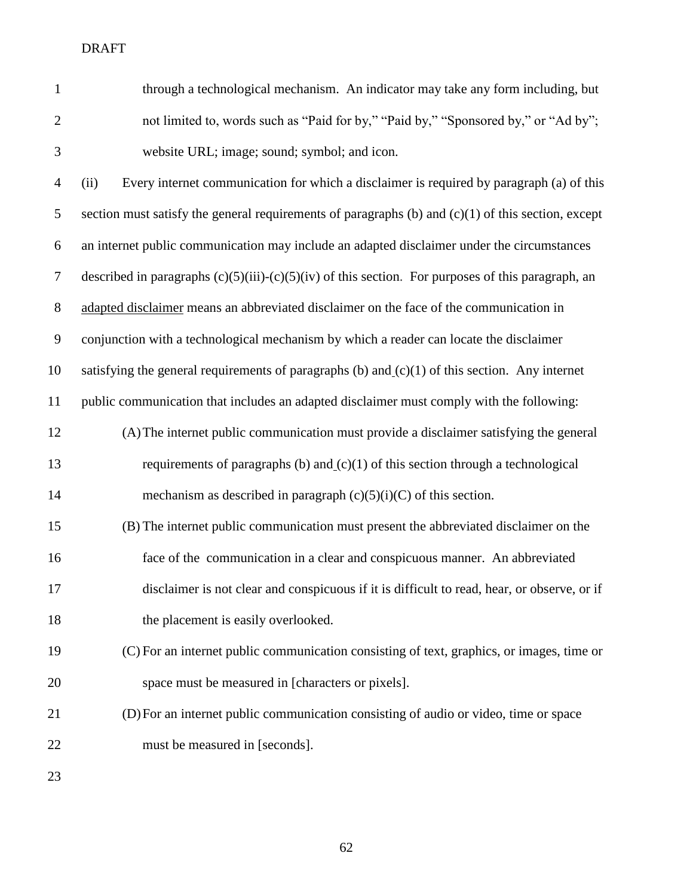through a technological mechanism. An indicator may take any form including, but 2 not limited to, words such as "Paid for by," "Paid by," "Sponsored by," or "Ad by"; website URL; image; sound; symbol; and icon.

 (ii) Every internet communication for which a disclaimer is required by paragraph (a) of this section must satisfy the general requirements of paragraphs (b) and (c)(1) of this section, except an internet public communication may include an adapted disclaimer under the circumstances described in paragraphs (c)(5)(iii)-(c)(5)(iv) of this section. For purposes of this paragraph, an adapted disclaimer means an abbreviated disclaimer on the face of the communication in conjunction with a technological mechanism by which a reader can locate the disclaimer satisfying the general requirements of paragraphs (b) and (c)(1) of this section. Any internet public communication that includes an adapted disclaimer must comply with the following: (A)The internet public communication must provide a disclaimer satisfying the general requirements of paragraphs (b) and (c)(1) of this section through a technological 14 mechanism as described in paragraph  $(c)(5)(i)(C)$  of this section. (B) The internet public communication must present the abbreviated disclaimer on the face of the communication in a clear and conspicuous manner. An abbreviated disclaimer is not clear and conspicuous if it is difficult to read, hear, or observe, or if 18 the placement is easily overlooked.

# (C) For an internet public communication consisting of text, graphics, or images, time or space must be measured in [characters or pixels].

 (D)For an internet public communication consisting of audio or video, time or space must be measured in [seconds].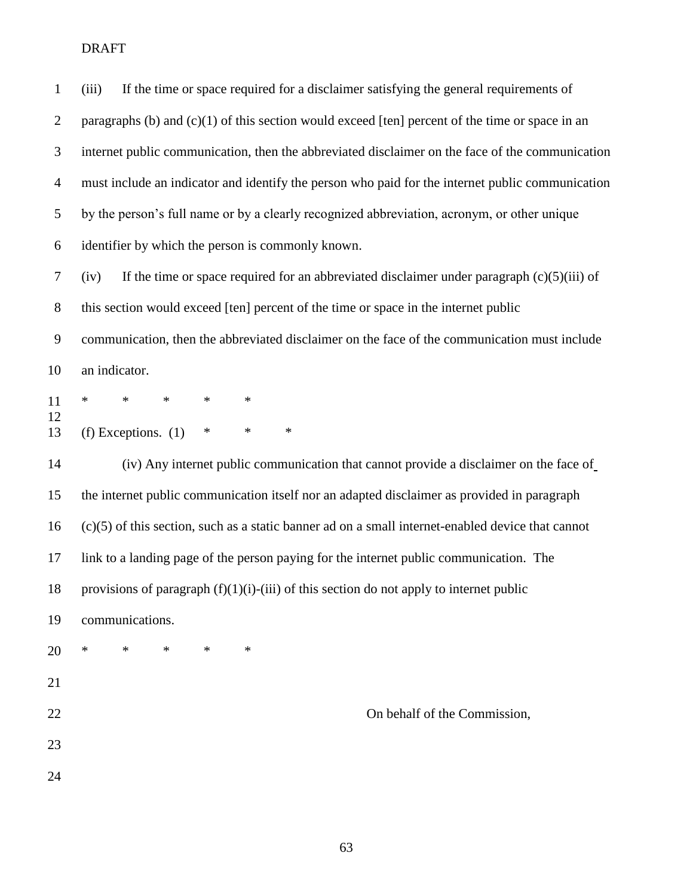| $\mathbf{1}$   | If the time or space required for a disclaimer satisfying the general requirements of<br>(iii)       |  |
|----------------|------------------------------------------------------------------------------------------------------|--|
| $\overline{2}$ | paragraphs (b) and $(c)(1)$ of this section would exceed [ten] percent of the time or space in an    |  |
| 3              | internet public communication, then the abbreviated disclaimer on the face of the communication      |  |
| $\overline{4}$ | must include an indicator and identify the person who paid for the internet public communication     |  |
| 5              | by the person's full name or by a clearly recognized abbreviation, acronym, or other unique          |  |
| 6              | identifier by which the person is commonly known.                                                    |  |
| 7              | If the time or space required for an abbreviated disclaimer under paragraph $(c)(5)(iii)$ of<br>(iv) |  |
| $8\,$          | this section would exceed [ten] percent of the time or space in the internet public                  |  |
| 9              | communication, then the abbreviated disclaimer on the face of the communication must include         |  |
| 10             | an indicator.                                                                                        |  |
| 11             | $\ast$<br>$\ast$<br>$\ast$<br>$\ast$<br>∗                                                            |  |
| 12<br>13       | (f) Exceptions. $(1)$<br>*<br>∗<br>$\ast$                                                            |  |
| 14             | (iv) Any internet public communication that cannot provide a disclaimer on the face of               |  |
| 15             | the internet public communication itself nor an adapted disclaimer as provided in paragraph          |  |
| 16             | $(c)(5)$ of this section, such as a static banner ad on a small internet-enabled device that cannot  |  |
| 17             | link to a landing page of the person paying for the internet public communication. The               |  |
| 18             | provisions of paragraph $(f)(1)(i)$ -(iii) of this section do not apply to internet public           |  |
| 19             | communications.                                                                                      |  |
| 20             | $\ast$<br>∗<br>$\ast$<br>*<br>∗                                                                      |  |
| 21             |                                                                                                      |  |
| 22             | On behalf of the Commission,                                                                         |  |
| 23             |                                                                                                      |  |
| 24             |                                                                                                      |  |